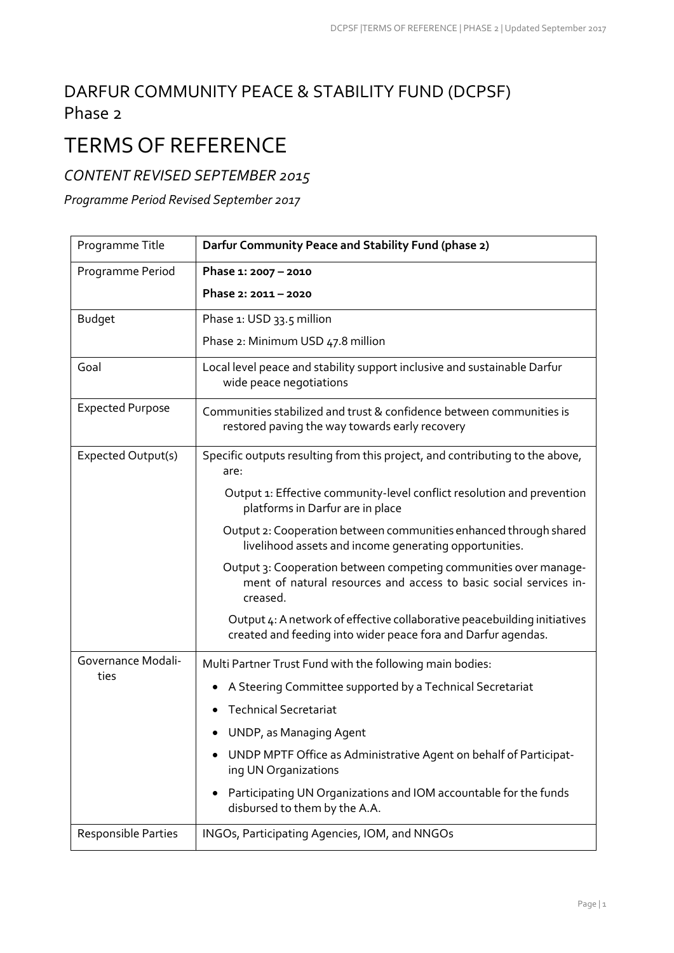# DARFUR COMMUNITY PEACE & STABILITY FUND (DCPSF) Phase 2

# TERMS OF REFERENCE

# *CONTENT REVISED SEPTEMBER 2015*

*Programme Period Revised September 2017*

| Programme Title         | Darfur Community Peace and Stability Fund (phase 2)                                                                                               |  |  |  |  |  |  |
|-------------------------|---------------------------------------------------------------------------------------------------------------------------------------------------|--|--|--|--|--|--|
| Programme Period        | Phase 1: 2007 - 2010                                                                                                                              |  |  |  |  |  |  |
|                         | Phase 2: 2011 - 2020                                                                                                                              |  |  |  |  |  |  |
| <b>Budget</b>           | Phase 1: USD 33.5 million                                                                                                                         |  |  |  |  |  |  |
|                         | Phase 2: Minimum USD 47.8 million                                                                                                                 |  |  |  |  |  |  |
| Goal                    | Local level peace and stability support inclusive and sustainable Darfur<br>wide peace negotiations                                               |  |  |  |  |  |  |
| <b>Expected Purpose</b> | Communities stabilized and trust & confidence between communities is<br>restored paving the way towards early recovery                            |  |  |  |  |  |  |
| Expected Output(s)      | Specific outputs resulting from this project, and contributing to the above,<br>are:                                                              |  |  |  |  |  |  |
|                         | Output 1: Effective community-level conflict resolution and prevention<br>platforms in Darfur are in place                                        |  |  |  |  |  |  |
|                         | Output 2: Cooperation between communities enhanced through shared<br>livelihood assets and income generating opportunities.                       |  |  |  |  |  |  |
|                         | Output 3: Cooperation between competing communities over manage-<br>ment of natural resources and access to basic social services in-<br>creased. |  |  |  |  |  |  |
|                         | Output 4: A network of effective collaborative peacebuilding initiatives<br>created and feeding into wider peace fora and Darfur agendas.         |  |  |  |  |  |  |
| Governance Modali-      | Multi Partner Trust Fund with the following main bodies:                                                                                          |  |  |  |  |  |  |
| ties                    | A Steering Committee supported by a Technical Secretariat                                                                                         |  |  |  |  |  |  |
|                         | <b>Technical Secretariat</b>                                                                                                                      |  |  |  |  |  |  |
|                         | <b>UNDP, as Managing Agent</b>                                                                                                                    |  |  |  |  |  |  |
|                         | UNDP MPTF Office as Administrative Agent on behalf of Participat-<br>ing UN Organizations                                                         |  |  |  |  |  |  |
|                         | Participating UN Organizations and IOM accountable for the funds<br>disbursed to them by the A.A.                                                 |  |  |  |  |  |  |
| Responsible Parties     | INGOs, Participating Agencies, IOM, and NNGOs                                                                                                     |  |  |  |  |  |  |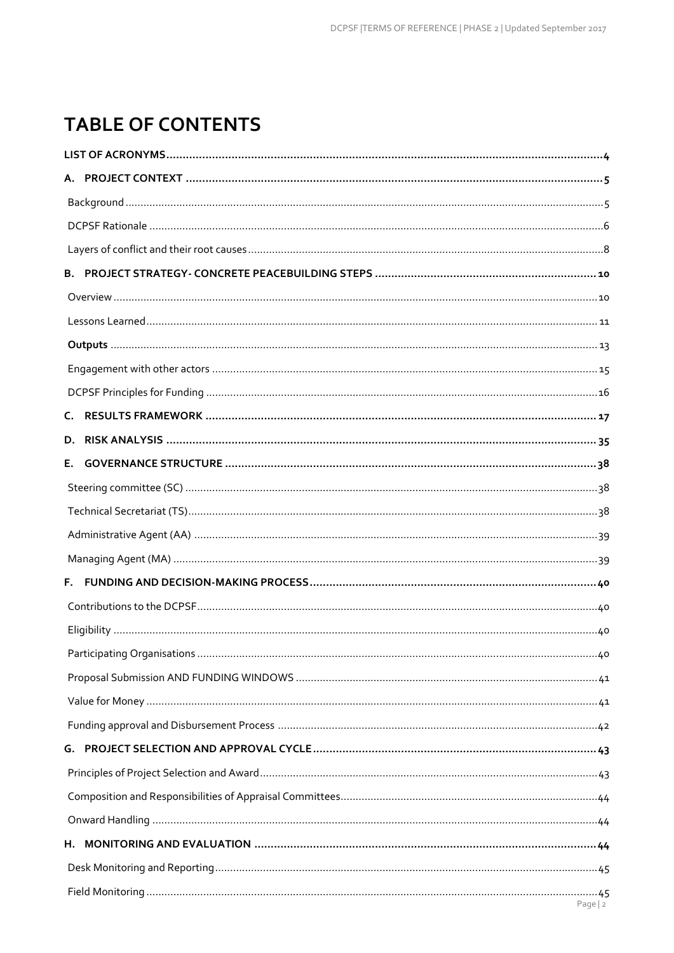# **TABLE OF CONTENTS**

| C. |           |
|----|-----------|
| D. |           |
| Е. |           |
|    |           |
|    |           |
|    |           |
|    |           |
|    |           |
|    |           |
|    |           |
|    |           |
|    |           |
|    |           |
|    |           |
|    |           |
|    |           |
|    |           |
|    |           |
|    |           |
|    |           |
|    |           |
|    | Page $ 2$ |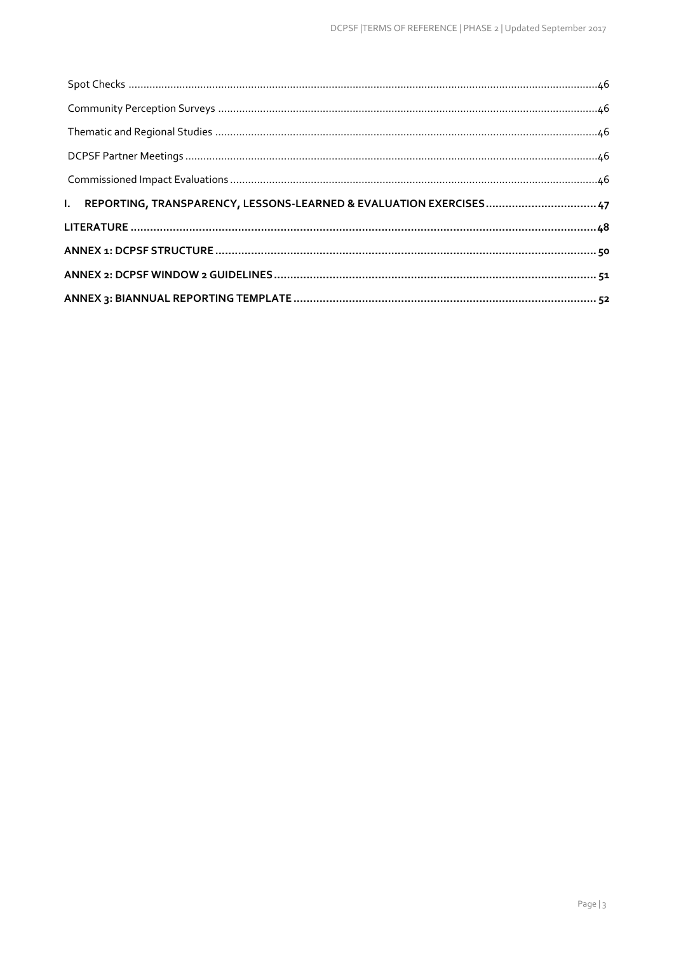| I. REPORTING, TRANSPARENCY, LESSONS-LEARNED & EVALUATION EXERCISES 47 |  |
|-----------------------------------------------------------------------|--|
|                                                                       |  |
|                                                                       |  |
|                                                                       |  |
|                                                                       |  |
|                                                                       |  |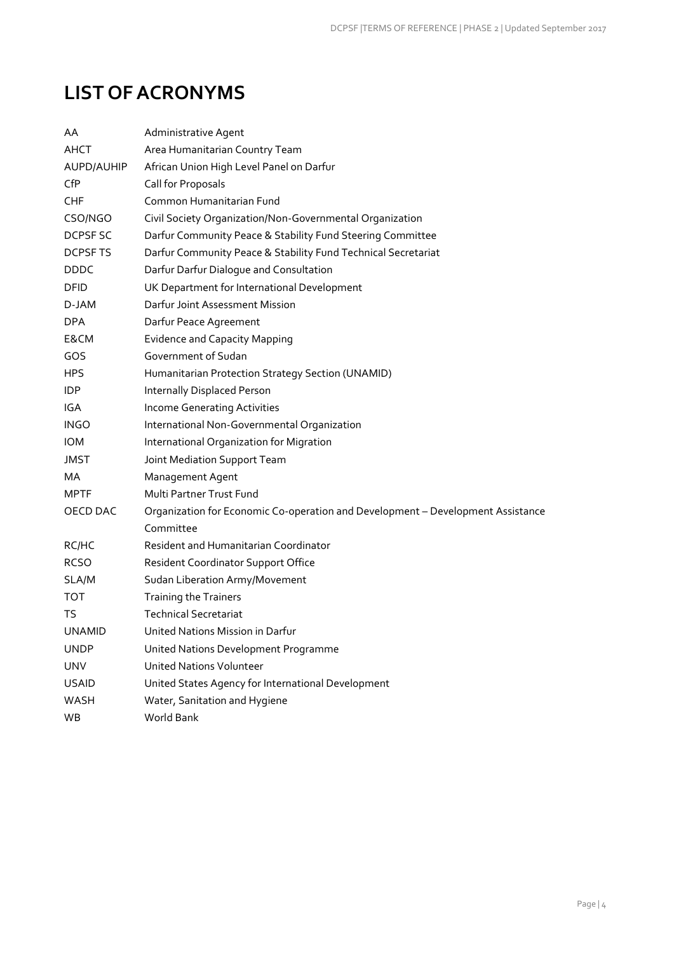# <span id="page-3-0"></span>**LIST OF ACRONYMS**

| AΑ            | Administrative Agent                                                            |
|---------------|---------------------------------------------------------------------------------|
| <b>AHCT</b>   | Area Humanitarian Country Team                                                  |
| AUPD/AUHIP    | African Union High Level Panel on Darfur                                        |
| CfP           | Call for Proposals                                                              |
| <b>CHF</b>    | Common Humanitarian Fund                                                        |
| CSO/NGO       | Civil Society Organization/Non-Governmental Organization                        |
| DCPSF SC      | Darfur Community Peace & Stability Fund Steering Committee                      |
| DCPSF TS      | Darfur Community Peace & Stability Fund Technical Secretariat                   |
| <b>DDDC</b>   | Darfur Darfur Dialogue and Consultation                                         |
| <b>DFID</b>   | UK Department for International Development                                     |
| D-JAM         | Darfur Joint Assessment Mission                                                 |
| <b>DPA</b>    | Darfur Peace Agreement                                                          |
| E&CM          | <b>Evidence and Capacity Mapping</b>                                            |
| GOS           | Government of Sudan                                                             |
| <b>HPS</b>    | Humanitarian Protection Strategy Section (UNAMID)                               |
| <b>IDP</b>    | Internally Displaced Person                                                     |
| <b>IGA</b>    | <b>Income Generating Activities</b>                                             |
| INGO          | International Non-Governmental Organization                                     |
| <b>IOM</b>    | International Organization for Migration                                        |
| JMST          | Joint Mediation Support Team                                                    |
| МA            | Management Agent                                                                |
| <b>MPTF</b>   | Multi Partner Trust Fund                                                        |
| OECD DAC      | Organization for Economic Co-operation and Development - Development Assistance |
|               | Committee                                                                       |
| RC/HC         | Resident and Humanitarian Coordinator                                           |
| <b>RCSO</b>   | <b>Resident Coordinator Support Office</b>                                      |
| SLA/M         | Sudan Liberation Army/Movement                                                  |
| <b>TOT</b>    | <b>Training the Trainers</b>                                                    |
| TS            | <b>Technical Secretariat</b>                                                    |
| <b>UNAMID</b> | United Nations Mission in Darfur                                                |
| <b>UNDP</b>   | United Nations Development Programme                                            |
| <b>UNV</b>    | <b>United Nations Volunteer</b>                                                 |
| <b>USAID</b>  | United States Agency for International Development                              |
| WASH          | Water, Sanitation and Hygiene                                                   |
| WB            | World Bank                                                                      |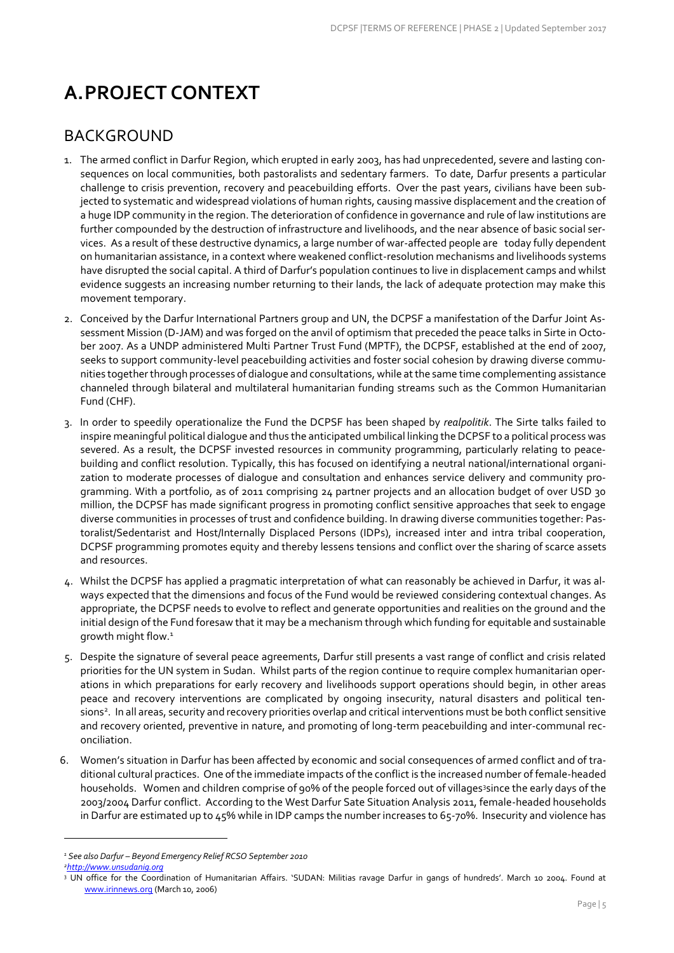# <span id="page-4-0"></span>**A.PROJECT CONTEXT**

# <span id="page-4-1"></span>BACKGROUND

- 1. The armed conflict in Darfur Region, which erupted in early 2003, has had unprecedented, severe and lasting consequences on local communities, both pastoralists and sedentary farmers. To date, Darfur presents a particular challenge to crisis prevention, recovery and peacebuilding efforts. Over the past years, civilians have been subjected to systematic and widespread violations of human rights, causing massive displacement and the creation of a huge IDP community in the region. The deterioration of confidence in governance and rule of law institutions are further compounded by the destruction of infrastructure and livelihoods, and the near absence of basic social services. As a result of these destructive dynamics, a large number of war-affected people are today fully dependent on humanitarian assistance, in a context where weakened conflict-resolution mechanisms and livelihoods systems have disrupted the social capital. A third of Darfur's population continues to live in displacement camps and whilst evidence suggests an increasing number returning to their lands, the lack of adequate protection may make this movement temporary.
- 2. Conceived by the Darfur International Partners group and UN, the DCPSF a manifestation of the Darfur Joint Assessment Mission (D-JAM) and was forged on the anvil of optimism that preceded the peace talks in Sirte in October 2007. As a UNDP administered Multi Partner Trust Fund (MPTF), the DCPSF, established at the end of 2007, seeks to support community-level peacebuilding activities and foster social cohesion by drawing diverse communities together through processes of dialogue and consultations, while at the same time complementing assistance channeled through bilateral and multilateral humanitarian funding streams such as the Common Humanitarian Fund (CHF).
- 3. In order to speedily operationalize the Fund the DCPSF has been shaped by *realpolitik*. The Sirte talks failed to inspire meaningful political dialogue and thus the anticipated umbilical linking the DCPSF to a political process was severed. As a result, the DCPSF invested resources in community programming, particularly relating to peacebuilding and conflict resolution. Typically, this has focused on identifying a neutral national/international organization to moderate processes of dialogue and consultation and enhances service delivery and community programming. With a portfolio, as of 2011 comprising 24 partner projects and an allocation budget of over USD 30 million, the DCPSF has made significant progress in promoting conflict sensitive approaches that seek to engage diverse communities in processes of trust and confidence building. In drawing diverse communities together: Pastoralist/Sedentarist and Host/Internally Displaced Persons (IDPs), increased inter and intra tribal cooperation, DCPSF programming promotes equity and thereby lessens tensions and conflict over the sharing of scarce assets and resources.
- 4. Whilst the DCPSF has applied a pragmatic interpretation of what can reasonably be achieved in Darfur, it was always expected that the dimensions and focus of the Fund would be reviewed considering contextual changes. As appropriate, the DCPSF needs to evolve to reflect and generate opportunities and realities on the ground and the initial design of the Fund foresaw that it may be a mechanism through which funding for equitable and sustainable growth might flow.<sup>1</sup>
- 5. Despite the signature of several peace agreements, Darfur still presents a vast range of conflict and crisis related priorities for the UN system in Sudan. Whilst parts of the region continue to require complex humanitarian operations in which preparations for early recovery and livelihoods support operations should begin, in other areas peace and recovery interventions are complicated by ongoing insecurity, natural disasters and political tensions<sup>2</sup>. In all areas, security and recovery priorities overlap and critical interventions must be both conflict sensitive and recovery oriented, preventive in nature, and promoting of long-term peacebuilding and inter-communal reconciliation.
- 6. Women's situation in Darfur has been affected by economic and social consequences of armed conflict and of traditional cultural practices. One of the immediate impacts of the conflict is the increased number of female-headed households. Women and children comprise of 90% of the people forced out of villages<sup>3</sup>since the early days of the 2003/2004 Darfur conflict. According to the West Darfur Sate Situation Analysis 2011, female-headed households in Darfur are estimated up to 45% while in IDP camps the number increases to 65-70%. Insecurity and violence has

*<sup>1</sup> See also Darfur – Beyond Emergency Relief RCSO September 2010* 

*<sup>2</sup>[http://www.unsudanig.org](http://www.unsudanig.org/)*

<sup>3</sup> UN office for the Coordination of Humanitarian Affairs. 'SUDAN: Militias ravage Darfur in gangs of hundreds'. March 10 2004. Found at [www.irinnews.org](http://www.irinnews.org/) (March 10, 2006)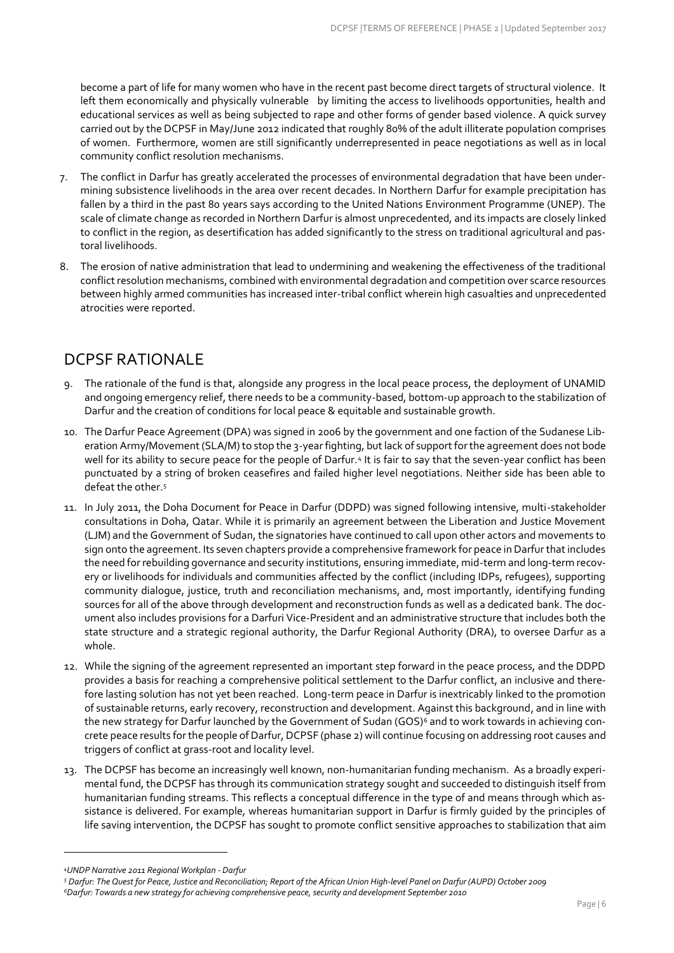become a part of life for many women who have in the recent past become direct targets of structural violence. It left them economically and physically vulnerable by limiting the access to livelihoods opportunities, health and educational services as well as being subjected to rape and other forms of gender based violence. A quick survey carried out by the DCPSF in May/June 2012 indicated that roughly 80% of the adult illiterate population comprises of women. Furthermore, women are still significantly underrepresented in peace negotiations as well as in local community conflict resolution mechanisms.

- 7. The conflict in Darfur has greatly accelerated the processes of environmental degradation that have been undermining subsistence livelihoods in the area over recent decades. In Northern Darfur for example precipitation has fallen by a third in the past 80 years says according to the United Nations Environment Programme (UNEP). The scale of climate change as recorded in Northern Darfur is almost unprecedented, and its impacts are closely linked to conflict in the region, as desertification has added significantly to the stress on traditional agricultural and pastoral livelihoods.
- 8. The erosion of native administration that lead to undermining and weakening the effectiveness of the traditional conflict resolution mechanisms, combined with environmental degradation and competition over scarce resources between highly armed communities has increased inter-tribal conflict wherein high casualties and unprecedented atrocities were reported.

## <span id="page-5-0"></span>DCPSF RATIONALE

- 9. The rationale of the fund is that, alongside any progress in the local peace process, the deployment of UNAMID and ongoing emergency relief, there needs to be a community-based, bottom-up approach to the stabilization of Darfur and the creation of conditions for local peace & equitable and sustainable growth.
- 10. The Darfur Peace Agreement (DPA) was signed in 2006 by the government and one faction of the Sudanese Liberation Army/Movement (SLA/M) to stop the 3-year fighting, but lack of support for the agreement does not bode well for its ability to secure peace for the people of Darfur.4 It is fair to say that the seven-year conflict has been punctuated by a string of broken ceasefires and failed higher level negotiations. Neither side has been able to defeat the other.<sup>5</sup>
- 11. In July 2011, the Doha Document for Peace in Darfur (DDPD) was signed following intensive, multi-stakeholder consultations in Doha, Qatar. While it is primarily an agreement between the Liberation and Justice Movement (LJM) and the Government of Sudan, the signatories have continued to call upon other actors and movements to sign onto the agreement. Its seven chapters provide a comprehensive framework for peace in Darfur that includes the need for rebuilding governance and security institutions, ensuring immediate, mid-term and long-term recovery or livelihoods for individuals and communities affected by the conflict (including IDPs, refugees), supporting community dialogue, justice, truth and reconciliation mechanisms, and, most importantly, identifying funding sources for all of the above through development and reconstruction funds as well as a dedicated bank. The document also includes provisions for a Darfuri Vice-President and an administrative structure that includes both the state structure and a strategic regional authority, the Darfur Regional Authority (DRA), to oversee Darfur as a whole.
- 12. While the signing of the agreement represented an important step forward in the peace process, and the DDPD provides a basis for reaching a comprehensive political settlement to the Darfur conflict, an inclusive and therefore lasting solution has not yet been reached. Long-term peace in Darfur is inextricably linked to the promotion of sustainable returns, early recovery, reconstruction and development. Against this background, and in line with the new strategy for Darfur launched by the Government of Sudan (GOS)<sup>6</sup> and to work towards in achieving concrete peace results for the people of Darfur, DCPSF (phase 2) will continue focusing on addressing root causes and triggers of conflict at grass-root and locality level.
- 13. The DCPSF has become an increasingly well known, non-humanitarian funding mechanism. As a broadly experimental fund, the DCPSF has through its communication strategy sought and succeeded to distinguish itself from humanitarian funding streams. This reflects a conceptual difference in the type of and means through which assistance is delivered. For example, whereas humanitarian support in Darfur is firmly guided by the principles of life saving intervention, the DCPSF has sought to promote conflict sensitive approaches to stabilization that aim

*<sup>4</sup>UNDP Narrative 2011 Regional Workplan - Darfur*

*<sup>5</sup> Darfur: The Quest for Peace, Justice and Reconciliation; Report of the African Union High-level Panel on Darfur (AUPD) October 2009 6Darfur: Towards a new strategy for achieving comprehensive peace, security and development September 2010*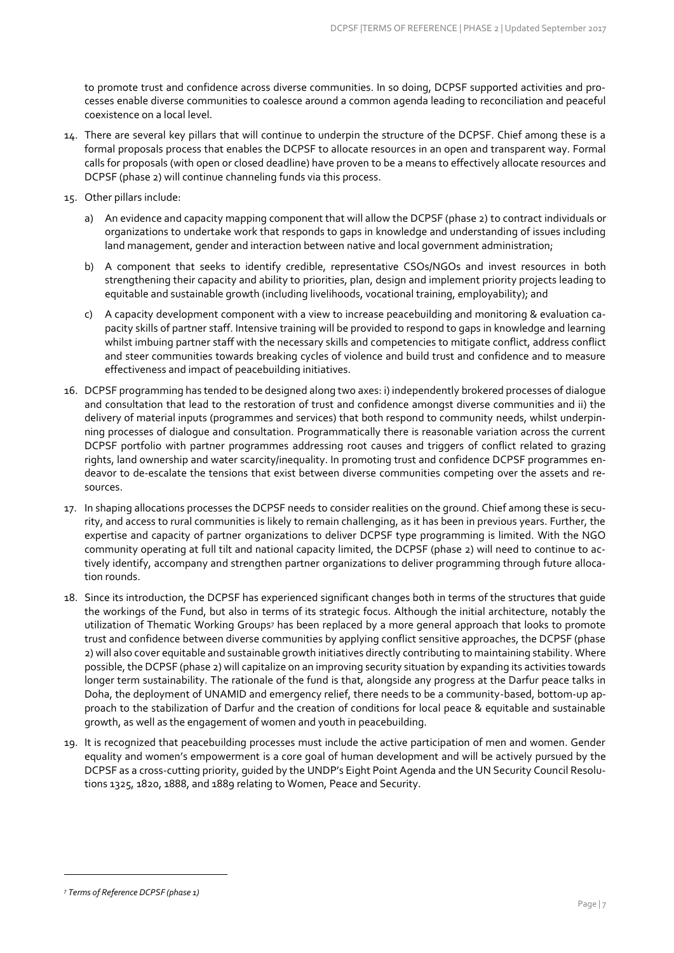to promote trust and confidence across diverse communities. In so doing, DCPSF supported activities and processes enable diverse communities to coalesce around a common agenda leading to reconciliation and peaceful coexistence on a local level.

- 14. There are several key pillars that will continue to underpin the structure of the DCPSF. Chief among these is a formal proposals process that enables the DCPSF to allocate resources in an open and transparent way. Formal calls for proposals (with open or closed deadline) have proven to be a means to effectively allocate resources and DCPSF (phase 2) will continue channeling funds via this process.
- 15. Other pillars include:
	- a) An evidence and capacity mapping component that will allow the DCPSF (phase 2) to contract individuals or organizations to undertake work that responds to gaps in knowledge and understanding of issues including land management, gender and interaction between native and local government administration;
	- b) A component that seeks to identify credible, representative CSOs/NGOs and invest resources in both strengthening their capacity and ability to priorities, plan, design and implement priority projects leading to equitable and sustainable growth (including livelihoods, vocational training, employability); and
	- c) A capacity development component with a view to increase peacebuilding and monitoring & evaluation capacity skills of partner staff. Intensive training will be provided to respond to gaps in knowledge and learning whilst imbuing partner staff with the necessary skills and competencies to mitigate conflict, address conflict and steer communities towards breaking cycles of violence and build trust and confidence and to measure effectiveness and impact of peacebuilding initiatives.
- 16. DCPSF programming has tended to be designed along two axes: i) independently brokered processes of dialogue and consultation that lead to the restoration of trust and confidence amongst diverse communities and ii) the delivery of material inputs (programmes and services) that both respond to community needs, whilst underpinning processes of dialogue and consultation. Programmatically there is reasonable variation across the current DCPSF portfolio with partner programmes addressing root causes and triggers of conflict related to grazing rights, land ownership and water scarcity/inequality. In promoting trust and confidence DCPSF programmes endeavor to de-escalate the tensions that exist between diverse communities competing over the assets and resources.
- 17. In shaping allocations processes the DCPSF needs to consider realities on the ground. Chief among these is security, and access to rural communities is likely to remain challenging, as it has been in previous years. Further, the expertise and capacity of partner organizations to deliver DCPSF type programming is limited. With the NGO community operating at full tilt and national capacity limited, the DCPSF (phase 2) will need to continue to actively identify, accompany and strengthen partner organizations to deliver programming through future allocation rounds.
- 18. Since its introduction, the DCPSF has experienced significant changes both in terms of the structures that guide the workings of the Fund, but also in terms of its strategic focus. Although the initial architecture, notably the utilization of Thematic Working Groups<sup>7</sup> has been replaced by a more general approach that looks to promote trust and confidence between diverse communities by applying conflict sensitive approaches, the DCPSF (phase 2) will also cover equitable and sustainable growth initiatives directly contributing to maintaining stability. Where possible, the DCPSF (phase 2) will capitalize on an improving security situation by expanding its activities towards longer term sustainability. The rationale of the fund is that, alongside any progress at the Darfur peace talks in Doha, the deployment of UNAMID and emergency relief, there needs to be a community-based, bottom-up approach to the stabilization of Darfur and the creation of conditions for local peace & equitable and sustainable growth, as well as the engagement of women and youth in peacebuilding.
- 19. It is recognized that peacebuilding processes must include the active participation of men and women. Gender equality and women's empowerment is a core goal of human development and will be actively pursued by the DCPSF as a cross-cutting priority, guided by the UNDP's Eight Point Agenda and the UN Security Council Resolutions 1325, 1820, 1888, and 1889 relating to Women, Peace and Security.

*<sup>7</sup> Terms of Reference DCPSF (phase 1)*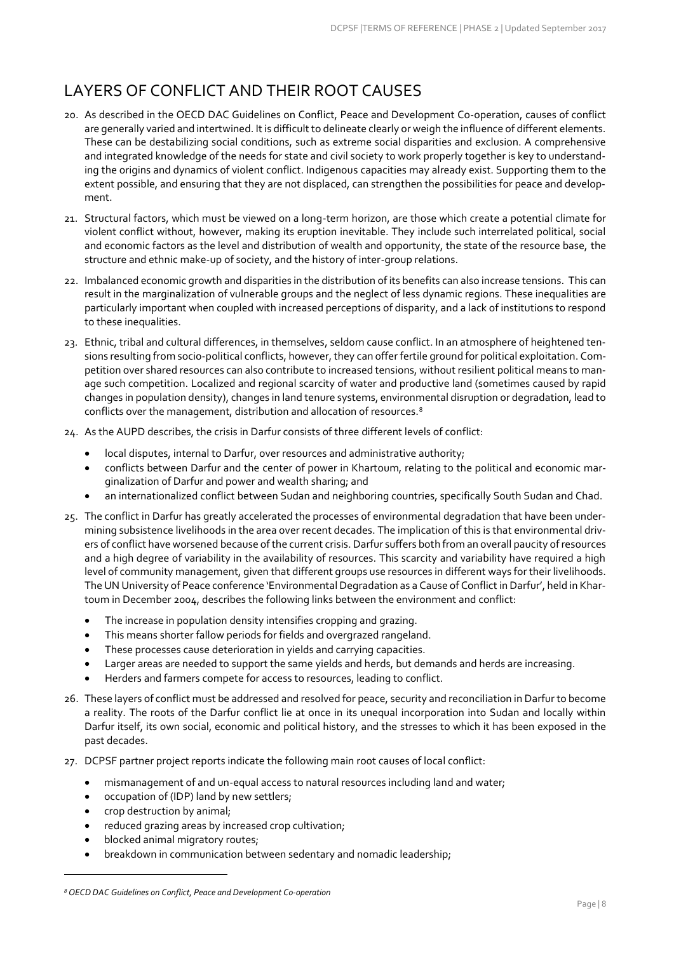# <span id="page-7-0"></span>LAYERS OF CONFLICT AND THEIR ROOT CAUSES

- 20. As described in the OECD DAC Guidelines on Conflict, Peace and Development Co-operation, causes of conflict are generally varied and intertwined. It is difficult to delineate clearly or weigh the influence of different elements. These can be destabilizing social conditions, such as extreme social disparities and exclusion. A comprehensive and integrated knowledge of the needs for state and civil society to work properly together is key to understanding the origins and dynamics of violent conflict. Indigenous capacities may already exist. Supporting them to the extent possible, and ensuring that they are not displaced, can strengthen the possibilities for peace and development.
- 21. Structural factors, which must be viewed on a long-term horizon, are those which create a potential climate for violent conflict without, however, making its eruption inevitable. They include such interrelated political, social and economic factors as the level and distribution of wealth and opportunity, the state of the resource base, the structure and ethnic make-up of society, and the history of inter-group relations.
- 22. Imbalanced economic growth and disparities in the distribution of its benefits can also increase tensions. This can result in the marginalization of vulnerable groups and the neglect of less dynamic regions. These inequalities are particularly important when coupled with increased perceptions of disparity, and a lack of institutions to respond to these inequalities.
- 23. Ethnic, tribal and cultural differences, in themselves, seldom cause conflict. In an atmosphere of heightened tensions resulting from socio-political conflicts, however, they can offer fertile ground for political exploitation. Competition over shared resources can also contribute to increased tensions, without resilient political means to manage such competition. Localized and regional scarcity of water and productive land (sometimes caused by rapid changes in population density), changes in land tenure systems, environmental disruption or degradation, lead to conflicts over the management, distribution and allocation of resources.<sup>8</sup>
- 24. As the AUPD describes, the crisis in Darfur consists of three different levels of conflict:
	- local disputes, internal to Darfur, over resources and administrative authority;
	- conflicts between Darfur and the center of power in Khartoum, relating to the political and economic marginalization of Darfur and power and wealth sharing; and
	- an internationalized conflict between Sudan and neighboring countries, specifically South Sudan and Chad.
- 25. The conflict in Darfur has greatly accelerated the processes of environmental degradation that have been undermining subsistence livelihoods in the area over recent decades. The implication of this is that environmental drivers of conflict have worsened because ofthe current crisis. Darfur suffers both from an overall paucity of resources and a high degree of variability in the availability of resources. This scarcity and variability have required a high level of community management, given that different groups use resources in different ways for their livelihoods. The UN University of Peace conference 'Environmental Degradation as a Cause of Conflict in Darfur', held in Khartoum in December 2004, describes the following links between the environment and conflict:
	- The increase in population density intensifies cropping and grazing.
	- This means shorter fallow periods for fields and overgrazed rangeland.
	- These processes cause deterioration in yields and carrying capacities.
	- Larger areas are needed to support the same yields and herds, but demands and herds are increasing.
	- Herders and farmers compete for access to resources, leading to conflict.
- 26. These layers of conflict must be addressed and resolved for peace, security and reconciliation in Darfur to become a reality. The roots of the Darfur conflict lie at once in its unequal incorporation into Sudan and locally within Darfur itself, its own social, economic and political history, and the stresses to which it has been exposed in the past decades.
- 27. DCPSF partner project reports indicate the following main root causes of local conflict:
	- mismanagement of and un-equal access to natural resources including land and water;
	- occupation of (IDP) land by new settlers;
	- crop destruction by animal;

- reduced grazing areas by increased crop cultivation;
- blocked animal migratory routes;
- breakdown in communication between sedentary and nomadic leadership;

*<sup>8</sup> OECD DAC Guidelines on Conflict, Peace and Development Co-operation*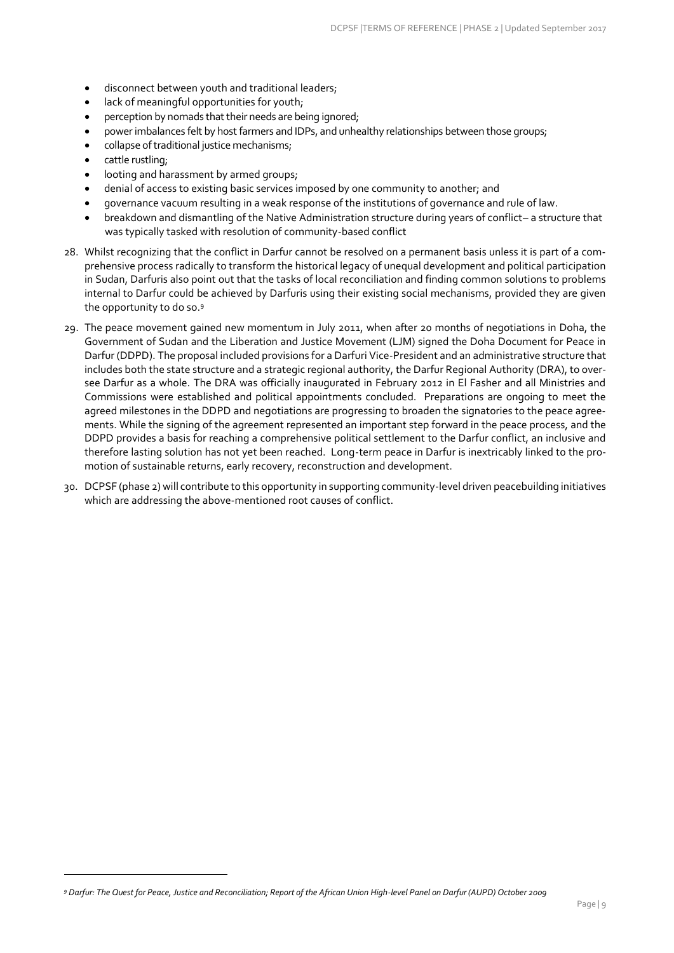- disconnect between youth and traditional leaders;
- lack of meaningful opportunities for youth;
- perception by nomads that their needs are being ignored;
- power imbalances felt by host farmers and IDPs, and unhealthy relationships between those groups;
- collapse of traditional justice mechanisms;
- cattle rustling;

- looting and harassment by armed groups;
- denial of access to existing basic services imposed by one community to another; and
- governance vacuum resulting in a weak response of the institutions of governance and rule of law.
- breakdown and dismantling of the Native Administration structure during years of conflict– a structure that was typically tasked with resolution of community-based conflict
- 28. Whilst recognizing that the conflict in Darfur cannot be resolved on a permanent basis unless it is part of a comprehensive process radically to transform the historical legacy of unequal development and political participation in Sudan, Darfuris also point out that the tasks of local reconciliation and finding common solutions to problems internal to Darfur could be achieved by Darfuris using their existing social mechanisms, provided they are given the opportunity to do so.<sup>9</sup>
- 29. The peace movement gained new momentum in July 2011, when after 20 months of negotiations in Doha, the Government of Sudan and the Liberation and Justice Movement (LJM) signed the Doha Document for Peace in Darfur (DDPD). The proposal included provisions for a Darfuri Vice-President and an administrative structure that includes both the state structure and a strategic regional authority, the Darfur Regional Authority (DRA), to oversee Darfur as a whole. The DRA was officially inaugurated in February 2012 in El Fasher and all Ministries and Commissions were established and political appointments concluded. Preparations are ongoing to meet the agreed milestones in the DDPD and negotiations are progressing to broaden the signatories to the peace agreements. While the signing of the agreement represented an important step forward in the peace process, and the DDPD provides a basis for reaching a comprehensive political settlement to the Darfur conflict, an inclusive and therefore lasting solution has not yet been reached. Long-term peace in Darfur is inextricably linked to the promotion of sustainable returns, early recovery, reconstruction and development.
- 30. DCPSF (phase 2) will contribute to this opportunity in supporting community-level driven peacebuilding initiatives which are addressing the above-mentioned root causes of conflict.

*<sup>9</sup> Darfur: The Quest for Peace, Justice and Reconciliation; Report of the African Union High-level Panel on Darfur (AUPD) October 2009*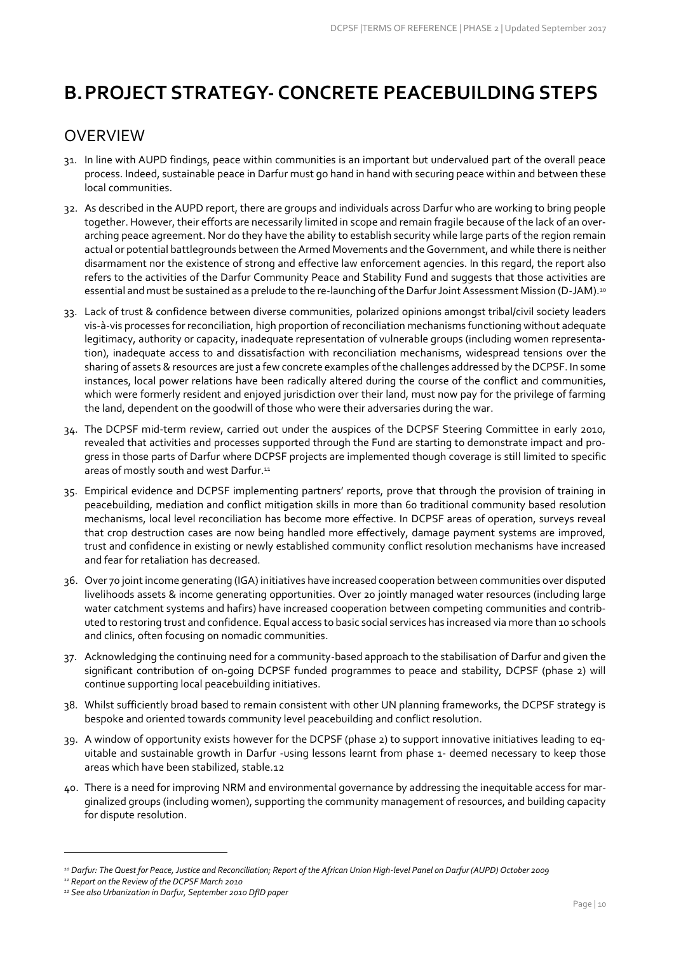# <span id="page-9-0"></span>**B.PROJECT STRATEGY- CONCRETE PEACEBUILDING STEPS**

## <span id="page-9-1"></span>**OVERVIEW**

- 31. In line with AUPD findings, peace within communities is an important but undervalued part of the overall peace process. Indeed, sustainable peace in Darfur must go hand in hand with securing peace within and between these local communities.
- 32. As described in the AUPD report, there are groups and individuals across Darfur who are working to bring people together. However, their efforts are necessarily limited in scope and remain fragile because of the lack of an overarching peace agreement. Nor do they have the ability to establish security while large parts of the region remain actual or potential battlegrounds between the Armed Movements and the Government, and while there is neither disarmament nor the existence of strong and effective law enforcement agencies. In this regard, the report also refers to the activities of the Darfur Community Peace and Stability Fund and suggests that those activities are essential and must be sustained as a prelude to the re-launching of the Darfur Joint Assessment Mission (D-JAM).<sup>10</sup>
- 33. Lack of trust & confidence between diverse communities, polarized opinions amongst tribal/civil society leaders vis-à-vis processes for reconciliation, high proportion of reconciliation mechanisms functioning without adequate legitimacy, authority or capacity, inadequate representation of vulnerable groups (including women representation), inadequate access to and dissatisfaction with reconciliation mechanisms, widespread tensions over the sharing of assets & resources are just a few concrete examples of the challenges addressed by the DCPSF. In some instances, local power relations have been radically altered during the course of the conflict and communities, which were formerly resident and enjoyed jurisdiction over their land, must now pay for the privilege of farming the land, dependent on the goodwill of those who were their adversaries during the war.
- 34. The DCPSF mid-term review, carried out under the auspices of the DCPSF Steering Committee in early 2010, revealed that activities and processes supported through the Fund are starting to demonstrate impact and progress in those parts of Darfur where DCPSF projects are implemented though coverage is still limited to specific areas of mostly south and west Darfur.<sup>11</sup>
- 35. Empirical evidence and DCPSF implementing partners' reports, prove that through the provision of training in peacebuilding, mediation and conflict mitigation skills in more than 60 traditional community based resolution mechanisms, local level reconciliation has become more effective. In DCPSF areas of operation, surveys reveal that crop destruction cases are now being handled more effectively, damage payment systems are improved, trust and confidence in existing or newly established community conflict resolution mechanisms have increased and fear for retaliation has decreased.
- 36. Over 70 joint income generating (IGA) initiatives have increased cooperation between communities over disputed livelihoods assets & income generating opportunities. Over 20 jointly managed water resources (including large water catchment systems and hafirs) have increased cooperation between competing communities and contributed to restoring trust and confidence. Equal access to basic social services has increased via more than 10 schools and clinics, often focusing on nomadic communities.
- 37. Acknowledging the continuing need for a community-based approach to the stabilisation of Darfur and given the significant contribution of on-going DCPSF funded programmes to peace and stability, DCPSF (phase 2) will continue supporting local peacebuilding initiatives.
- 38. Whilst sufficiently broad based to remain consistent with other UN planning frameworks, the DCPSF strategy is bespoke and oriented towards community level peacebuilding and conflict resolution.
- 39. A window of opportunity exists however for the DCPSF (phase 2) to support innovative initiatives leading to equitable and sustainable growth in Darfur -using lessons learnt from phase 1- deemed necessary to keep those areas which have been stabilized, stable.12
- 40. There is a need for improving NRM and environmental governance by addressing the inequitable access for marginalized groups (including women), supporting the community management of resources, and building capacity for dispute resolution.

*<sup>10</sup> Darfur: The Quest for Peace, Justice and Reconciliation; Report of the African Union High-level Panel on Darfur (AUPD) October 2009*

*<sup>11</sup> Report on the Review of the DCPSF March 2010* 

*<sup>12</sup> See also Urbanization in Darfur, September 2010 DfID paper*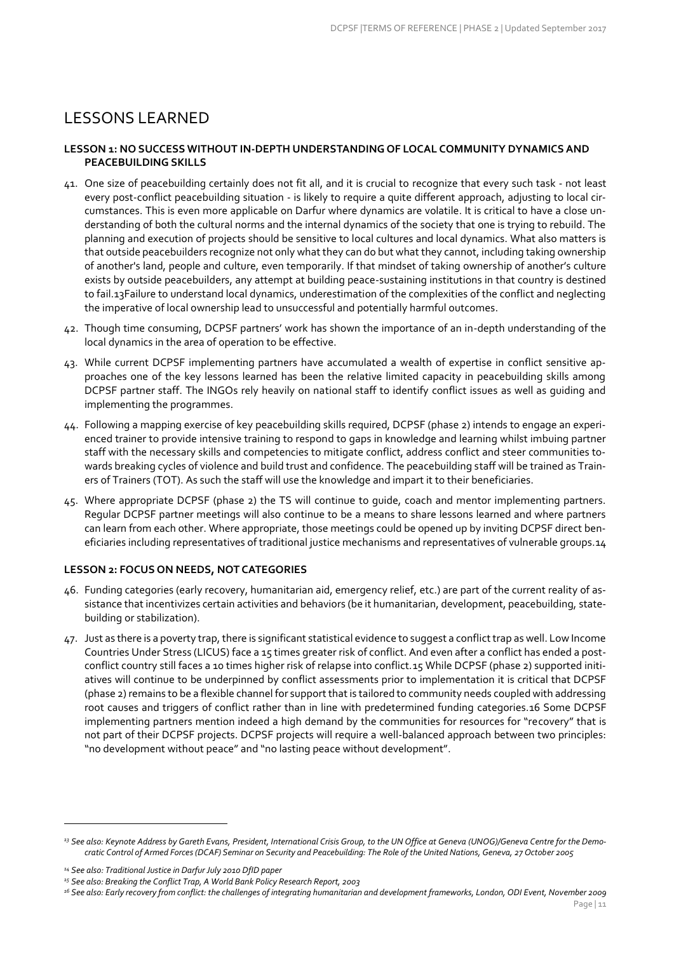## <span id="page-10-0"></span>LESSONS LEARNED

#### **LESSON 1: NO SUCCESS WITHOUT IN-DEPTH UNDERSTANDING OF LOCAL COMMUNITY DYNAMICS AND PEACEBUILDING SKILLS**

- 41. One size of peacebuilding certainly does not fit all, and it is crucial to recognize that every such task not least every post-conflict peacebuilding situation - is likely to require a quite different approach, adjusting to local circumstances. This is even more applicable on Darfur where dynamics are volatile. It is critical to have a close understanding of both the cultural norms and the internal dynamics of the society that one is trying to rebuild. The planning and execution of projects should be sensitive to local cultures and local dynamics. What also matters is that outside peacebuilders recognize not only what they can do but what they cannot, including taking ownership of another's land, people and culture, even temporarily. If that mindset of taking ownership of another's culture exists by outside peacebuilders, any attempt at building peace-sustaining institutions in that country is destined to fail.13Failure to understand local dynamics, underestimation of the complexities of the conflict and neglecting the imperative of local ownership lead to unsuccessful and potentially harmful outcomes.
- 42. Though time consuming, DCPSF partners' work has shown the importance of an in-depth understanding of the local dynamics in the area of operation to be effective.
- 43. While current DCPSF implementing partners have accumulated a wealth of expertise in conflict sensitive approaches one of the key lessons learned has been the relative limited capacity in peacebuilding skills among DCPSF partner staff. The INGOs rely heavily on national staff to identify conflict issues as well as guiding and implementing the programmes.
- 44. Following a mapping exercise of key peacebuilding skills required, DCPSF (phase 2) intends to engage an experienced trainer to provide intensive training to respond to gaps in knowledge and learning whilst imbuing partner staff with the necessary skills and competencies to mitigate conflict, address conflict and steer communities towards breaking cycles of violence and build trust and confidence. The peacebuilding staff will be trained as Trainers of Trainers (TOT). As such the staff will use the knowledge and impart it to their beneficiaries.
- 45. Where appropriate DCPSF (phase 2) the TS will continue to guide, coach and mentor implementing partners. Regular DCPSF partner meetings will also continue to be a means to share lessons learned and where partners can learn from each other. Where appropriate, those meetings could be opened up by inviting DCPSF direct beneficiaries including representatives of traditional justice mechanisms and representatives of vulnerable groups.14

#### **LESSON 2: FOCUS ON NEEDS, NOT CATEGORIES**

- 46. Funding categories (early recovery, humanitarian aid, emergency relief, etc.) are part of the current reality of assistance that incentivizes certain activities and behaviors (be it humanitarian, development, peacebuilding, statebuilding or stabilization).
- 47. Just as there is a poverty trap, there is significant statistical evidence to suggest a conflict trap as well. Low Income Countries Under Stress (LICUS) face a 15 times greater risk of conflict. And even after a conflict has ended a postconflict country still faces a 10 times higher risk of relapse into conflict.15 While DCPSF (phase 2) supported initiatives will continue to be underpinned by conflict assessments prior to implementation it is critical that DCPSF (phase 2) remains to be a flexible channel for support that is tailored to community needs coupled with addressing root causes and triggers of conflict rather than in line with predetermined funding categories.16 Some DCPSF implementing partners mention indeed a high demand by the communities for resources for "recovery" that is not part of their DCPSF projects. DCPSF projects will require a well-balanced approach between two principles: "no development without peace" and "no lasting peace without development".

*<sup>13</sup> See also: Keynote Address by Gareth Evans, President, International Crisis Group, to the UN Office at Geneva (UNOG)/Geneva Centre for the Democratic Control of Armed Forces (DCAF) Seminar on Security and Peacebuilding: The Role of the United Nations, Geneva, 27 October 2005*

*<sup>14</sup> See also: Traditional Justice in Darfur July 2010 DfID paper* 

*<sup>15</sup> See also: Breaking the Conflict Trap, A World Bank Policy Research Report, 2003*

*<sup>16</sup> See also: Early recovery from conflict: the challenges of integrating humanitarian and development frameworks, London, ODI Event, November 2009*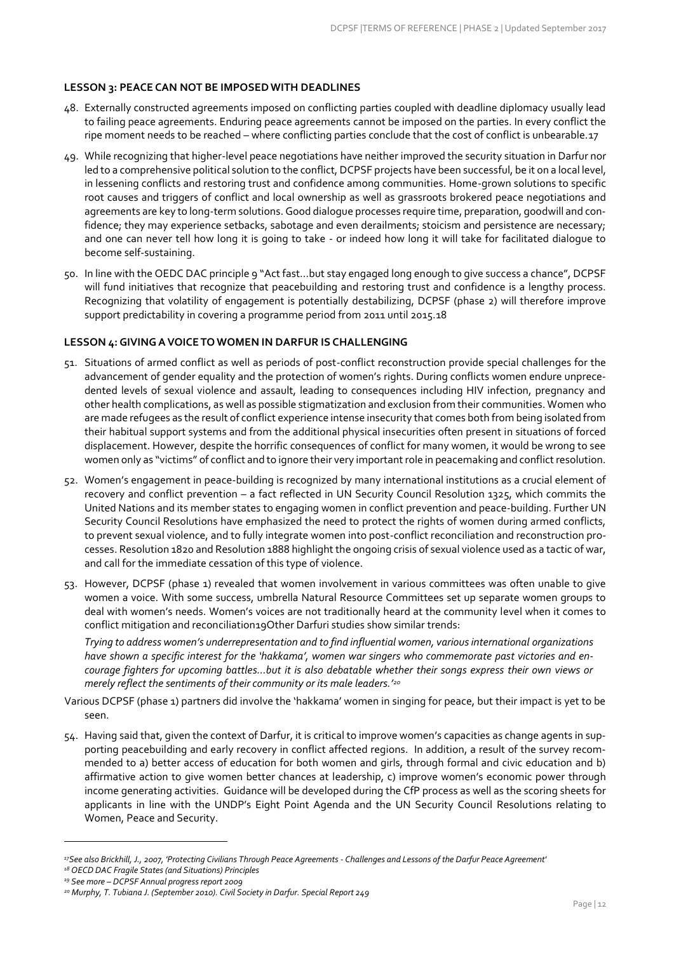#### **LESSON 3: PEACE CAN NOT BE IMPOSED WITH DEADLINES**

- 48. Externally constructed agreements imposed on conflicting parties coupled with deadline diplomacy usually lead to failing peace agreements. Enduring peace agreements cannot be imposed on the parties. In every conflict the ripe moment needs to be reached – where conflicting parties conclude that the cost of conflict is unbearable.17
- 49. While recognizing that higher-level peace negotiations have neither improved the security situation in Darfur nor led to a comprehensive political solution to the conflict, DCPSF projects have been successful, be it on a local level, in lessening conflicts and restoring trust and confidence among communities. Home-grown solutions to specific root causes and triggers of conflict and local ownership as well as grassroots brokered peace negotiations and agreements are key to long-term solutions. Good dialogue processes require time, preparation, goodwill and confidence; they may experience setbacks, sabotage and even derailments; stoicism and persistence are necessary; and one can never tell how long it is going to take - or indeed how long it will take for facilitated dialogue to become self-sustaining.
- 50. In line with the OEDC DAC principle 9 "Act fast…but stay engaged long enough to give success a chance", DCPSF will fund initiatives that recognize that peacebuilding and restoring trust and confidence is a lengthy process. Recognizing that volatility of engagement is potentially destabilizing, DCPSF (phase 2) will therefore improve support predictability in covering a programme period from 2011 until 2015.18

#### **LESSON 4: GIVING A VOICE TO WOMEN IN DARFUR IS CHALLENGING**

- 51. Situations of armed conflict as well as periods of post-conflict reconstruction provide special challenges for the advancement of gender equality and the protection of women's rights. During conflicts women endure unprecedented levels of sexual violence and assault, leading to consequences including HIV infection, pregnancy and other health complications, as well as possible stigmatization and exclusion from their communities. Women who are made refugees as the result of conflict experience intense insecurity that comes both from being isolated from their habitual support systems and from the additional physical insecurities often present in situations of forced displacement. However, despite the horrific consequences of conflict for many women, it would be wrong to see women only as "victims" of conflict and to ignore their very important role in peacemaking and conflict resolution.
- 52. Women's engagement in peace-building is recognized by many international institutions as a crucial element of recovery and conflict prevention – a fact reflected in UN Security Council Resolution 1325, which commits the United Nations and its member states to engaging women in conflict prevention and peace-building. Further UN Security Council Resolutions have emphasized the need to protect the rights of women during armed conflicts, to prevent sexual violence, and to fully integrate women into post-conflict reconciliation and reconstruction processes. Resolution 1820 and Resolution 1888 highlight the ongoing crisis of sexual violence used as a tactic of war, and call for the immediate cessation of this type of violence.
- 53. However, DCPSF (phase 1) revealed that women involvement in various committees was often unable to give women a voice. With some success, umbrella Natural Resource Committees set up separate women groups to deal with women's needs. Women's voices are not traditionally heard at the community level when it comes to conflict mitigation and reconciliation19Other Darfuri studies show similar trends:

*Trying to address women's underrepresentation and to find influential women, various international organizations have shown a specific interest for the 'hakkama', women war singers who commemorate past victories and encourage fighters for upcoming battles…but it is also debatable whether their songs express their own views or merely reflect the sentiments of their community or its male leaders.'<sup>20</sup>*

- Various DCPSF (phase 1) partners did involve the 'hakkama' women in singing for peace, but their impact is yet to be seen.
- 54. Having said that, given the context of Darfur, it is critical to improve women's capacities as change agents in supporting peacebuilding and early recovery in conflict affected regions. In addition, a result of the survey recommended to a) better access of education for both women and girls, through formal and civic education and b) affirmative action to give women better chances at leadership, c) improve women's economic power through income generating activities. Guidance will be developed during the CfP process as well as the scoring sheets for applicants in line with the UNDP's Eight Point Agenda and the UN Security Council Resolutions relating to Women, Peace and Security.

*<sup>17</sup>See also Brickhill, J., 2007, 'Protecting Civilians Through Peace Agreements - Challenges and Lessons of the Darfur Peace Agreement'*

*<sup>18</sup> OECD DAC Fragile States (and Situations) Principles*

*<sup>19</sup> See more – DCPSF Annual progress report 2009*

*<sup>20</sup> Murphy, T. Tubiana J. (September 2010). Civil Society in Darfur. Special Report 249*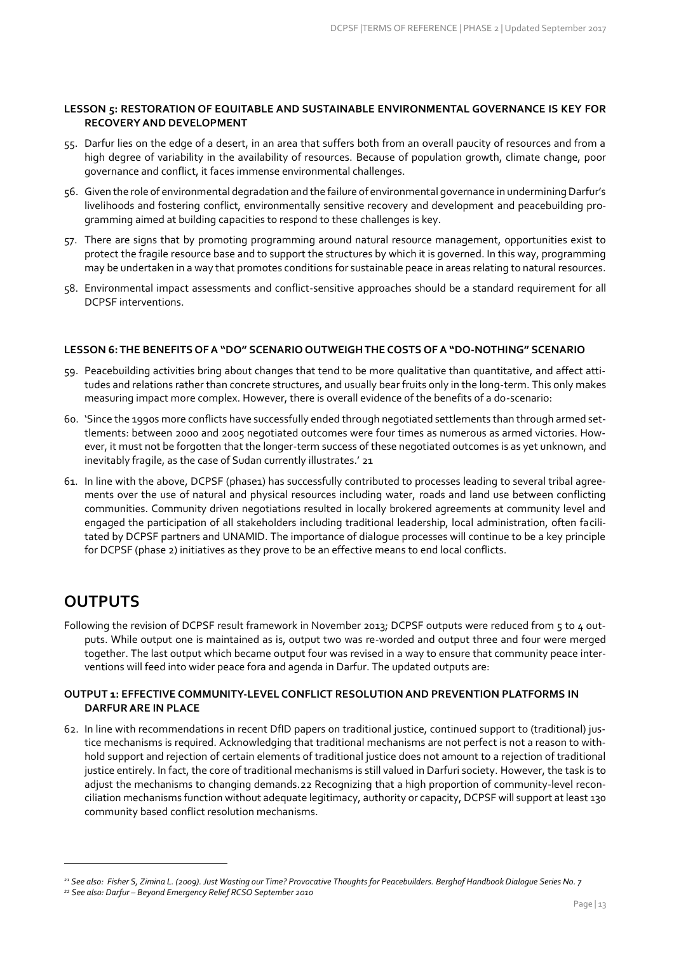#### **LESSON 5: RESTORATION OF EQUITABLE AND SUSTAINABLE ENVIRONMENTAL GOVERNANCE IS KEY FOR RECOVERY AND DEVELOPMENT**

- 55. Darfur lies on the edge of a desert, in an area that suffers both from an overall paucity of resources and from a high degree of variability in the availability of resources. Because of population growth, climate change, poor governance and conflict, it faces immense environmental challenges.
- 56. Given the role of environmental degradation and the failure of environmental governance in undermining Darfur's livelihoods and fostering conflict, environmentally sensitive recovery and development and peacebuilding programming aimed at building capacities to respond to these challenges is key.
- 57. There are signs that by promoting programming around natural resource management, opportunities exist to protect the fragile resource base and to support the structures by which it is governed. In this way, programming may be undertaken in a way that promotes conditions for sustainable peace in areas relating to natural resources.
- 58. Environmental impact assessments and conflict-sensitive approaches should be a standard requirement for all DCPSF interventions.

#### **LESSON 6: THE BENEFITS OF A "DO" SCENARIO OUTWEIGH THE COSTS OF A "DO-NOTHING" SCENARIO**

- 59. Peacebuilding activities bring about changes that tend to be more qualitative than quantitative, and affect attitudes and relations rather than concrete structures, and usually bear fruits only in the long-term. This only makes measuring impact more complex. However, there is overall evidence of the benefits of a do-scenario:
- 60. 'Since the 1990s more conflicts have successfully ended through negotiated settlements than through armed settlements: between 2000 and 2005 negotiated outcomes were four times as numerous as armed victories. However, it must not be forgotten that the longer-term success of these negotiated outcomes is as yet unknown, and inevitably fragile, as the case of Sudan currently illustrates.' 21
- 61. In line with the above, DCPSF (phase1) has successfully contributed to processes leading to several tribal agreements over the use of natural and physical resources including water, roads and land use between conflicting communities. Community driven negotiations resulted in locally brokered agreements at community level and engaged the participation of all stakeholders including traditional leadership, local administration, often facilitated by DCPSF partners and UNAMID. The importance of dialogue processes will continue to be a key principle for DCPSF (phase 2) initiatives as they prove to be an effective means to end local conflicts.

## <span id="page-12-0"></span>**OUTPUTS**

**-**

Following the revision of DCPSF result framework in November 2013; DCPSF outputs were reduced from 5 to 4 outputs. While output one is maintained as is, output two was re-worded and output three and four were merged together. The last output which became output four was revised in a way to ensure that community peace interventions will feed into wider peace fora and agenda in Darfur. The updated outputs are:

#### **OUTPUT 1: EFFECTIVE COMMUNITY-LEVEL CONFLICT RESOLUTION AND PREVENTION PLATFORMS IN DARFUR ARE IN PLACE**

62. In line with recommendations in recent DfID papers on traditional justice, continued support to (traditional) justice mechanisms is required. Acknowledging that traditional mechanisms are not perfect is not a reason to withhold support and rejection of certain elements of traditional justice does not amount to a rejection of traditional justice entirely. In fact, the core of traditional mechanisms is still valued in Darfuri society. However, the task is to adjust the mechanisms to changing demands.22 Recognizing that a high proportion of community-level reconciliation mechanisms function without adequate legitimacy, authority or capacity, DCPSF will support at least 130 community based conflict resolution mechanisms.

*<sup>21</sup> See also: Fisher S, Zimina L. (2009). Just Wasting our Time? Provocative Thoughts for Peacebuilders. Berghof Handbook Dialogue Series No. 7*

*<sup>22</sup> See also: Darfur – Beyond Emergency Relief RCSO September 2010*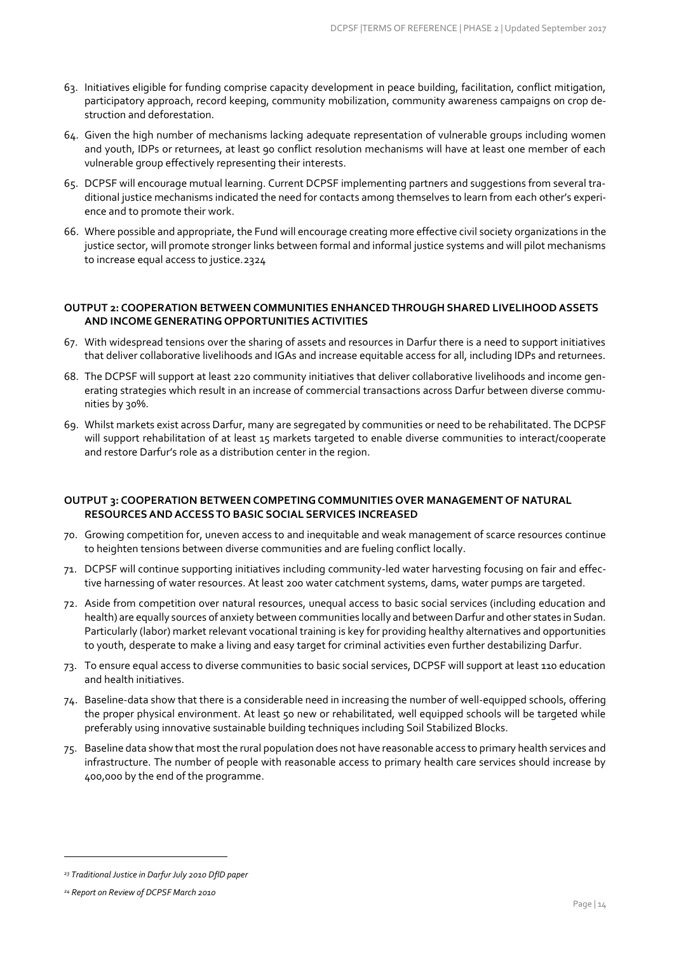- 63. Initiatives eligible for funding comprise capacity development in peace building, facilitation, conflict mitigation, participatory approach, record keeping, community mobilization, community awareness campaigns on crop destruction and deforestation.
- 64. Given the high number of mechanisms lacking adequate representation of vulnerable groups including women and youth, IDPs or returnees, at least 90 conflict resolution mechanisms will have at least one member of each vulnerable group effectively representing their interests.
- 65. DCPSF will encourage mutual learning. Current DCPSF implementing partners and suggestions from several traditional justice mechanisms indicated the need for contacts among themselves to learn from each other's experience and to promote their work.
- 66. Where possible and appropriate, the Fund will encourage creating more effective civil society organizations in the justice sector, will promote stronger links between formal and informal justice systems and will pilot mechanisms to increase equal access to justice.2324

#### **OUTPUT 2: COOPERATION BETWEEN COMMUNITIES ENHANCEDTHROUGH SHARED LIVELIHOOD ASSETS AND INCOME GENERATING OPPORTUNITIES ACTIVITIES**

- 67. With widespread tensions over the sharing of assets and resources in Darfur there is a need to support initiatives that deliver collaborative livelihoods and IGAs and increase equitable access for all, including IDPs and returnees.
- 68. The DCPSF will support at least 220 community initiatives that deliver collaborative livelihoods and income generating strategies which result in an increase of commercial transactions across Darfur between diverse communities by 30%.
- 69. Whilst markets exist across Darfur, many are segregated by communities or need to be rehabilitated. The DCPSF will support rehabilitation of at least 15 markets targeted to enable diverse communities to interact/cooperate and restore Darfur's role as a distribution center in the region.

#### **OUTPUT 3: COOPERATION BETWEEN COMPETING COMMUNITIES OVER MANAGEMENT OF NATURAL RESOURCES AND ACCESS TO BASIC SOCIAL SERVICES INCREASED**

- 70. Growing competition for, uneven access to and inequitable and weak management of scarce resources continue to heighten tensions between diverse communities and are fueling conflict locally.
- 71. DCPSF will continue supporting initiatives including community-led water harvesting focusing on fair and effective harnessing of water resources. At least 200 water catchment systems, dams, water pumps are targeted.
- 72. Aside from competition over natural resources, unequal access to basic social services (including education and health) are equally sources of anxiety between communities locally and between Darfur and other states in Sudan. Particularly (labor) market relevant vocational training is key for providing healthy alternatives and opportunities to youth, desperate to make a living and easy target for criminal activities even further destabilizing Darfur.
- 73. To ensure equal access to diverse communities to basic social services, DCPSF will support at least 110 education and health initiatives.
- 74. Baseline-data show that there is a considerable need in increasing the number of well-equipped schools, offering the proper physical environment. At least 50 new or rehabilitated, well equipped schools will be targeted while preferably using innovative sustainable building techniques including Soil Stabilized Blocks.
- 75. Baseline data show that most the rural population does not have reasonable access to primary health services and infrastructure. The number of people with reasonable access to primary health care services should increase by 400,000 by the end of the programme.

*<sup>23</sup> Traditional Justice in Darfur July 2010 DfID paper*

*<sup>24</sup> Report on Review of DCPSF March 2010*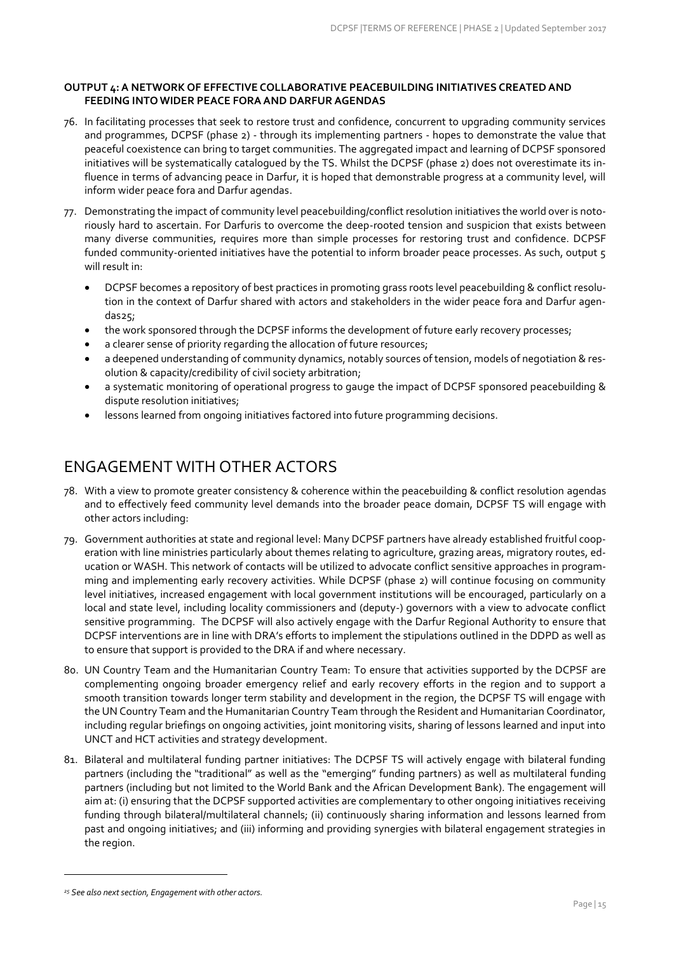#### **OUTPUT 4: A NETWORK OF EFFECTIVE COLLABORATIVE PEACEBUILDING INITIATIVES CREATEDAND FEEDING INTO WIDER PEACE FORA AND DARFUR AGENDAS**

- 76. In facilitating processes that seek to restore trust and confidence, concurrent to upgrading community services and programmes, DCPSF (phase 2) - through its implementing partners - hopes to demonstrate the value that peaceful coexistence can bring to target communities. The aggregated impact and learning of DCPSF sponsored initiatives will be systematically catalogued by the TS. Whilst the DCPSF (phase 2) does not overestimate its influence in terms of advancing peace in Darfur, it is hoped that demonstrable progress at a community level, will inform wider peace fora and Darfur agendas.
- 77. Demonstrating the impact of community level peacebuilding/conflict resolution initiatives the world over is notoriously hard to ascertain. For Darfuris to overcome the deep-rooted tension and suspicion that exists between many diverse communities, requires more than simple processes for restoring trust and confidence. DCPSF funded community-oriented initiatives have the potential to inform broader peace processes. As such, output 5 will result in:
	- DCPSF becomes a repository of best practices in promoting grass roots level peacebuilding & conflict resolution in the context of Darfur shared with actors and stakeholders in the wider peace fora and Darfur agendas25;
	- the work sponsored through the DCPSF informs the development of future early recovery processes;
	- a clearer sense of priority regarding the allocation of future resources;
	- a deepened understanding of community dynamics, notably sources of tension, models of negotiation & resolution & capacity/credibility of civil society arbitration;
	- a systematic monitoring of operational progress to gauge the impact of DCPSF sponsored peacebuilding & dispute resolution initiatives;
	- lessons learned from ongoing initiatives factored into future programming decisions.

# <span id="page-14-0"></span>ENGAGEMENT WITH OTHER ACTORS

- 78. With a view to promote greater consistency & coherence within the peacebuilding & conflict resolution agendas and to effectively feed community level demands into the broader peace domain, DCPSF TS will engage with other actors including:
- 79. Government authorities at state and regional level: Many DCPSF partners have already established fruitful cooperation with line ministries particularly about themes relating to agriculture, grazing areas, migratory routes, education or WASH. This network of contacts will be utilized to advocate conflict sensitive approaches in programming and implementing early recovery activities. While DCPSF (phase 2) will continue focusing on community level initiatives, increased engagement with local government institutions will be encouraged, particularly on a local and state level, including locality commissioners and (deputy-) governors with a view to advocate conflict sensitive programming. The DCPSF will also actively engage with the Darfur Regional Authority to ensure that DCPSF interventions are in line with DRA's efforts to implement the stipulations outlined in the DDPD as well as to ensure that support is provided to the DRA if and where necessary.
- 80. UN Country Team and the Humanitarian Country Team: To ensure that activities supported by the DCPSF are complementing ongoing broader emergency relief and early recovery efforts in the region and to support a smooth transition towards longer term stability and development in the region, the DCPSF TS will engage with the UN Country Team and the Humanitarian Country Team through the Resident and Humanitarian Coordinator, including regular briefings on ongoing activities, joint monitoring visits, sharing of lessons learned and input into UNCT and HCT activities and strategy development.
- 81. Bilateral and multilateral funding partner initiatives: The DCPSF TS will actively engage with bilateral funding partners (including the "traditional" as well as the "emerging" funding partners) as well as multilateral funding partners (including but not limited to the World Bank and the African Development Bank). The engagement will aim at: (i) ensuring that the DCPSF supported activities are complementary to other ongoing initiatives receiving funding through bilateral/multilateral channels; (ii) continuously sharing information and lessons learned from past and ongoing initiatives; and (iii) informing and providing synergies with bilateral engagement strategies in the region.

*<sup>25</sup> See also next section, Engagement with other actors.*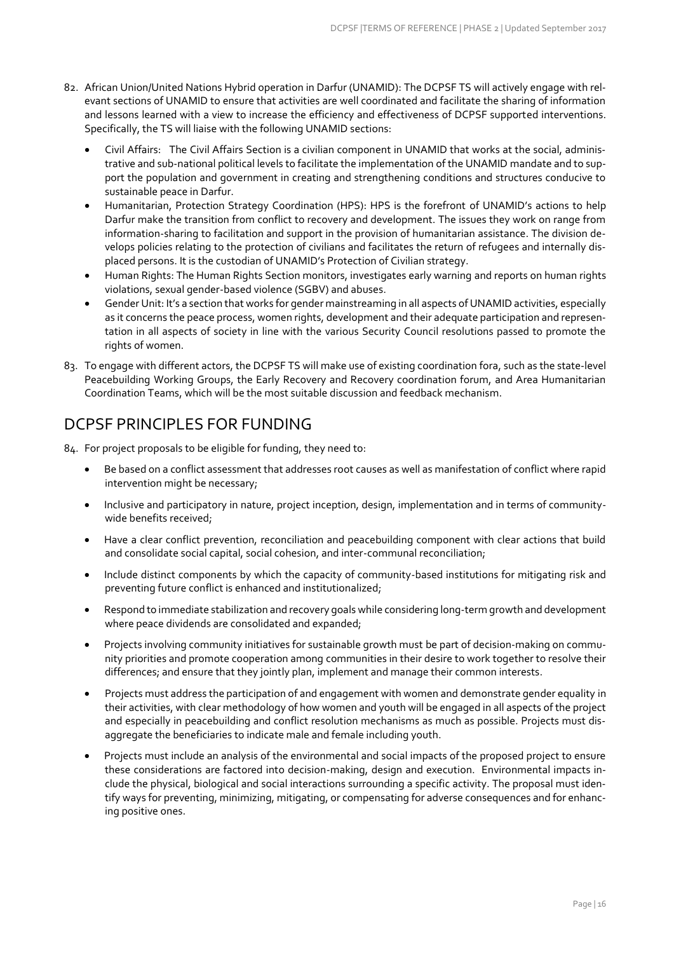- 82. African Union/United Nations Hybrid operation in Darfur (UNAMID): The DCPSF TS will actively engage with relevant sections of UNAMID to ensure that activities are well coordinated and facilitate the sharing of information and lessons learned with a view to increase the efficiency and effectiveness of DCPSF supported interventions. Specifically, the TS will liaise with the following UNAMID sections:
	- Civil Affairs: The Civil Affairs Section is a civilian component in UNAMID that works at the social, administrative and sub-national political levels to facilitate the implementation of the UNAMID mandate and to support the population and government in creating and strengthening conditions and structures conducive to sustainable peace in Darfur.
	- Humanitarian, Protection Strategy Coordination (HPS): HPS is the forefront of UNAMID's actions to help Darfur make the transition from conflict to recovery and development. The issues they work on range from information-sharing to facilitation and support in the provision of humanitarian assistance. The division develops policies relating to the protection of civilians and facilitates the return of refugees and internally displaced persons. It is the custodian of UNAMID's Protection of Civilian strategy.
	- Human Rights: The Human Rights Section monitors, investigates early warning and reports on human rights violations, sexual gender-based violence (SGBV) and abuses.
	- Gender Unit: It's a section that works for gender mainstreaming in all aspects of UNAMID activities, especially as it concerns the peace process, women rights, development and their adequate participation and representation in all aspects of society in line with the various Security Council resolutions passed to promote the rights of women.
- 83. To engage with different actors, the DCPSF TS will make use of existing coordination fora, such as the state-level Peacebuilding Working Groups, the Early Recovery and Recovery coordination forum, and Area Humanitarian Coordination Teams, which will be the most suitable discussion and feedback mechanism.

# <span id="page-15-0"></span>DCPSF PRINCIPLES FOR FUNDING

84. For project proposals to be eligible for funding, they need to:

- Be based on a conflict assessment that addresses root causes as well as manifestation of conflict where rapid intervention might be necessary;
- Inclusive and participatory in nature, project inception, design, implementation and in terms of communitywide benefits received;
- Have a clear conflict prevention, reconciliation and peacebuilding component with clear actions that build and consolidate social capital, social cohesion, and inter-communal reconciliation;
- Include distinct components by which the capacity of community-based institutions for mitigating risk and preventing future conflict is enhanced and institutionalized;
- Respond to immediate stabilization and recovery goals while considering long-term growth and development where peace dividends are consolidated and expanded;
- Projects involving community initiatives for sustainable growth must be part of decision-making on community priorities and promote cooperation among communities in their desire to work together to resolve their differences; and ensure that they jointly plan, implement and manage their common interests.
- Projects must address the participation of and engagement with women and demonstrate gender equality in their activities, with clear methodology of how women and youth will be engaged in all aspects of the project and especially in peacebuilding and conflict resolution mechanisms as much as possible. Projects must disaggregate the beneficiaries to indicate male and female including youth.
- Projects must include an analysis of the environmental and social impacts of the proposed project to ensure these considerations are factored into decision-making, design and execution. Environmental impacts include the physical, biological and social interactions surrounding a specific activity. The proposal must identify ways for preventing, minimizing, mitigating, or compensating for adverse consequences and for enhancing positive ones.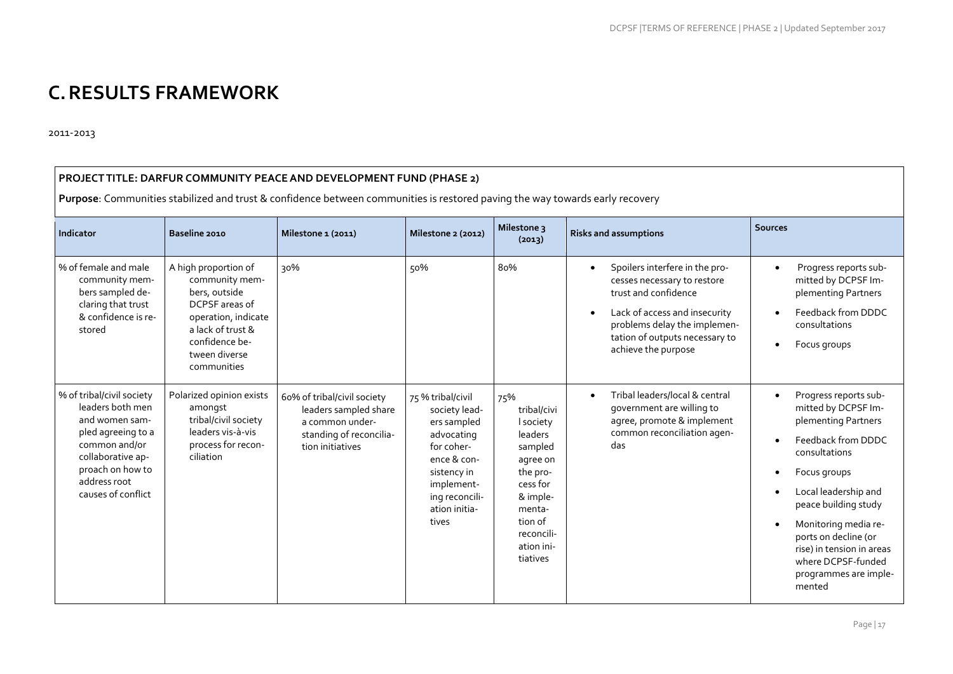# **C.RESULTS FRAMEWORK**

2011-2013

### **PROJECT TITLE: DARFUR COMMUNITY PEACE AND DEVELOPMENT FUND (PHASE 2)**

**Purpose**: Communities stabilized and trust & confidence between communities is restored paving the way towards early recovery

<span id="page-16-0"></span>

| Indicator                                                                                                                                                                             | Baseline 2010                                                                                                                                                           | Milestone 1 (2011)                                                                                                     | Milestone 2 (2012)                                                                                                                                                    | Milestone 3<br>(2013)                                                                                                                                              | <b>Risks and assumptions</b>                                                                                                                                                                                                              | <b>Sources</b>                                                                                                                                                                                                                                                                                                   |
|---------------------------------------------------------------------------------------------------------------------------------------------------------------------------------------|-------------------------------------------------------------------------------------------------------------------------------------------------------------------------|------------------------------------------------------------------------------------------------------------------------|-----------------------------------------------------------------------------------------------------------------------------------------------------------------------|--------------------------------------------------------------------------------------------------------------------------------------------------------------------|-------------------------------------------------------------------------------------------------------------------------------------------------------------------------------------------------------------------------------------------|------------------------------------------------------------------------------------------------------------------------------------------------------------------------------------------------------------------------------------------------------------------------------------------------------------------|
| % of female and male<br>community mem-<br>bers sampled de-<br>claring that trust<br>& confidence is re-<br>stored                                                                     | A high proportion of<br>community mem-<br>bers, outside<br>DCPSF areas of<br>operation, indicate<br>a lack of trust &<br>confidence be-<br>tween diverse<br>communities | २०%                                                                                                                    | 50%                                                                                                                                                                   | 80%                                                                                                                                                                | Spoilers interfere in the pro-<br>$\bullet$<br>cesses necessary to restore<br>trust and confidence<br>Lack of access and insecurity<br>$\bullet$<br>problems delay the implemen-<br>tation of outputs necessary to<br>achieve the purpose | Progress reports sub-<br>mitted by DCPSF Im-<br>plementing Partners<br>Feedback from DDDC<br>consultations<br>Focus groups                                                                                                                                                                                       |
| % of tribal/civil society<br>leaders both men<br>and women sam-<br>pled agreeing to a<br>common and/or<br>collaborative ap-<br>proach on how to<br>address root<br>causes of conflict | Polarized opinion exists<br>amongst<br>tribal/civil society<br>leaders vis-à-vis<br>process for recon-<br>ciliation                                                     | 60% of tribal/civil society<br>leaders sampled share<br>a common under-<br>standing of reconcilia-<br>tion initiatives | 75 % tribal/civil<br>society lead-<br>ers sampled<br>advocating<br>for coher-<br>ence & con-<br>sistency in<br>implement-<br>ing reconcili-<br>ation initia-<br>tives | 75%<br>tribal/civi<br>I society<br>leaders<br>sampled<br>agree on<br>the pro-<br>cess for<br>& imple-<br>menta-<br>tion of<br>reconcili-<br>ation ini-<br>tiatives | Tribal leaders/local & central<br>$\bullet$<br>government are willing to<br>agree, promote & implement<br>common reconciliation agen-<br>das                                                                                              | Progress reports sub-<br>mitted by DCPSF Im-<br>plementing Partners<br>Feedback from DDDC<br>consultations<br>Focus groups<br>Local leadership and<br>peace building study<br>Monitoring media re-<br>ports on decline (or<br>rise) in tension in areas<br>where DCPSF-funded<br>programmes are imple-<br>mented |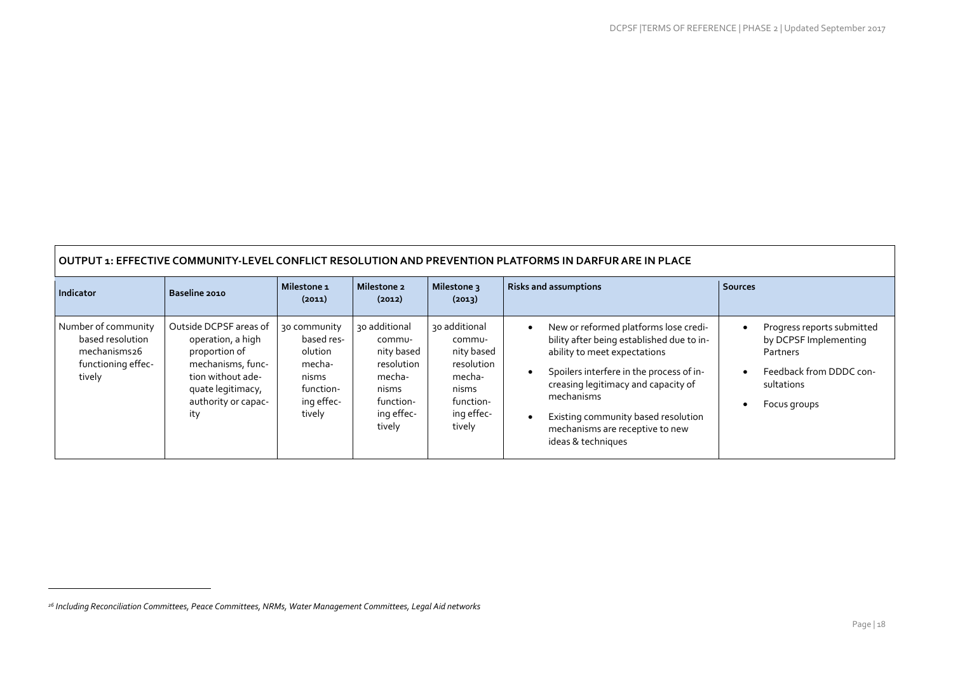| OUTPUT 1: EFFECTIVE COMMUNITY-LEVEL CONFLICT RESOLUTION AND PREVENTION PLATFORMS IN DARFUR ARE IN PLACE |                                                                                                                                                           |                                                                                               |                                                                                                             |                                                                                                             |                                                                                                                                                                                                                                                                                                                                               |                                                                                                                                            |  |  |  |
|---------------------------------------------------------------------------------------------------------|-----------------------------------------------------------------------------------------------------------------------------------------------------------|-----------------------------------------------------------------------------------------------|-------------------------------------------------------------------------------------------------------------|-------------------------------------------------------------------------------------------------------------|-----------------------------------------------------------------------------------------------------------------------------------------------------------------------------------------------------------------------------------------------------------------------------------------------------------------------------------------------|--------------------------------------------------------------------------------------------------------------------------------------------|--|--|--|
| <b>Indicator</b>                                                                                        | Baseline 2010                                                                                                                                             | Milestone 1<br>(2011)                                                                         | Milestone 2<br>(2012)                                                                                       | <b>Milestone 3</b><br>(2013)                                                                                | <b>Risks and assumptions</b>                                                                                                                                                                                                                                                                                                                  | <b>Sources</b>                                                                                                                             |  |  |  |
| Number of community<br>based resolution<br>mechanisms26<br>functioning effec-<br>tively                 | Outside DCPSF areas of<br>operation, a high<br>proportion of<br>mechanisms, func-<br>tion without ade-<br>quate legitimacy,<br>authority or capac-<br>ity | 30 community<br>based res-<br>olution<br>mecha-<br>nisms<br>function-<br>ing effec-<br>tively | २० additional<br>commu-<br>nity based<br>resolution<br>mecha-<br>nisms<br>function-<br>ing effec-<br>tively | २० additional<br>commu-<br>nity based<br>resolution<br>mecha-<br>nisms<br>function-<br>ing effec-<br>tively | New or reformed platforms lose credi-<br>bility after being established due to in-<br>ability to meet expectations<br>Spoilers interfere in the process of in-<br>$\bullet$<br>creasing legitimacy and capacity of<br>mechanisms<br>Existing community based resolution<br>$\bullet$<br>mechanisms are receptive to new<br>ideas & techniques | Progress reports submitted<br>by DCPSF Implementing<br>Partners<br>Feedback from DDDC con-<br>$\bullet$<br>sultations<br>Focus groups<br>٠ |  |  |  |

#### **OUTPUT 1: EFFECTIVE COMMUNITY-LEVEL CONFLICT RESOLUTION AND PREVENTION PLATFORMS IN DARFUR ARE IN PLACE**

 $\overline{a}$ 

*<sup>26</sup> Including Reconciliation Committees, Peace Committees, NRMs, Water Management Committees, Legal Aid networks*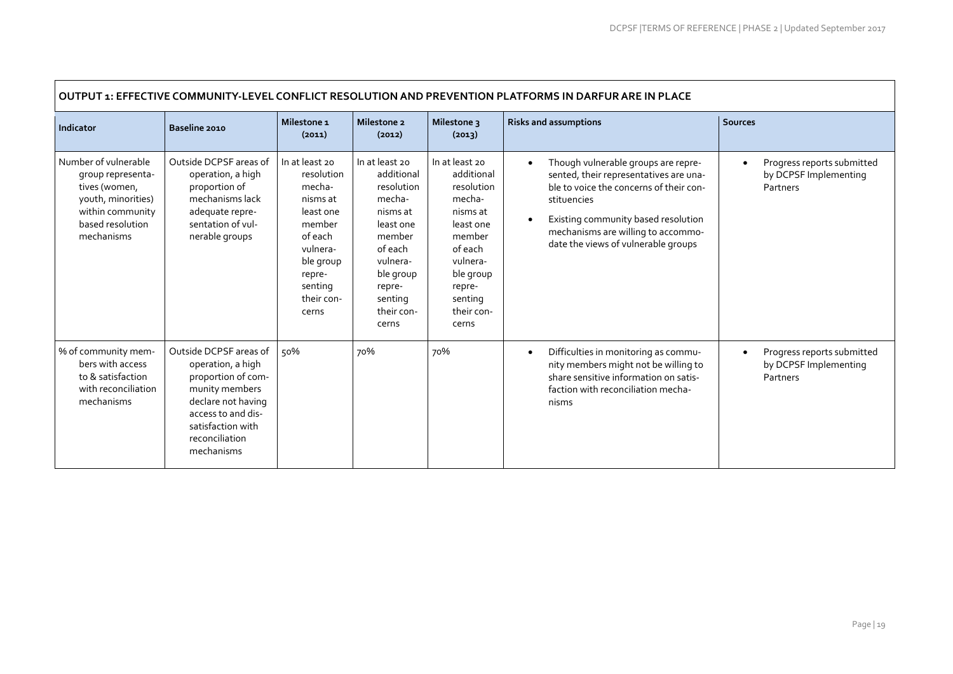| OUTPUT 1: EFFECTIVE COMMUNITY-LEVEL CONFLICT RESOLUTION AND PREVENTION PLATFORMS IN DARFUR ARE IN PLACE                                |                                                                                                                                                                                      |                                                                                                                                                           |                                                                                                                                                                         |                                                                                                                                                                         |                                                                                                                                                                                                                                                                          |                                                                              |  |  |
|----------------------------------------------------------------------------------------------------------------------------------------|--------------------------------------------------------------------------------------------------------------------------------------------------------------------------------------|-----------------------------------------------------------------------------------------------------------------------------------------------------------|-------------------------------------------------------------------------------------------------------------------------------------------------------------------------|-------------------------------------------------------------------------------------------------------------------------------------------------------------------------|--------------------------------------------------------------------------------------------------------------------------------------------------------------------------------------------------------------------------------------------------------------------------|------------------------------------------------------------------------------|--|--|
| Indicator                                                                                                                              | Baseline 2010                                                                                                                                                                        | Milestone <sub>1</sub><br>(2011)                                                                                                                          | Milestone 2<br>(2012)                                                                                                                                                   | Milestone 3<br>(2013)                                                                                                                                                   | <b>Risks and assumptions</b>                                                                                                                                                                                                                                             | <b>Sources</b>                                                               |  |  |
| Number of vulnerable<br>qroup representa-<br>tives (women,<br>youth, minorities)<br>within community<br>based resolution<br>mechanisms | Outside DCPSF areas of<br>operation, a high<br>proportion of<br>mechanisms lack<br>adequate repre-<br>sentation of vul-<br>nerable groups                                            | In at least 20<br>resolution<br>mecha-<br>nisms at<br>least one<br>member<br>of each<br>vulnera-<br>ble group<br>repre-<br>senting<br>their con-<br>cerns | In at least 20<br>additional<br>resolution<br>mecha-<br>nisms at<br>least one<br>member<br>of each<br>vulnera-<br>ble group<br>repre-<br>senting<br>their con-<br>cerns | In at least 20<br>additional<br>resolution<br>mecha-<br>nisms at<br>least one<br>member<br>of each<br>vulnera-<br>ble group<br>repre-<br>senting<br>their con-<br>cerns | Though vulnerable groups are repre-<br>sented, their representatives are una-<br>ble to voice the concerns of their con-<br>stituencies<br>Existing community based resolution<br>$\bullet$<br>mechanisms are willing to accommo-<br>date the views of vulnerable groups | Progress reports submitted<br>$\bullet$<br>by DCPSF Implementing<br>Partners |  |  |
| % of community mem-<br>bers with access<br>to & satisfaction<br>with reconciliation<br>mechanisms                                      | Outside DCPSF areas of<br>operation, a high<br>proportion of com-<br>munity members<br>declare not having<br>access to and dis-<br>satisfaction with<br>reconciliation<br>mechanisms | 50%                                                                                                                                                       | 70%                                                                                                                                                                     | 70%                                                                                                                                                                     | Difficulties in monitoring as commu-<br>$\bullet$<br>nity members might not be willing to<br>share sensitive information on satis-<br>faction with reconciliation mecha-<br>nisms                                                                                        | Progress reports submitted<br>$\bullet$<br>by DCPSF Implementing<br>Partners |  |  |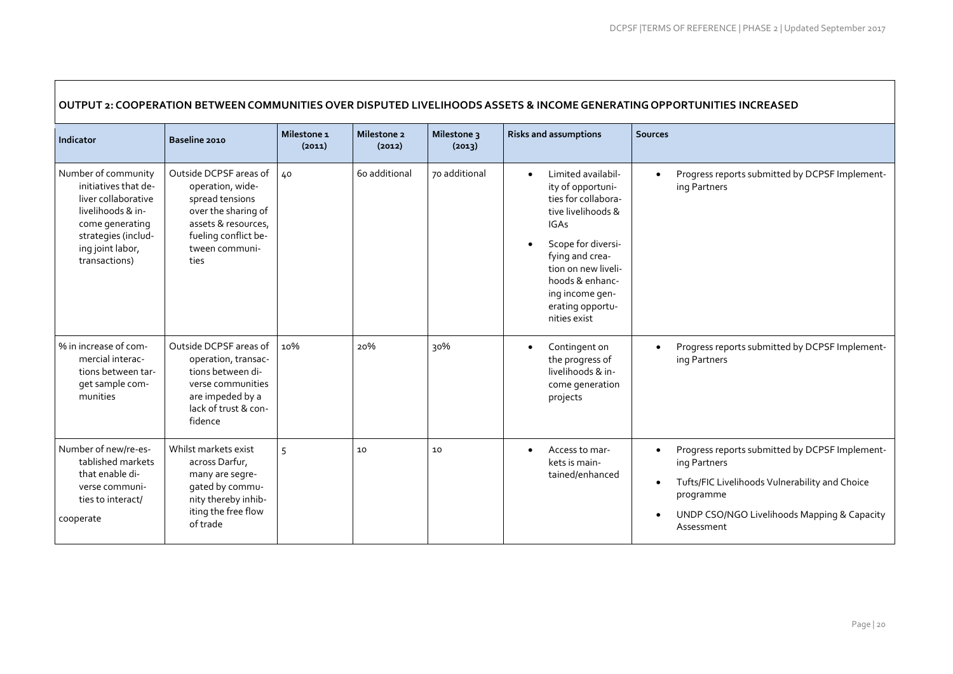| UUTPUT 2: COOPERATION BETWEEN COMMONITIES OVER DISPUTED LIVELIHOODS ASSETS & INCOME GENERATING OPPORTUNITIES INCREASED                                                 |                                                                                                                                                               |                                  |                       |                       |                                                                                                                                                                                                                                                                         |                                                                                                                                                                                                         |  |  |  |
|------------------------------------------------------------------------------------------------------------------------------------------------------------------------|---------------------------------------------------------------------------------------------------------------------------------------------------------------|----------------------------------|-----------------------|-----------------------|-------------------------------------------------------------------------------------------------------------------------------------------------------------------------------------------------------------------------------------------------------------------------|---------------------------------------------------------------------------------------------------------------------------------------------------------------------------------------------------------|--|--|--|
| Indicator                                                                                                                                                              | Baseline 2010                                                                                                                                                 | Milestone <sub>1</sub><br>(2011) | Milestone 2<br>(2012) | Milestone 3<br>(2013) | <b>Risks and assumptions</b>                                                                                                                                                                                                                                            | Sources                                                                                                                                                                                                 |  |  |  |
| Number of community<br>initiatives that de-<br>liver collaborative<br>livelihoods & in-<br>come generating<br>strategies (includ-<br>ing joint labor,<br>transactions) | Outside DCPSF areas of<br>operation, wide-<br>spread tensions<br>over the sharing of<br>assets & resources,<br>fueling conflict be-<br>tween communi-<br>ties | 40                               | 60 additional         | 70 additional         | Limited availabil-<br>$\bullet$<br>ity of opportuni-<br>ties for collabora-<br>tive livelihoods &<br><b>IGAs</b><br>Scope for diversi-<br>$\bullet$<br>fying and crea-<br>tion on new liveli-<br>hoods & enhanc-<br>ing income gen-<br>erating opportu-<br>nities exist | Progress reports submitted by DCPSF Implement-<br>ing Partners                                                                                                                                          |  |  |  |
| % in increase of com-<br>mercial interac-<br>tions between tar-<br>get sample com-<br>munities                                                                         | Outside DCPSF areas of<br>operation, transac-<br>tions between di-<br>verse communities<br>are impeded by a<br>lack of trust & con-<br>fidence                | 10%                              | 20%                   | 30%                   | Contingent on<br>$\bullet$<br>the progress of<br>livelihoods & in-<br>come generation<br>projects                                                                                                                                                                       | Progress reports submitted by DCPSF Implement-<br>ing Partners                                                                                                                                          |  |  |  |
| Number of new/re-es-<br>tablished markets<br>that enable di-<br>verse communi-<br>ties to interact/<br>cooperate                                                       | Whilst markets exist<br>across Darfur,<br>many are segre-<br>gated by commu-<br>nity thereby inhib-<br>iting the free flow<br>of trade                        | 5                                | 10                    | 10                    | Access to mar-<br>$\bullet$<br>kets is main-<br>tained/enhanced                                                                                                                                                                                                         | Progress reports submitted by DCPSF Implement-<br>ing Partners<br>Tufts/FIC Livelihoods Vulnerability and Choice<br>$\bullet$<br>programme<br>UNDP CSO/NGO Livelihoods Mapping & Capacity<br>Assessment |  |  |  |

#### **OUTPUT 2: COOPERATION BETWEEN COMMUNITIES OVER DISPUTED LIVELIHOODS ASSETS & INCOME GENERATING OPPORTUNITIES INCREASED**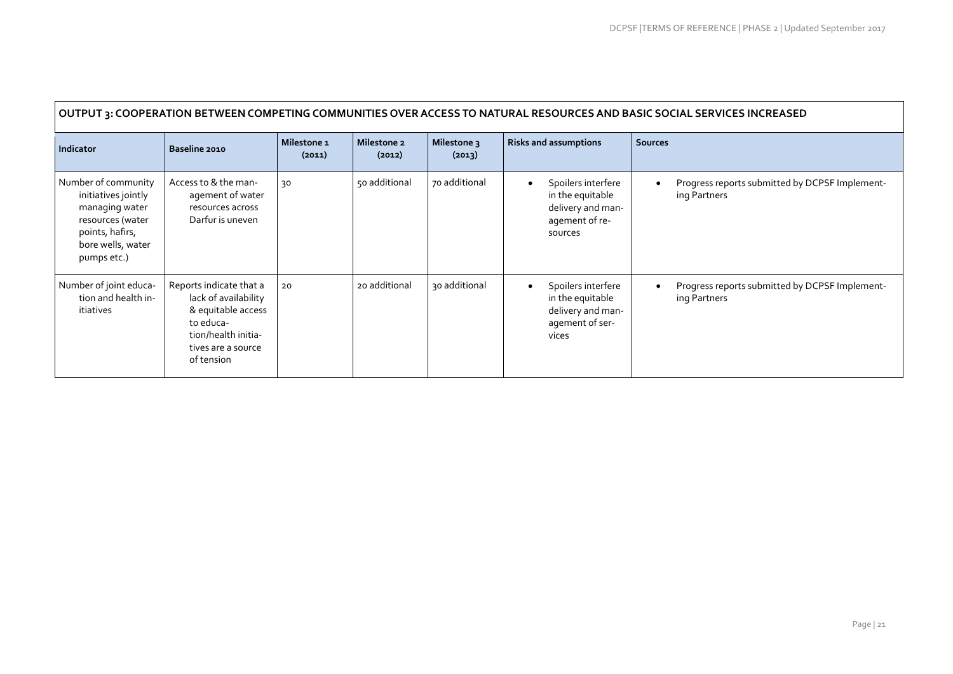| OUTPUT 3: COOPERATION BETWEEN COMPETING COMMUNITIES OVER ACCESS TO NATURAL RESOURCES AND BASIC SOCIAL SERVICES INCREASED                |                                                                                                                                               |                       |                       |                              |                                                                                          |                                                                |  |  |  |
|-----------------------------------------------------------------------------------------------------------------------------------------|-----------------------------------------------------------------------------------------------------------------------------------------------|-----------------------|-----------------------|------------------------------|------------------------------------------------------------------------------------------|----------------------------------------------------------------|--|--|--|
| Indicator                                                                                                                               | Baseline 2010                                                                                                                                 | Milestone 1<br>(2011) | Milestone 2<br>(2012) | <b>Milestone 3</b><br>(2013) | <b>Risks and assumptions</b>                                                             | <b>Sources</b>                                                 |  |  |  |
| Number of community<br>initiatives jointly<br>managing water<br>resources (water<br>points, hafirs,<br>bore wells, water<br>pumps etc.) | Access to & the man-<br>agement of water<br>resources across<br>Darfur is uneven                                                              | 30                    | 50 additional         | 70 additional                | Spoilers interfere<br>in the equitable<br>delivery and man-<br>agement of re-<br>sources | Progress reports submitted by DCPSF Implement-<br>ing Partners |  |  |  |
| Number of joint educa-<br>tion and health in-<br>itiatives                                                                              | Reports indicate that a<br>lack of availability<br>& equitable access<br>to educa-<br>tion/health initia-<br>tives are a source<br>of tension | 20                    | 20 additional         | 30 additional                | Spoilers interfere<br>in the equitable<br>delivery and man-<br>agement of ser-<br>vices  | Progress reports submitted by DCPSF Implement-<br>ing Partners |  |  |  |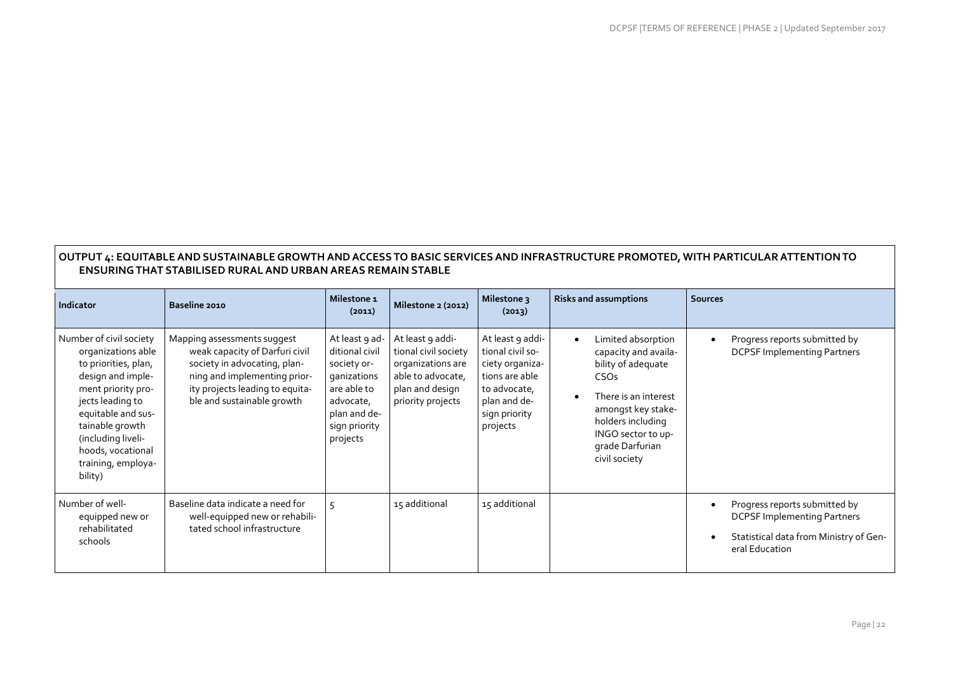#### **OUTPUT 4: EQUITABLE AND SUSTAINABLE GROWTH AND ACCESS TO BASIC SERVICES AND INFRASTRUCTURE PROMOTED, WITH PARTICULAR ATTENTION TO ENSURING THAT STABILISED RURAL AND URBAN AREAS REMAIN STABLE**

| <b>Indicator</b>                                                                                                                                                                                                                                          | Baseline 2010                                                                                                                                                                                  | Milestone 1<br>(2011)                                                                                                                   | Milestone 2 (2012)                                                                                                         | Milestone 3<br>(2013)                                                                                                                  | <b>Risks and assumptions</b>                                                                                                                                                                                                         | <b>Sources</b>                                                                                                                               |
|-----------------------------------------------------------------------------------------------------------------------------------------------------------------------------------------------------------------------------------------------------------|------------------------------------------------------------------------------------------------------------------------------------------------------------------------------------------------|-----------------------------------------------------------------------------------------------------------------------------------------|----------------------------------------------------------------------------------------------------------------------------|----------------------------------------------------------------------------------------------------------------------------------------|--------------------------------------------------------------------------------------------------------------------------------------------------------------------------------------------------------------------------------------|----------------------------------------------------------------------------------------------------------------------------------------------|
| Number of civil society<br>organizations able<br>to priorities, plan,<br>design and imple-<br>ment priority pro-<br>jects leading to<br>equitable and sus-<br>tainable growth<br>(including liveli-<br>hoods, vocational<br>training, employa-<br>bility) | Mapping assessments suggest<br>weak capacity of Darfuri civil<br>society in advocating, plan-<br>ning and implementing prior-<br>ity projects leading to equita-<br>ble and sustainable growth | At least 9 ad-<br>ditional civil<br>society or-<br>ganizations<br>are able to<br>advocate,<br>plan and de-<br>sign priority<br>projects | At least 9 addi-<br>tional civil society<br>organizations are<br>able to advocate,<br>plan and design<br>priority projects | At least 9 addi-<br>tional civil so-<br>ciety organiza-<br>tions are able<br>to advocate,<br>plan and de-<br>sign priority<br>projects | Limited absorption<br>$\bullet$<br>capacity and availa-<br>bility of adequate<br><b>CSO<sub>s</sub></b><br>There is an interest<br>amongst key stake-<br>holders including<br>INGO sector to up-<br>grade Darfurian<br>civil society | Progress reports submitted by<br><b>DCPSF Implementing Partners</b>                                                                          |
| Number of well-<br>equipped new or<br>rehabilitated<br>schools                                                                                                                                                                                            | Baseline data indicate a need for<br>well-equipped new or rehabili-<br>tated school infrastructure                                                                                             |                                                                                                                                         | 15 additional                                                                                                              | 15 additional                                                                                                                          |                                                                                                                                                                                                                                      | Progress reports submitted by<br>$\bullet$<br><b>DCPSF Implementing Partners</b><br>Statistical data from Ministry of Gen-<br>eral Education |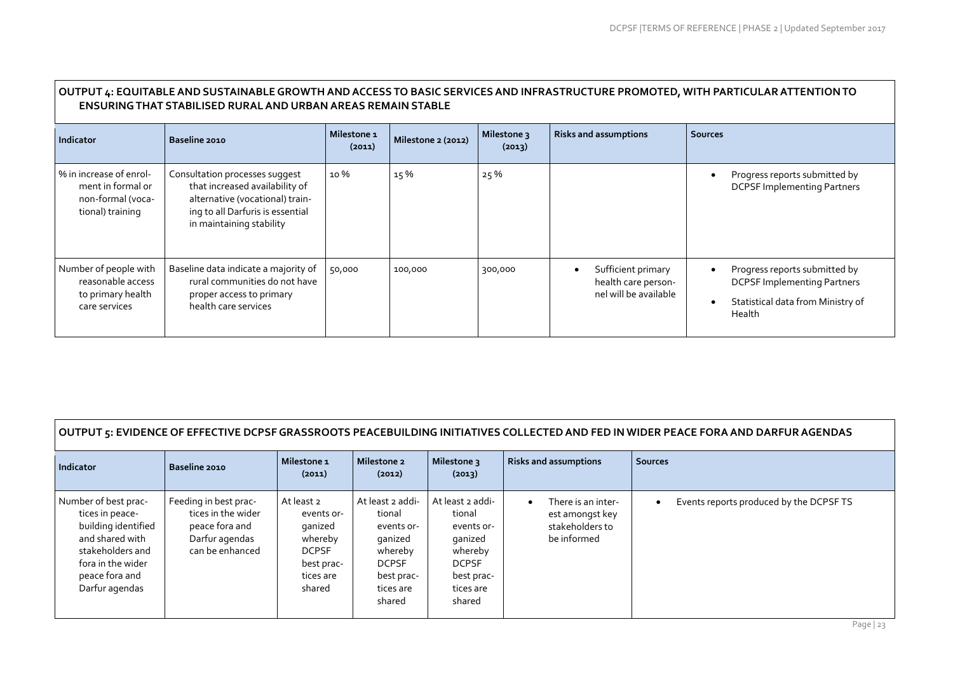| <b>ENSURING THAT STABILISED RURAL AND URBAN AREAS REMAIN STABLE</b>                   |                                                                                                                                                                     |                       |                    |                       |                                                                    |                                                                                                                                              |  |  |  |
|---------------------------------------------------------------------------------------|---------------------------------------------------------------------------------------------------------------------------------------------------------------------|-----------------------|--------------------|-----------------------|--------------------------------------------------------------------|----------------------------------------------------------------------------------------------------------------------------------------------|--|--|--|
| <b>Indicator</b>                                                                      | Baseline 2010                                                                                                                                                       | Milestone 1<br>(2011) | Milestone 2 (2012) | Milestone 3<br>(2013) | <b>Risks and assumptions</b>                                       | <b>Sources</b>                                                                                                                               |  |  |  |
| % in increase of enrol-<br>ment in formal or<br>non-formal (voca-<br>tional) training | Consultation processes suggest<br>that increased availability of<br>alternative (vocational) train-<br>ing to all Darfuris is essential<br>in maintaining stability | 10 %                  | 15 %               | 25%                   |                                                                    | Progress reports submitted by<br>$\bullet$<br><b>DCPSF Implementing Partners</b>                                                             |  |  |  |
| Number of people with<br>reasonable access<br>to primary health<br>care services      | Baseline data indicate a majority of<br>rural communities do not have<br>proper access to primary<br>health care services                                           | 50,000                | 100,000            | 300,000               | Sufficient primary<br>health care person-<br>nel will be available | Progress reports submitted by<br>$\bullet$<br><b>DCPSF Implementing Partners</b><br>Statistical data from Ministry of<br>$\bullet$<br>Health |  |  |  |

# **OUTPUT 4: EQUITABLE AND SUSTAINABLE GROWTH AND ACCESS TO BASIC SERVICES AND INFRASTRUCTURE PROMOTED, WITH PARTICULAR ATTENTION TO**

| OUTPUT 5: EVIDENCE OF EFFECTIVE DCPSF GRASSROOTS PEACEBUILDING INITIATIVES COLLECTED AND FED IN WIDER PEACE FORA AND DARFUR AGENDAS                            |                                                                                                    |                                                                                                     |                                                                                                                     |                                                                                                                     |                                                                         |                                         |  |  |  |
|----------------------------------------------------------------------------------------------------------------------------------------------------------------|----------------------------------------------------------------------------------------------------|-----------------------------------------------------------------------------------------------------|---------------------------------------------------------------------------------------------------------------------|---------------------------------------------------------------------------------------------------------------------|-------------------------------------------------------------------------|-----------------------------------------|--|--|--|
| Indicator                                                                                                                                                      | Baseline 2010                                                                                      | Milestone <sub>1</sub><br>(2011)                                                                    | Milestone 2<br>(2012)                                                                                               | <b>Milestone 3</b><br>(2013)                                                                                        | <b>Risks and assumptions</b>                                            | <b>Sources</b>                          |  |  |  |
| Number of best prac-<br>tices in peace-<br>building identified<br>and shared with<br>stakeholders and<br>fora in the wider<br>peace fora and<br>Darfur agendas | Feeding in best prac-<br>tices in the wider<br>peace fora and<br>Darfur agendas<br>can be enhanced | At least 2<br>events or-<br>ganized<br>whereby<br><b>DCPSF</b><br>best prac-<br>tices are<br>shared | At least 2 addi-<br>tional<br>events or-<br>ganized<br>whereby<br><b>DCPSF</b><br>best prac-<br>tices are<br>shared | At least 2 addi-<br>tional<br>events or-<br>ganized<br>whereby<br><b>DCPSF</b><br>best prac-<br>tices are<br>shared | There is an inter-<br>est amongst key<br>stakeholders to<br>be informed | Events reports produced by the DCPSF TS |  |  |  |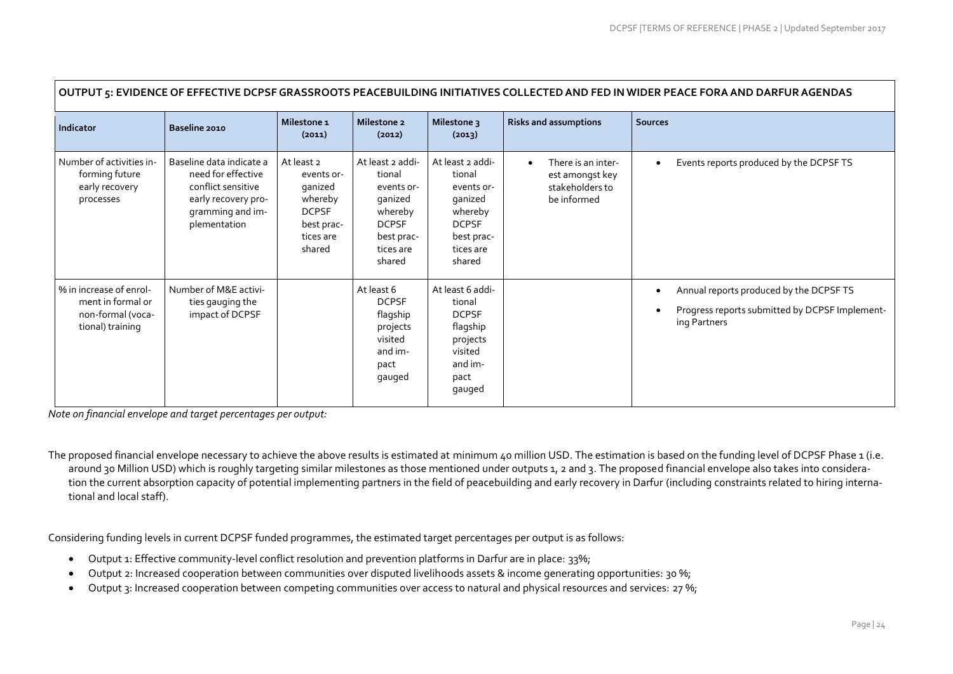|                                                                                       | OUTPUT 5: EVIDENCE OF EFFECTIVE DCPSF GRASSROOTS PEACEBUILDING INITIATIVES COLLECTED AND FED IN WIDER PEACE FORA AND DARFUR AGENDAS |                                                                                                     |                                                                                                                     |                                                                                                                     |                                                                                      |                                                                                                           |  |  |  |  |
|---------------------------------------------------------------------------------------|-------------------------------------------------------------------------------------------------------------------------------------|-----------------------------------------------------------------------------------------------------|---------------------------------------------------------------------------------------------------------------------|---------------------------------------------------------------------------------------------------------------------|--------------------------------------------------------------------------------------|-----------------------------------------------------------------------------------------------------------|--|--|--|--|
| Indicator                                                                             | Baseline 2010                                                                                                                       | Milestone 1<br>(2011)                                                                               | Milestone 2<br>(2012)                                                                                               | Milestone 3<br>(2013)                                                                                               | <b>Risks and assumptions</b>                                                         | <b>Sources</b>                                                                                            |  |  |  |  |
| Number of activities in-<br>forming future<br>early recovery<br>processes             | Baseline data indicate a<br>need for effective<br>conflict sensitive<br>early recovery pro-<br>gramming and im-<br>plementation     | At least 2<br>events or-<br>ganized<br>whereby<br><b>DCPSF</b><br>best prac-<br>tices are<br>shared | At least 2 addi-<br>tional<br>events or-<br>ganized<br>whereby<br><b>DCPSF</b><br>best prac-<br>tices are<br>shared | At least 2 addi-<br>tional<br>events or-<br>ganized<br>whereby<br><b>DCPSF</b><br>best prac-<br>tices are<br>shared | There is an inter-<br>$\bullet$<br>est amongst key<br>stakeholders to<br>be informed | Events reports produced by the DCPSF TS                                                                   |  |  |  |  |
| % in increase of enrol-<br>ment in formal or<br>non-formal (voca-<br>tional) training | Number of M&E activi-<br>ties gauging the<br>impact of DCPSF                                                                        |                                                                                                     | At least 6<br><b>DCPSF</b><br>flagship<br>projects<br>visited<br>and im-<br>pact<br>gauged                          | At least 6 addi-<br>tional<br><b>DCPSF</b><br>flagship<br>projects<br>visited<br>and im-<br>pact<br>gauged          |                                                                                      | Annual reports produced by the DCPSF TS<br>Progress reports submitted by DCPSF Implement-<br>ing Partners |  |  |  |  |

*Note on financial envelope and target percentages per output:*

The proposed financial envelope necessary to achieve the above results is estimated at minimum 40 million USD. The estimation is based on the funding level of DCPSF Phase 1 (i.e. around 30 Million USD) which is roughly targeting similar milestones as those mentioned under outputs 1, 2 and 3. The proposed financial envelope also takes into consideration the current absorption capacity of potential implementing partners in the field of peacebuilding and early recovery in Darfur (including constraints related to hiring international and local staff).

Considering funding levels in current DCPSF funded programmes, the estimated target percentages per output is as follows:

- Output 1: Effective community-level conflict resolution and prevention platforms in Darfur are in place: 33%;
- Output 2: Increased cooperation between communities over disputed livelihoods assets & income generating opportunities: 30 %;
- Output 3: Increased cooperation between competing communities over access to natural and physical resources and services: 27 %;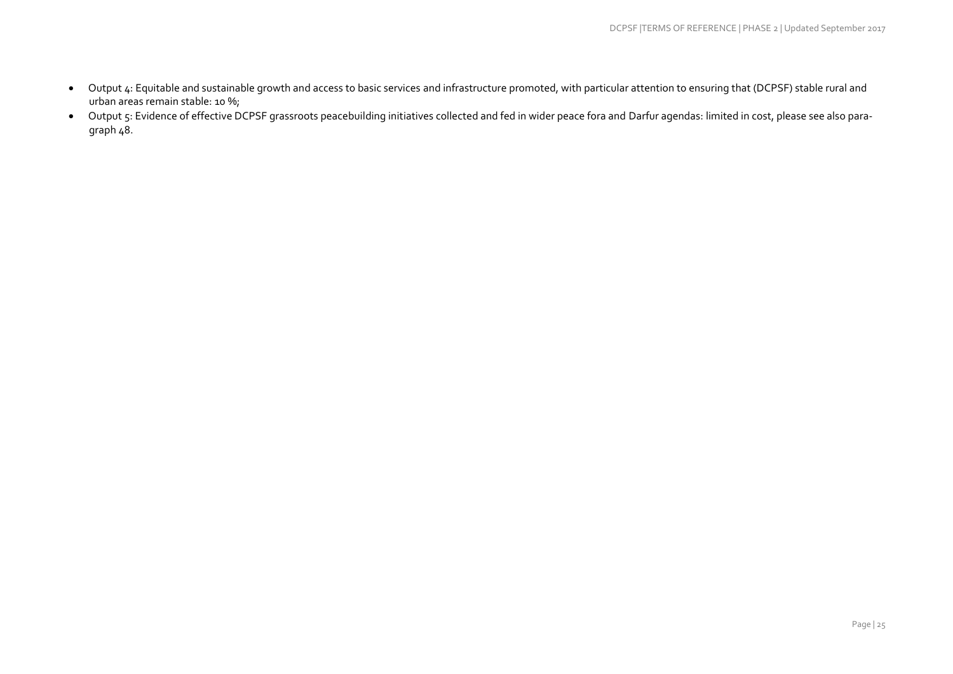- Output 4: Equitable and sustainable growth and access to basic services and infrastructure promoted, with particular attention to ensuring that (DCPSF) stable rural and urban areas remain stable: 10 %;
- Output 5: Evidence of effective DCPSF grassroots peacebuilding initiatives collected and fed in wider peace fora and Darfur agendas: limited in cost, please see also paragraph 48.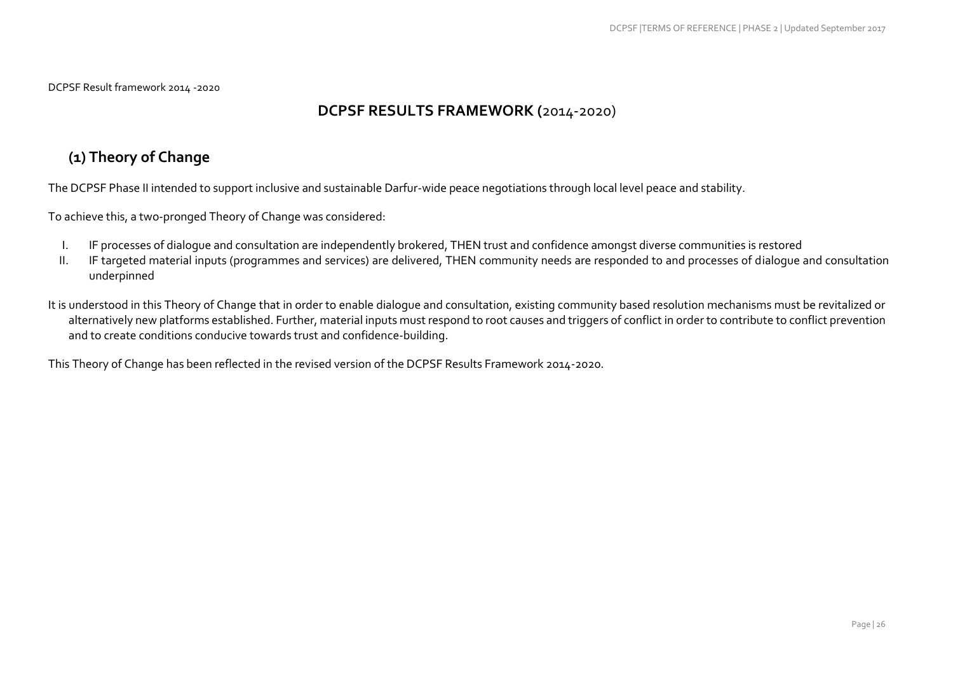DCPSF Result framework 2014 -2020

### **DCPSF RESULTS FRAMEWORK (**2014-2020)

## **(1) Theory of Change**

The DCPSF Phase II intended to support inclusive and sustainable Darfur-wide peace negotiations through local level peace and stability.

To achieve this, a two-pronged Theory of Change was considered:

- I. IF processes of dialogue and consultation are independently brokered, THEN trust and confidence amongst diverse communities is restored
- II. IF targeted material inputs (programmes and services) are delivered, THEN community needs are responded to and processes of dialogue and consultation underpinned
- It is understood in this Theory of Change that in order to enable dialogue and consultation, existing community based resolution mechanisms must be revitalized or alternatively new platforms established. Further, material inputs must respond to root causes and triggers of conflict in order to contribute to conflict prevention and to create conditions conducive towards trust and confidence-building.

This Theory of Change has been reflected in the revised version of the DCPSF Results Framework 2014-2020.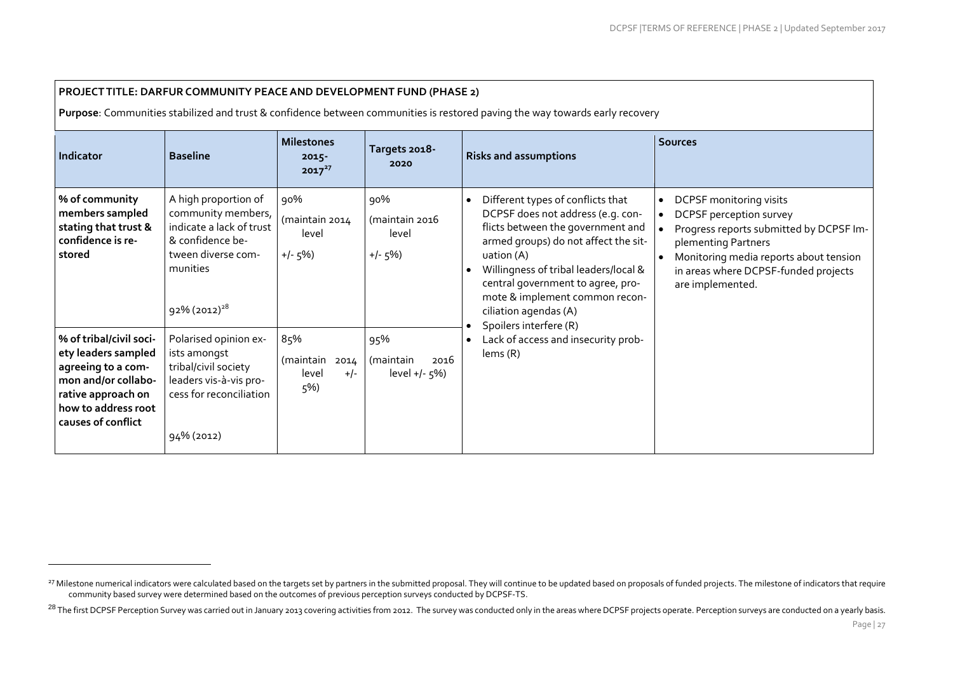| PROJECT TITLE: DARFUR COMMUNITY PEACE AND DEVELOPMENT FUND (PHASE 2)<br>Purpose: Communities stabilized and trust & confidence between communities is restored paving the way towards early recovery |                                                                                                                                                          |                                                   |                                              |                                                                                                                                                                                                                                                                                                                                      |                                                                                                                                                                                                                                         |  |  |  |  |  |
|------------------------------------------------------------------------------------------------------------------------------------------------------------------------------------------------------|----------------------------------------------------------------------------------------------------------------------------------------------------------|---------------------------------------------------|----------------------------------------------|--------------------------------------------------------------------------------------------------------------------------------------------------------------------------------------------------------------------------------------------------------------------------------------------------------------------------------------|-----------------------------------------------------------------------------------------------------------------------------------------------------------------------------------------------------------------------------------------|--|--|--|--|--|
| <b>Indicator</b>                                                                                                                                                                                     | <b>Baseline</b>                                                                                                                                          | <b>Milestones</b><br>$2015 -$<br>$2017^{27}$      | Targets 2018-<br>2020                        | <b>Risks and assumptions</b>                                                                                                                                                                                                                                                                                                         | <b>Sources</b>                                                                                                                                                                                                                          |  |  |  |  |  |
| % of community<br>members sampled<br>stating that trust &<br>confidence is re-<br>stored                                                                                                             | A high proportion of<br>community members,<br>indicate a lack of trust<br>& confidence be-<br>tween diverse com-<br>munities<br>92% (2012) <sup>28</sup> | 90%<br>(maintain 2014<br>level<br>$+/- 5\%$       | 90%<br>(maintain 2016<br>level<br>$+/- 5\%$  | Different types of conflicts that<br>DCPSF does not address (e.g. con-<br>flicts between the government and<br>armed groups) do not affect the sit-<br>uation (A)<br>Willingness of tribal leaders/local &<br>central government to agree, pro-<br>mote & implement common recon-<br>ciliation agendas (A)<br>Spoilers interfere (R) | DCPSF monitoring visits<br>$\bullet$<br>DCPSF perception survey<br>Progress reports submitted by DCPSF Im-<br>plementing Partners<br>Monitoring media reports about tension<br>in areas where DCPSF-funded projects<br>are implemented. |  |  |  |  |  |
| % of tribal/civil soci-<br>ety leaders sampled<br>agreeing to a com-<br>mon and/or collabo-<br>rative approach on<br>how to address root<br>causes of conflict                                       | Polarised opinion ex-<br>ists amongst<br>tribal/civil society<br>leaders vis-à-vis pro-<br>cess for reconciliation<br>94% (2012)                         | 85%<br>(maintain<br>2014<br>level<br>$+/-$<br>5%) | 95%<br>(maintain<br>2016<br>$level +/- 5\%)$ | Lack of access and insecurity prob-<br>$\bullet$<br>lems(R)                                                                                                                                                                                                                                                                          |                                                                                                                                                                                                                                         |  |  |  |  |  |

 $\overline{a}$ 

<sup>&</sup>lt;sup>27</sup> Milestone numerical indicators were calculated based on the targets set by partners in the submitted proposal. They will continue to be updated based on proposals of funded projects. The milestone of indicators that r community based survey were determined based on the outcomes of previous perception surveys conducted by DCPSF-TS.

<sup>&</sup>lt;sup>28</sup> The first DCPSF Perception Survey was carried out in January 2013 covering activities from 2012. The survey was conducted only in the areas where DCPSF projects operate. Perception surveys are conducted on a yearly ba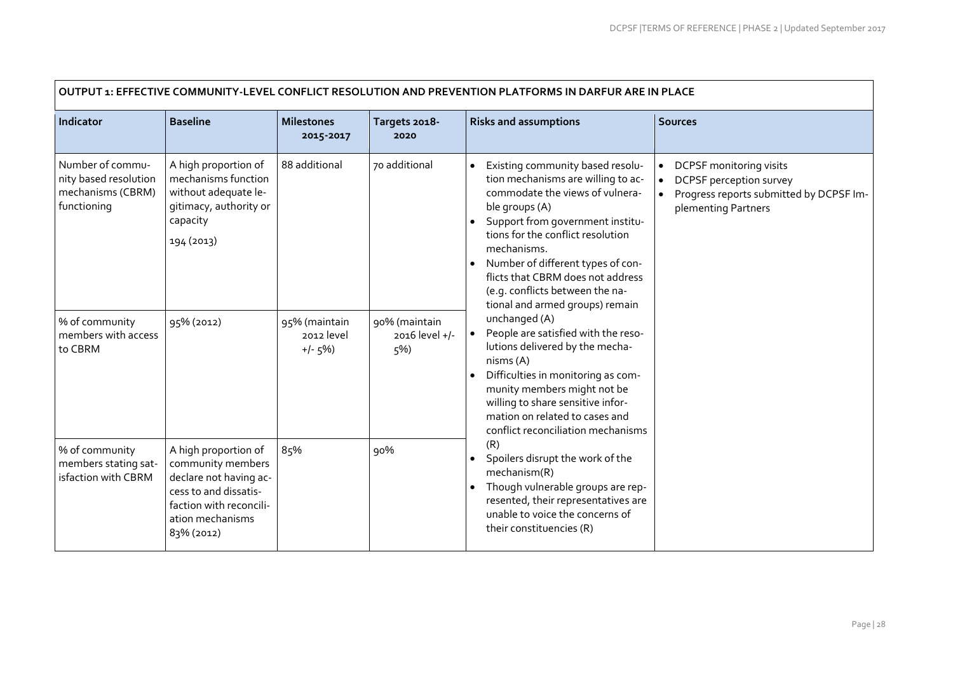| Indicator                                                                                       | <b>Baseline</b>                                                                                                                                           | <b>Milestones</b><br>2015-2017 | Targets 2018-<br>2020          | <b>Risks and assumptions</b>                                                                                                                                                                                                                                                                                                                                                         | <b>Sources</b>                                                                                                       |
|-------------------------------------------------------------------------------------------------|-----------------------------------------------------------------------------------------------------------------------------------------------------------|--------------------------------|--------------------------------|--------------------------------------------------------------------------------------------------------------------------------------------------------------------------------------------------------------------------------------------------------------------------------------------------------------------------------------------------------------------------------------|----------------------------------------------------------------------------------------------------------------------|
| Number of commu-<br>nity based resolution<br>mechanisms (CBRM)<br>functioning<br>% of community | A high proportion of<br>mechanisms function<br>without adequate le-<br>gitimacy, authority or<br>capacity<br>194 (2013)<br>95% (2012)                     | 88 additional<br>95% (maintain | 70 additional<br>90% (maintain | Existing community based resolu-<br>tion mechanisms are willing to ac-<br>commodate the views of vulnera-<br>ble groups (A)<br>Support from government institu-<br>tions for the conflict resolution<br>mechanisms.<br>Number of different types of con-<br>flicts that CBRM does not address<br>(e.g. conflicts between the na-<br>tional and armed groups) remain<br>unchanged (A) | DCPSF monitoring visits<br>DCPSF perception survey<br>Progress reports submitted by DCPSF Im-<br>plementing Partners |
| members with access<br>to CBRM                                                                  |                                                                                                                                                           | 2012 level<br>$+/-$ 5%)        | 2016 level +/-<br>$5\%$ )      | People are satisfied with the reso-<br>$\bullet$<br>lutions delivered by the mecha-<br>nisms (A)<br>Difficulties in monitoring as com-<br>munity members might not be<br>willing to share sensitive infor-<br>mation on related to cases and<br>conflict reconciliation mechanisms                                                                                                   |                                                                                                                      |
| % of community<br>members stating sat-<br>isfaction with CBRM                                   | A high proportion of<br>community members<br>declare not having ac-<br>cess to and dissatis-<br>faction with reconcili-<br>ation mechanisms<br>83% (2012) | 85%                            | 90%                            | (R)<br>Spoilers disrupt the work of the<br>mechanism(R)<br>Though vulnerable groups are rep-<br>resented, their representatives are<br>unable to voice the concerns of<br>their constituencies (R)                                                                                                                                                                                   |                                                                                                                      |

 $\Gamma$ 

 $\overline{\phantom{0}}$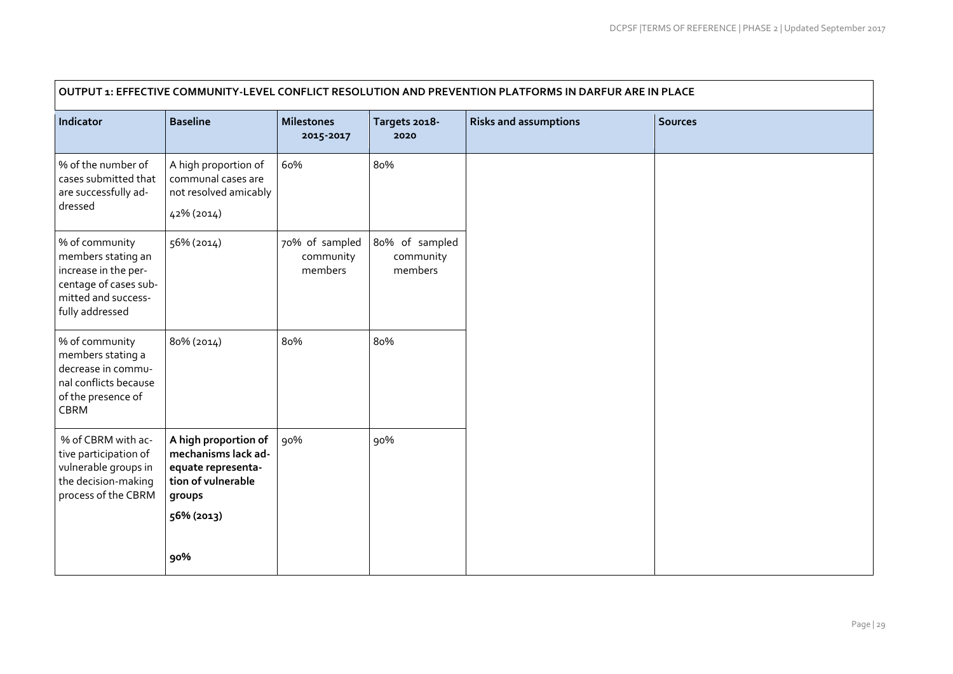|                                                                                                                                 | OUTPUT 1: EFFECTIVE COMMUNITY-LEVEL CONFLICT RESOLUTION AND PREVENTION PLATFORMS IN DARFUR ARE IN PLACE         |                                        |                                        |                              |                |  |  |  |  |  |
|---------------------------------------------------------------------------------------------------------------------------------|-----------------------------------------------------------------------------------------------------------------|----------------------------------------|----------------------------------------|------------------------------|----------------|--|--|--|--|--|
| Indicator                                                                                                                       | <b>Baseline</b>                                                                                                 | <b>Milestones</b><br>2015-2017         | Targets 2018-<br>2020                  | <b>Risks and assumptions</b> | <b>Sources</b> |  |  |  |  |  |
| % of the number of<br>cases submitted that<br>are successfully ad-<br>dressed                                                   | A high proportion of<br>communal cases are<br>not resolved amicably<br>42% (2014)                               | 60%                                    | 80%                                    |                              |                |  |  |  |  |  |
| % of community<br>members stating an<br>increase in the per-<br>centage of cases sub-<br>mitted and success-<br>fully addressed | 56% (2014)                                                                                                      | 70% of sampled<br>community<br>members | 80% of sampled<br>community<br>members |                              |                |  |  |  |  |  |
| % of community<br>members stating a<br>decrease in commu-<br>nal conflicts because<br>of the presence of<br>CBRM                | 80% (2014)                                                                                                      | 80%                                    | 80%                                    |                              |                |  |  |  |  |  |
| % of CBRM with ac-<br>tive participation of<br>vulnerable groups in<br>the decision-making<br>process of the CBRM               | A high proportion of<br>mechanisms lack ad-<br>equate representa-<br>tion of vulnerable<br>groups<br>56% (2013) | 90%                                    | 90%                                    |                              |                |  |  |  |  |  |
|                                                                                                                                 | 90%                                                                                                             |                                        |                                        |                              |                |  |  |  |  |  |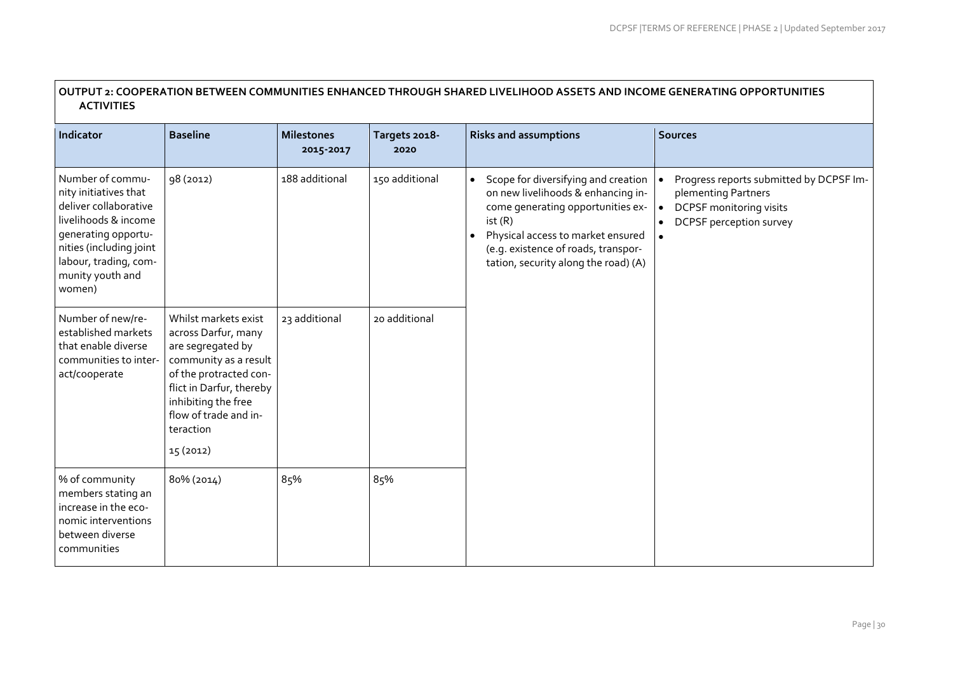| OUTPUT 2: COOPERATION BETWEEN COMMUNITIES ENHANCED THROUGH SHARED LIVELIHOOD ASSETS AND INCOME GENERATING OPPORTUNITIES<br><b>ACTIVITIES</b>                                                        |                                                                                                                                                                                                                           |                                |                       |                                                                                                                                                                                                                                                           |                                                                                                                                          |  |  |
|-----------------------------------------------------------------------------------------------------------------------------------------------------------------------------------------------------|---------------------------------------------------------------------------------------------------------------------------------------------------------------------------------------------------------------------------|--------------------------------|-----------------------|-----------------------------------------------------------------------------------------------------------------------------------------------------------------------------------------------------------------------------------------------------------|------------------------------------------------------------------------------------------------------------------------------------------|--|--|
| Indicator                                                                                                                                                                                           | <b>Baseline</b>                                                                                                                                                                                                           | <b>Milestones</b><br>2015-2017 | Targets 2018-<br>2020 | <b>Risks and assumptions</b>                                                                                                                                                                                                                              | <b>Sources</b>                                                                                                                           |  |  |
| Number of commu-<br>nity initiatives that<br>deliver collaborative<br>livelihoods & income<br>generating opportu-<br>nities (including joint<br>labour, trading, com-<br>munity youth and<br>women) | 98 (2012)                                                                                                                                                                                                                 | 188 additional                 | 150 additional        | Scope for diversifying and creation<br>on new livelihoods & enhancing in-<br>come generating opportunities ex-<br>ist(R)<br>Physical access to market ensured<br>$\bullet$<br>(e.g. existence of roads, transpor-<br>tation, security along the road) (A) | Progress reports submitted by DCPSF Im-<br>plementing Partners<br>DCPSF monitoring visits<br>$\bullet$<br><b>DCPSF</b> perception survey |  |  |
| Number of new/re-<br>established markets<br>that enable diverse<br>communities to inter-<br>act/cooperate                                                                                           | Whilst markets exist<br>across Darfur, many<br>are segregated by<br>community as a result<br>of the protracted con-<br>flict in Darfur, thereby<br>inhibiting the free<br>flow of trade and in-<br>teraction<br>15 (2012) | 23 additional                  | 20 additional         |                                                                                                                                                                                                                                                           |                                                                                                                                          |  |  |
| % of community<br>members stating an<br>increase in the eco-<br>nomic interventions<br>between diverse<br>communities                                                                               | 80% (2014)                                                                                                                                                                                                                | 85%                            | 85%                   |                                                                                                                                                                                                                                                           |                                                                                                                                          |  |  |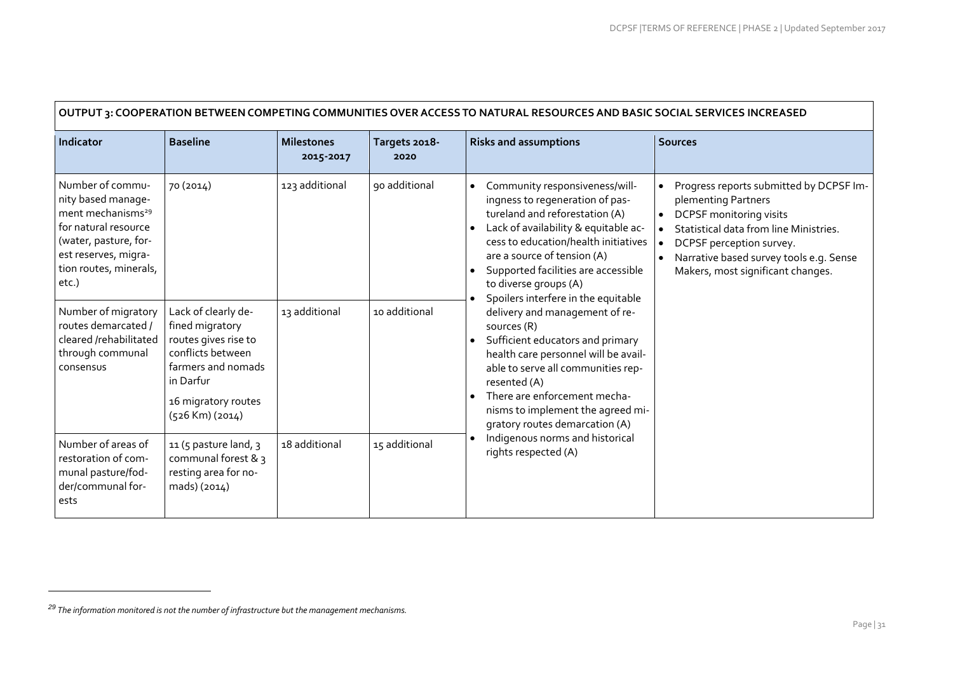| Indicator                                                                                                                                                                           | <b>Baseline</b>                                                                                                                                                  | <b>Milestones</b><br>2015-2017 | Targets 2018-<br>2020 | <b>Risks and assumptions</b>                                                                                                                                                                                                                                                                                              | <b>Sources</b>                                                                                                                                                                                                                                  |
|-------------------------------------------------------------------------------------------------------------------------------------------------------------------------------------|------------------------------------------------------------------------------------------------------------------------------------------------------------------|--------------------------------|-----------------------|---------------------------------------------------------------------------------------------------------------------------------------------------------------------------------------------------------------------------------------------------------------------------------------------------------------------------|-------------------------------------------------------------------------------------------------------------------------------------------------------------------------------------------------------------------------------------------------|
| Number of commu-<br>nity based manage-<br>ment mechanisms <sup>29</sup><br>for natural resource<br>(water, pasture, for-<br>est reserves, migra-<br>tion routes, minerals,<br>etc.) | 70 (2014)                                                                                                                                                        | 123 additional                 | 90 additional         | Community responsiveness/will-<br>ingness to regeneration of pas-<br>tureland and reforestation (A)<br>Lack of availability & equitable ac-<br>cess to education/health initiatives<br>are a source of tension (A)<br>Supported facilities are accessible<br>to diverse groups (A)<br>Spoilers interfere in the equitable | Progress reports submitted by DCPSF Im-<br>plementing Partners<br>DCPSF monitoring visits<br>Statistical data from line Ministries.<br>DCPSF perception survey.<br>Narrative based survey tools e.g. Sense<br>Makers, most significant changes. |
| Number of migratory<br>routes demarcated /<br>cleared /rehabilitated<br>through communal<br>consensus                                                                               | Lack of clearly de-<br>fined migratory<br>routes gives rise to<br>conflicts between<br>farmers and nomads<br>in Darfur<br>16 migratory routes<br>(526 Km) (2014) | 13 additional                  | 10 additional         | delivery and management of re-<br>sources (R)<br>Sufficient educators and primary<br>health care personnel will be avail-<br>able to serve all communities rep-<br>resented (A)<br>There are enforcement mecha-<br>$\bullet$<br>nisms to implement the agreed mi-<br>gratory routes demarcation (A)                       |                                                                                                                                                                                                                                                 |
| Number of areas of<br>restoration of com-<br>munal pasture/fod-<br>der/communal for-<br>ests                                                                                        | 11 (5 pasture land, 3<br>communal forest & 3<br>resting area for no-<br>mads) (2014)                                                                             | 18 additional                  | 15 additional         | Indigenous norms and historical<br>$\bullet$<br>rights respected (A)                                                                                                                                                                                                                                                      |                                                                                                                                                                                                                                                 |

#### **OUTPUT 3: COOPERATION BETWEEN COMPETING COMMUNITIES OVER ACCESS TO NATURAL RESOURCES AND BASIC SOCIAL SERVICES INCREASED**

 $\overline{a}$ 

 $\mathbf{I}$ 

*<sup>29</sup> The information monitored is not the number of infrastructure but the management mechanisms.*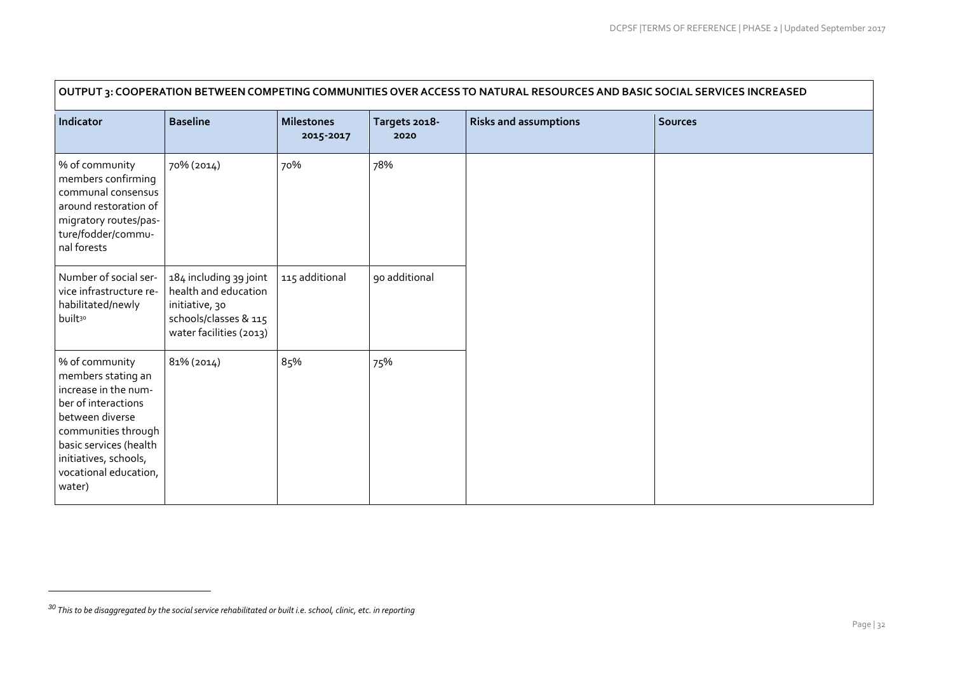| OUTPUT 3: COOPERATION BETWEEN COMPETING COMMUNITIES OVER ACCESS TO NATURAL RESOURCES AND BASIC SOCIAL SERVICES INCREASED                                                                                            |                                                                                                                      |                                |                       |                              |                |  |  |  |  |
|---------------------------------------------------------------------------------------------------------------------------------------------------------------------------------------------------------------------|----------------------------------------------------------------------------------------------------------------------|--------------------------------|-----------------------|------------------------------|----------------|--|--|--|--|
| Indicator                                                                                                                                                                                                           | <b>Baseline</b>                                                                                                      | <b>Milestones</b><br>2015-2017 | Targets 2018-<br>2020 | <b>Risks and assumptions</b> | <b>Sources</b> |  |  |  |  |
| % of community<br>members confirming<br>communal consensus<br>around restoration of<br>migratory routes/pas-<br>ture/fodder/commu-<br>nal forests                                                                   | 70% (2014)                                                                                                           | 70%                            | 78%                   |                              |                |  |  |  |  |
| Number of social ser-<br>vice infrastructure re-<br>habilitated/newly<br>built <sup>30</sup>                                                                                                                        | 184 including 39 joint<br>health and education<br>initiative, 30<br>schools/classes & 115<br>water facilities (2013) | 115 additional                 | 90 additional         |                              |                |  |  |  |  |
| % of community<br>members stating an<br>increase in the num-<br>ber of interactions<br>between diverse<br>communities through<br>basic services (health<br>initiatives, schools,<br>vocational education,<br>water) | 81% (2014)                                                                                                           | 85%                            | 75%                   |                              |                |  |  |  |  |

 $\overline{a}$ 

*<sup>30</sup> This to be disaggregated by the social service rehabilitated or built i.e. school, clinic, etc. in reporting*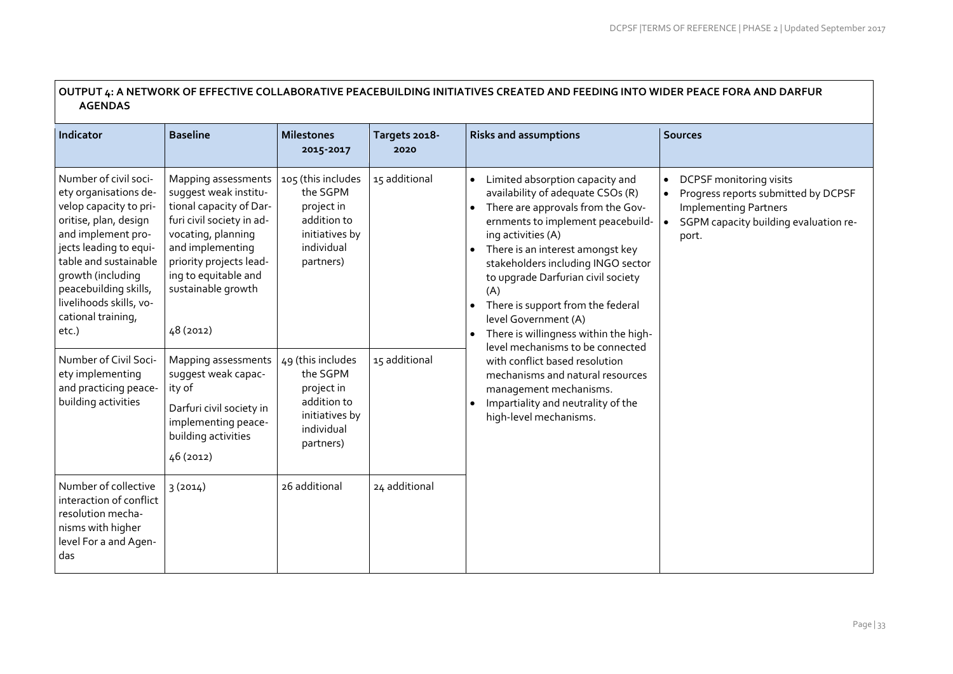| <b>AGENDAS</b>                                                                                                                                                                                                                                                                                                                                                                  | OUTPUT 4: A NETWORK OF EFFECTIVE COLLABORATIVE PEACEBUILDING INITIATIVES CREATED AND FEEDING INTO WIDER PEACE FORA AND DARFOR                                                                                                                                                                                                                                                       |                                                                                                                                                                                                                     |                                |                                                                                                                                                                                                                                                                                                                                                                                                                                                                                                                                                                                                                                                                        |                                                                                                                                                  |  |  |  |
|---------------------------------------------------------------------------------------------------------------------------------------------------------------------------------------------------------------------------------------------------------------------------------------------------------------------------------------------------------------------------------|-------------------------------------------------------------------------------------------------------------------------------------------------------------------------------------------------------------------------------------------------------------------------------------------------------------------------------------------------------------------------------------|---------------------------------------------------------------------------------------------------------------------------------------------------------------------------------------------------------------------|--------------------------------|------------------------------------------------------------------------------------------------------------------------------------------------------------------------------------------------------------------------------------------------------------------------------------------------------------------------------------------------------------------------------------------------------------------------------------------------------------------------------------------------------------------------------------------------------------------------------------------------------------------------------------------------------------------------|--------------------------------------------------------------------------------------------------------------------------------------------------|--|--|--|
| Indicator                                                                                                                                                                                                                                                                                                                                                                       | <b>Baseline</b>                                                                                                                                                                                                                                                                                                                                                                     | <b>Milestones</b><br>2015-2017                                                                                                                                                                                      | Targets 2018-<br>2020          | <b>Risks and assumptions</b>                                                                                                                                                                                                                                                                                                                                                                                                                                                                                                                                                                                                                                           | <b>Sources</b>                                                                                                                                   |  |  |  |
| Number of civil soci-<br>ety organisations de-<br>velop capacity to pri-<br>oritise, plan, design<br>and implement pro-<br>jects leading to equi-<br>table and sustainable<br>growth (including<br>peacebuilding skills,<br>livelihoods skills, vo-<br>cational training,<br>etc.)<br>Number of Civil Soci-<br>ety implementing<br>and practicing peace-<br>building activities | Mapping assessments<br>suggest weak institu-<br>tional capacity of Dar-<br>furi civil society in ad-<br>vocating, planning<br>and implementing<br>priority projects lead-<br>ing to equitable and<br>sustainable growth<br>48 (2012)<br>Mapping assessments<br>suggest weak capac-<br>ity of<br>Darfuri civil society in<br>implementing peace-<br>building activities<br>46 (2012) | 105 (this includes<br>the SGPM<br>project in<br>addition to<br>initiatives by<br>individual<br>partners)<br>49 (this includes<br>the SGPM<br>project in<br>addition to<br>initiatives by<br>individual<br>partners) | 15 additional<br>15 additional | Limited absorption capacity and<br>$\bullet$<br>availability of adequate CSOs (R)<br>There are approvals from the Gov-<br>$\bullet$<br>ernments to implement peacebuild-<br>ing activities (A)<br>There is an interest amongst key<br>$\bullet$<br>stakeholders including INGO sector<br>to upgrade Darfurian civil society<br>(A)<br>There is support from the federal<br>$\bullet$<br>level Government (A)<br>There is willingness within the high-<br>$\bullet$<br>level mechanisms to be connected<br>with conflict based resolution<br>mechanisms and natural resources<br>management mechanisms.<br>Impartiality and neutrality of the<br>high-level mechanisms. | DCPSF monitoring visits<br>Progress reports submitted by DCPSF<br><b>Implementing Partners</b><br>SGPM capacity building evaluation re-<br>port. |  |  |  |
| Number of collective<br>interaction of conflict<br>resolution mecha-<br>nisms with higher<br>level For a and Agen-<br>das                                                                                                                                                                                                                                                       | 3(2014)                                                                                                                                                                                                                                                                                                                                                                             | 26 additional                                                                                                                                                                                                       | 24 additional                  |                                                                                                                                                                                                                                                                                                                                                                                                                                                                                                                                                                                                                                                                        |                                                                                                                                                  |  |  |  |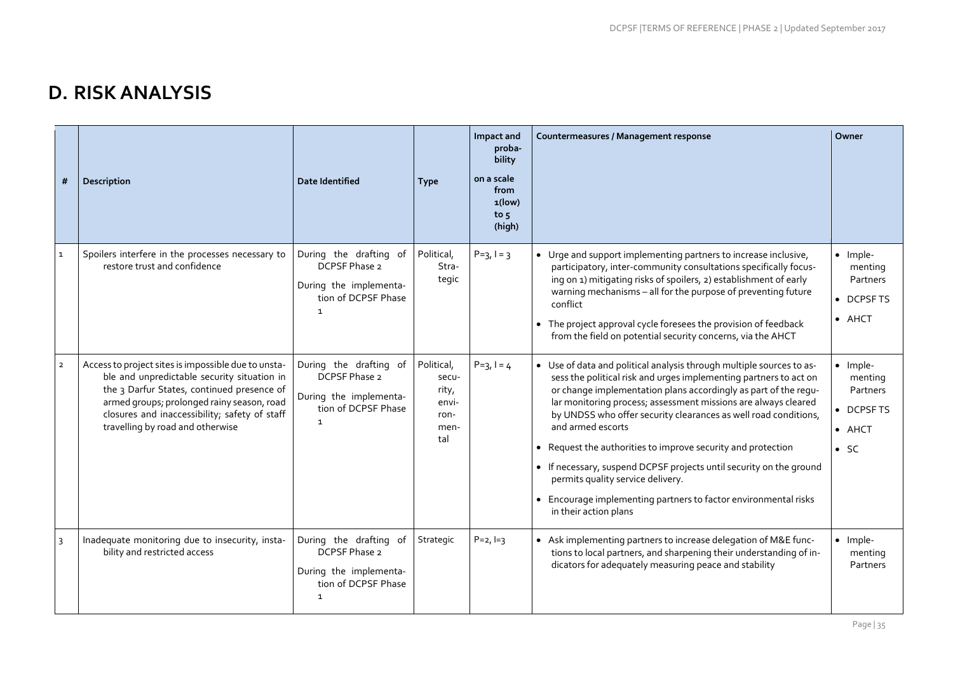# **D. RISK ANALYSIS**

 $\overline{ }$ - 1 ۰.

<span id="page-34-0"></span>

| #                       | Description                                                                                                                                                                                                                                                                         | <b>Date Identified</b>                                                                                   | <b>Type</b>                                                  | Impact and<br>proba-<br>bility<br>on a scale<br>from<br>$1$ (low)<br>to $5$<br>(high) | Countermeasures / Management response                                                                                                                                                                                                                                                                                                                                                                                                                                                                                                                                                                                                          | Owner                                                                          |
|-------------------------|-------------------------------------------------------------------------------------------------------------------------------------------------------------------------------------------------------------------------------------------------------------------------------------|----------------------------------------------------------------------------------------------------------|--------------------------------------------------------------|---------------------------------------------------------------------------------------|------------------------------------------------------------------------------------------------------------------------------------------------------------------------------------------------------------------------------------------------------------------------------------------------------------------------------------------------------------------------------------------------------------------------------------------------------------------------------------------------------------------------------------------------------------------------------------------------------------------------------------------------|--------------------------------------------------------------------------------|
| $\mathbf{1}$            | Spoilers interfere in the processes necessary to<br>restore trust and confidence                                                                                                                                                                                                    | During the drafting of<br>DCPSF Phase 2<br>During the implementa-<br>tion of DCPSF Phase<br>$\mathbf{1}$ | Political,<br>Stra-<br>tegic                                 | $P = 3, I = 3$                                                                        | • Urge and support implementing partners to increase inclusive,<br>participatory, inter-community consultations specifically focus-<br>ing on 1) mitigating risks of spoilers, 2) establishment of early<br>warning mechanisms - all for the purpose of preventing future<br>conflict<br>The project approval cycle foresees the provision of feedback<br>from the field on potential security concerns, via the AHCT                                                                                                                                                                                                                          | $\bullet$ Imple-<br>menting<br>Partners<br><b>DCPSFTS</b><br>$\bullet$ AHCT    |
| $\overline{\mathbf{2}}$ | Access to project sites is impossible due to unsta-<br>ble and unpredictable security situation in<br>the 3 Darfur States, continued presence of<br>armed groups; prolonged rainy season, road<br>closures and inaccessibility; safety of staff<br>travelling by road and otherwise | During the drafting of<br>DCPSF Phase 2<br>During the implementa-<br>tion of DCPSF Phase<br>$\mathbf{1}$ | Political,<br>secu-<br>rity,<br>envi-<br>ron-<br>men-<br>tal | $P = 3, l = 4$                                                                        | • Use of data and political analysis through multiple sources to as-<br>sess the political risk and urges implementing partners to act on<br>or change implementation plans accordingly as part of the regu-<br>lar monitoring process; assessment missions are always cleared<br>by UNDSS who offer security clearances as well road conditions,<br>and armed escorts<br>• Request the authorities to improve security and protection<br>• If necessary, suspend DCPSF projects until security on the ground<br>permits quality service delivery.<br>• Encourage implementing partners to factor environmental risks<br>in their action plans | · Imple-<br>menting<br>Partners<br>• DCPSFTS<br>$\bullet$ AHCT<br>$\bullet$ SC |
| $\overline{3}$          | Inadequate monitoring due to insecurity, insta-<br>bility and restricted access                                                                                                                                                                                                     | During the drafting of<br>DCPSF Phase 2<br>During the implementa-<br>tion of DCPSF Phase<br>$\mathbf{1}$ | Strategic                                                    | $P = 2, I = 3$                                                                        | • Ask implementing partners to increase delegation of M&E func-<br>tions to local partners, and sharpening their understanding of in-<br>dicators for adequately measuring peace and stability                                                                                                                                                                                                                                                                                                                                                                                                                                                 | · Imple-<br>menting<br>Partners                                                |

المستحق

--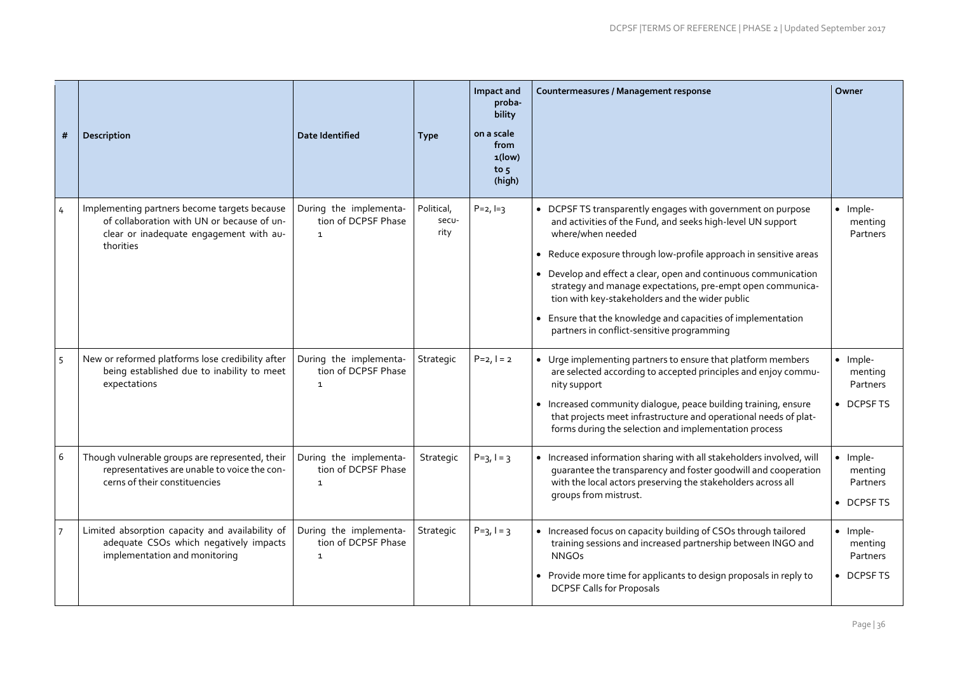| #              | Description                                                                                                                                        | <b>Date Identified</b>                                        | <b>Type</b>                 | Impact and<br>proba-<br>bility<br>on a scale<br>from<br>$1$ (low)<br>to $5$<br>(high) | Countermeasures / Management response                                                                                                                                                                                                                                                                                                                                                                                                                                                                                | Owner                                         |
|----------------|----------------------------------------------------------------------------------------------------------------------------------------------------|---------------------------------------------------------------|-----------------------------|---------------------------------------------------------------------------------------|----------------------------------------------------------------------------------------------------------------------------------------------------------------------------------------------------------------------------------------------------------------------------------------------------------------------------------------------------------------------------------------------------------------------------------------------------------------------------------------------------------------------|-----------------------------------------------|
| $\overline{4}$ | Implementing partners become targets because<br>of collaboration with UN or because of un-<br>clear or inadequate engagement with au-<br>thorities | During the implementa-<br>tion of DCPSF Phase<br>$\mathbf{1}$ | Political,<br>secu-<br>rity | $P = 2, I = 3$                                                                        | • DCPSF TS transparently engages with government on purpose<br>and activities of the Fund, and seeks high-level UN support<br>where/when needed<br>• Reduce exposure through low-profile approach in sensitive areas<br>• Develop and effect a clear, open and continuous communication<br>strategy and manage expectations, pre-empt open communica-<br>tion with key-stakeholders and the wider public<br>Ensure that the knowledge and capacities of implementation<br>partners in conflict-sensitive programming | · Imple-<br>menting<br>Partners               |
| 5              | New or reformed platforms lose credibility after<br>being established due to inability to meet<br>expectations                                     | During the implementa-<br>tion of DCPSF Phase<br>$\mathbf{1}$ | Strategic                   | $P = 2, I = 2$                                                                        | • Urge implementing partners to ensure that platform members<br>are selected according to accepted principles and enjoy commu-<br>nity support<br>• Increased community dialogue, peace building training, ensure<br>that projects meet infrastructure and operational needs of plat-<br>forms during the selection and implementation process                                                                                                                                                                       | · Imple-<br>menting<br>Partners<br>• DCPSF TS |
| $\,$ 6         | Though vulnerable groups are represented, their<br>representatives are unable to voice the con-<br>cerns of their constituencies                   | During the implementa-<br>tion of DCPSF Phase<br>$\mathbf{1}$ | Strategic                   | $P = 3, I = 3$                                                                        | • Increased information sharing with all stakeholders involved, will<br>quarantee the transparency and foster goodwill and cooperation<br>with the local actors preserving the stakeholders across all<br>groups from mistrust.                                                                                                                                                                                                                                                                                      | · Imple-<br>menting<br>Partners<br>• DCPSFTS  |
| $\overline{7}$ | Limited absorption capacity and availability of<br>adequate CSOs which negatively impacts<br>implementation and monitoring                         | During the implementa-<br>tion of DCPSF Phase<br>$\mathbf{1}$ | Strategic                   | $P = 3, I = 3$                                                                        | • Increased focus on capacity building of CSOs through tailored<br>training sessions and increased partnership between INGO and<br><b>NNGOs</b><br>• Provide more time for applicants to design proposals in reply to<br><b>DCPSF Calls for Proposals</b>                                                                                                                                                                                                                                                            | · Imple-<br>menting<br>Partners<br>• DCPSFTS  |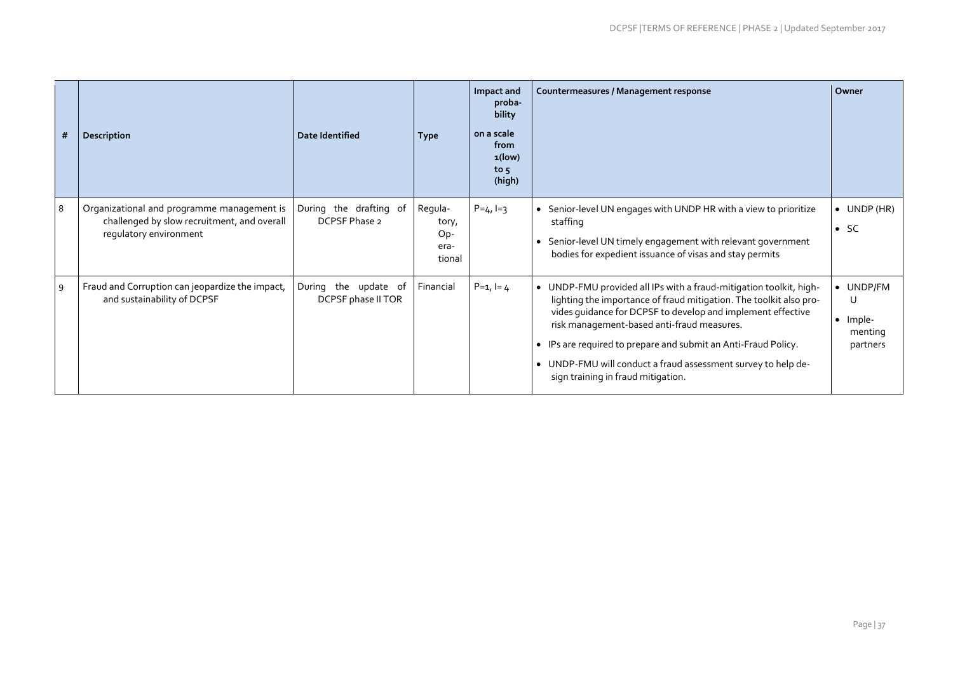| # | Description                                                                                                         | Date Identified                            | <b>Type</b>                               | Impact and<br>proba-<br>bility<br>on a scale<br>from<br>$1$ (low)<br>to $5$<br>(high) | Countermeasures / Management response                                                                                                                                                                                                                                                                                                                                                                                          | Owner                                           |
|---|---------------------------------------------------------------------------------------------------------------------|--------------------------------------------|-------------------------------------------|---------------------------------------------------------------------------------------|--------------------------------------------------------------------------------------------------------------------------------------------------------------------------------------------------------------------------------------------------------------------------------------------------------------------------------------------------------------------------------------------------------------------------------|-------------------------------------------------|
| 8 | Organizational and programme management is<br>challenged by slow recruitment, and overall<br>regulatory environment | During the drafting of<br>DCPSF Phase 2    | Regula-<br>tory,<br>Op-<br>era-<br>tional | $P = 4, I = 3$                                                                        | • Senior-level UN engages with UNDP HR with a view to prioritize<br>staffing<br>Senior-level UN timely engagement with relevant government<br>$\bullet$<br>bodies for expedient issuance of visas and stay permits                                                                                                                                                                                                             | $\bullet$ UNDP (HR)<br>$\bullet$ SC             |
| 9 | Fraud and Corruption can jeopardize the impact,<br>and sustainability of DCPSF                                      | During the update of<br>DCPSF phase II TOR | Financial                                 | $P = 1, I = 4$                                                                        | • UNDP-FMU provided all IPs with a fraud-mitigation toolkit, high-<br>lighting the importance of fraud mitigation. The toolkit also pro-<br>vides quidance for DCPSF to develop and implement effective<br>risk management-based anti-fraud measures.<br>• IPs are required to prepare and submit an Anti-Fraud Policy.<br>• UNDP-FMU will conduct a fraud assessment survey to help de-<br>sign training in fraud mitigation. | • UNDP/FM<br>U<br>Imple-<br>menting<br>partners |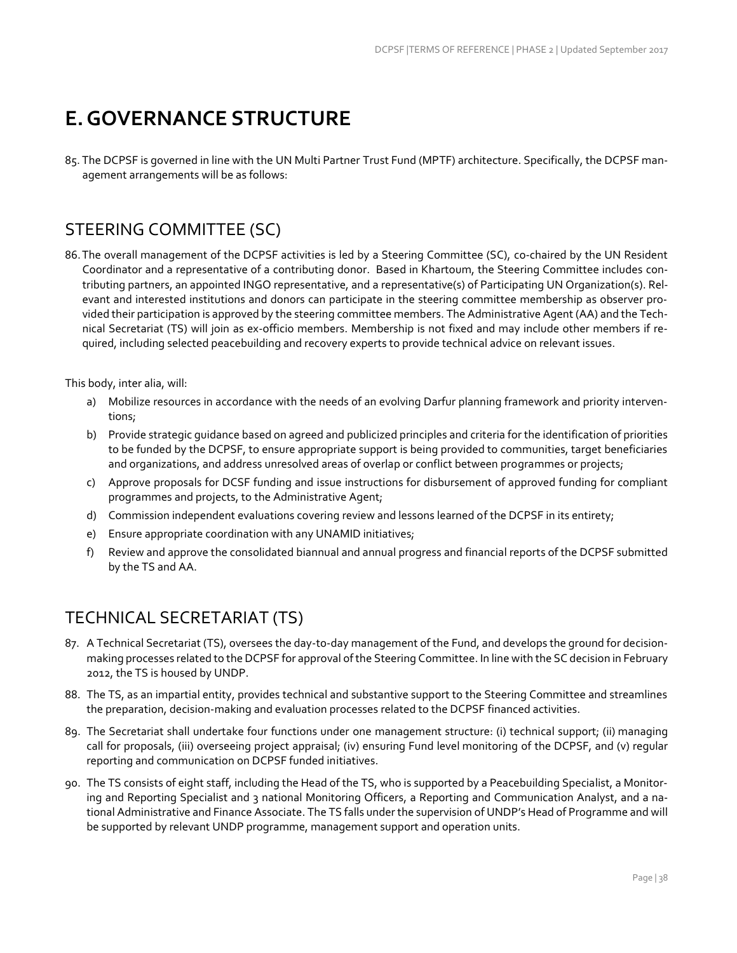# **E.GOVERNANCE STRUCTURE**

<span id="page-37-0"></span>85. The DCPSF is governed in line with the UN Multi Partner Trust Fund (MPTF) architecture. Specifically, the DCPSF management arrangements will be as follows:

# STEERING COMMITTEE (SC)

<span id="page-37-1"></span>86.The overall management of the DCPSF activities is led by a Steering Committee (SC), co-chaired by the UN Resident Coordinator and a representative of a contributing donor. Based in Khartoum, the Steering Committee includes contributing partners, an appointed INGO representative, and a representative(s) of Participating UN Organization(s). Relevant and interested institutions and donors can participate in the steering committee membership as observer provided their participation is approved by the steering committee members. The Administrative Agent (AA) and the Technical Secretariat (TS) will join as ex-officio members. Membership is not fixed and may include other members if required, including selected peacebuilding and recovery experts to provide technical advice on relevant issues.

This body, inter alia, will:

- a) Mobilize resources in accordance with the needs of an evolving Darfur planning framework and priority interventions;
- b) Provide strategic guidance based on agreed and publicized principles and criteria for the identification of priorities to be funded by the DCPSF, to ensure appropriate support is being provided to communities, target beneficiaries and organizations, and address unresolved areas of overlap or conflict between programmes or projects;
- c) Approve proposals for DCSF funding and issue instructions for disbursement of approved funding for compliant programmes and projects, to the Administrative Agent;
- d) Commission independent evaluations covering review and lessons learned of the DCPSF in its entirety;
- e) Ensure appropriate coordination with any UNAMID initiatives;
- f) Review and approve the consolidated biannual and annual progress and financial reports of the DCPSF submitted by the TS and AA.

# TECHNICAL SECRETARIAT (TS)

- <span id="page-37-2"></span>87. A Technical Secretariat (TS), oversees the day-to-day management of the Fund, and develops the ground for decisionmaking processes related to the DCPSF for approval of the Steering Committee. In line with the SC decision in February 2012, the TS is housed by UNDP.
- 88. The TS, as an impartial entity, provides technical and substantive support to the Steering Committee and streamlines the preparation, decision-making and evaluation processes related to the DCPSF financed activities.
- 89. The Secretariat shall undertake four functions under one management structure: (i) technical support; (ii) managing call for proposals, (iii) overseeing project appraisal; (iv) ensuring Fund level monitoring of the DCPSF, and (v) regular reporting and communication on DCPSF funded initiatives.
- 90. The TS consists of eight staff, including the Head of the TS, who is supported by a Peacebuilding Specialist, a Monitoring and Reporting Specialist and 3 national Monitoring Officers, a Reporting and Communication Analyst, and a national Administrative and Finance Associate. The TS falls under the supervision of UNDP's Head of Programme and will be supported by relevant UNDP programme, management support and operation units.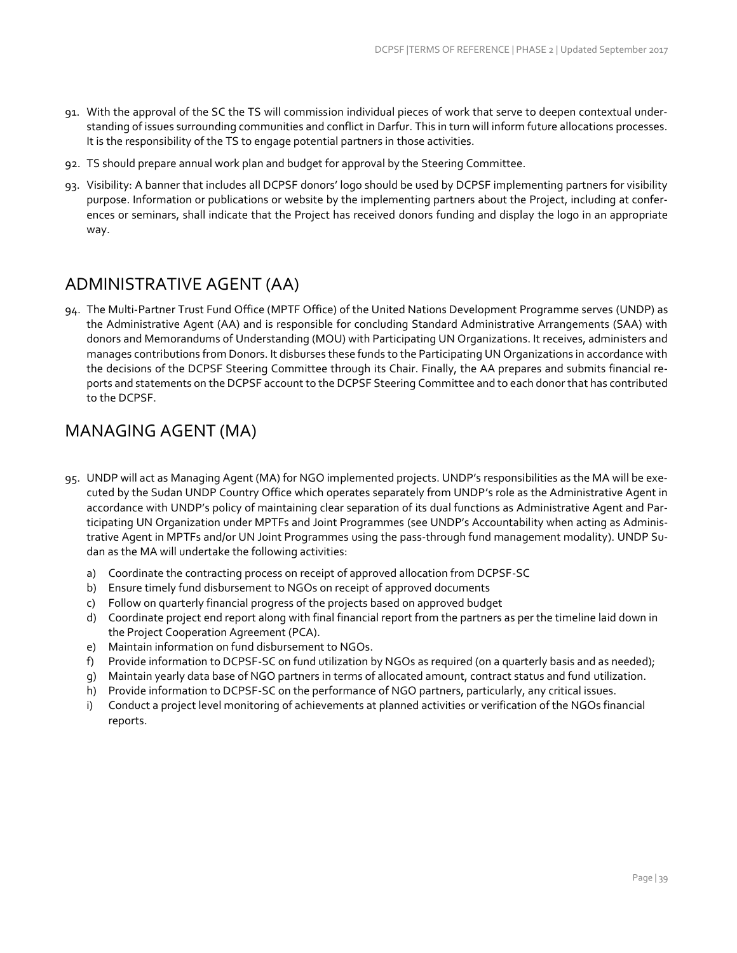- 91. With the approval of the SC the TS will commission individual pieces of work that serve to deepen contextual understanding of issues surrounding communities and conflict in Darfur. This in turn will inform future allocations processes. It is the responsibility of the TS to engage potential partners in those activities.
- 92. TS should prepare annual work plan and budget for approval by the Steering Committee.
- 93. Visibility: A banner that includes all DCPSF donors' logo should be used by DCPSF implementing partners for visibility purpose. Information or publications or website by the implementing partners about the Project, including at conferences or seminars, shall indicate that the Project has received donors funding and display the logo in an appropriate way.

### ADMINISTRATIVE AGENT (AA)

<span id="page-38-0"></span>94. The Multi-Partner Trust Fund Office (MPTF Office) of the United Nations Development Programme serves (UNDP) as the Administrative Agent (AA) and is responsible for concluding Standard Administrative Arrangements (SAA) with donors and Memorandums of Understanding (MOU) with Participating UN Organizations. It receives, administers and manages contributions from Donors. It disburses these funds to the Participating UN Organizations in accordance with the decisions of the DCPSF Steering Committee through its Chair. Finally, the AA prepares and submits financial reports and statements on the DCPSF account to the DCPSF Steering Committee and to each donor that has contributed to the DCPSF.

## MANAGING AGENT (MA)

- <span id="page-38-1"></span>95. UNDP will act as Managing Agent (MA) for NGO implemented projects. UNDP's responsibilities as the MA will be executed by the Sudan UNDP Country Office which operates separately from UNDP's role as the Administrative Agent in accordance with UNDP's policy of maintaining clear separation of its dual functions as Administrative Agent and Participating UN Organization under MPTFs and Joint Programmes (see [UNDP's Accountability when acting as Adminis](http://mdtf.undp.org/document/download/4552)[trative Agent in MPTFs and/or UN Joint Programmes using the pass-through fund management modality\)](http://mdtf.undp.org/document/download/4552). UNDP Sudan as the MA will undertake the following activities:
	- a) Coordinate the contracting process on receipt of approved allocation from DCPSF-SC
	- b) Ensure timely fund disbursement to NGOs on receipt of approved documents
	- c) Follow on quarterly financial progress of the projects based on approved budget
	- d) Coordinate project end report along with final financial report from the partners as per the timeline laid down in the Project Cooperation Agreement (PCA).
	- e) Maintain information on fund disbursement to NGOs.
	- f) Provide information to DCPSF-SC on fund utilization by NGOs as required (on a quarterly basis and as needed);
	- g) Maintain yearly data base of NGO partners in terms of allocated amount, contract status and fund utilization.
	- h) Provide information to DCPSF-SC on the performance of NGO partners, particularly, any critical issues.
	- i) Conduct a project level monitoring of achievements at planned activities or verification of the NGOs financial reports.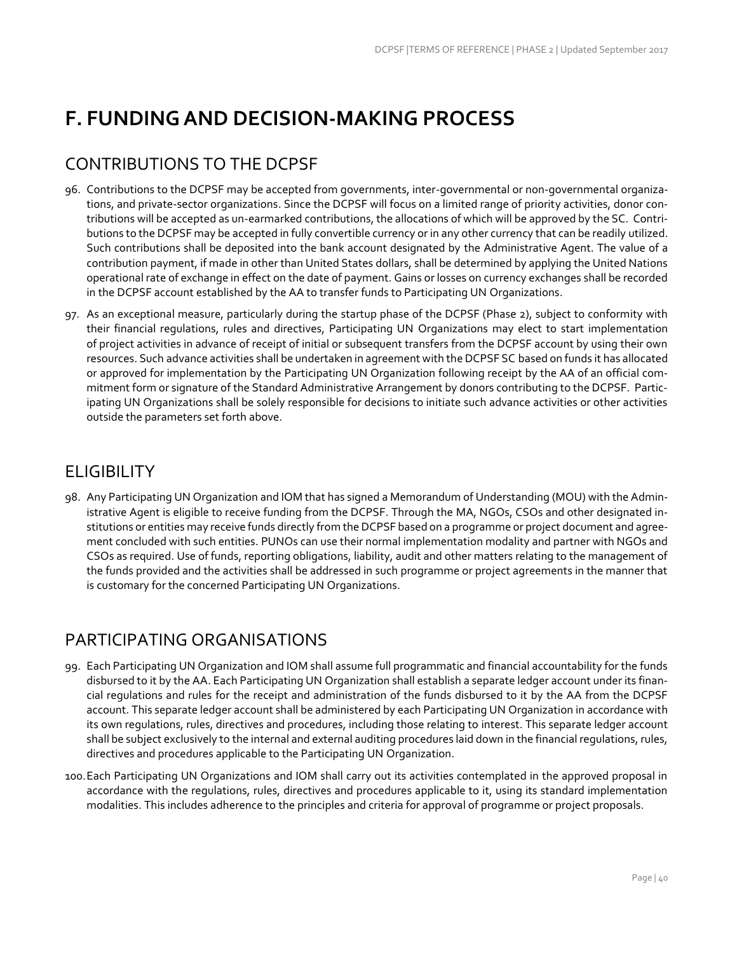# **F. FUNDING AND DECISION-MAKING PROCESS**

# <span id="page-39-0"></span>CONTRIBUTIONS TO THE DCPSF

- <span id="page-39-1"></span>96. Contributions to the DCPSF may be accepted from governments, inter-governmental or non-governmental organizations, and private-sector organizations. Since the DCPSF will focus on a limited range of priority activities, donor contributions will be accepted as un-earmarked contributions, the allocations of which will be approved by the SC. Contributions to the DCPSF may be accepted in fully convertible currency or in any other currency that can be readily utilized. Such contributions shall be deposited into the bank account designated by the Administrative Agent. The value of a contribution payment, if made in other than United States dollars, shall be determined by applying the United Nations operational rate of exchange in effect on the date of payment. Gains or losses on currency exchanges shall be recorded in the DCPSF account established by the AA to transfer funds to Participating UN Organizations.
- 97. As an exceptional measure, particularly during the startup phase of the DCPSF (Phase 2), subject to conformity with their financial regulations, rules and directives, Participating UN Organizations may elect to start implementation of project activities in advance of receipt of initial or subsequent transfers from the DCPSF account by using their own resources. Such advance activities shall be undertaken in agreement with the DCPSF SC based on funds it has allocated or approved for implementation by the Participating UN Organization following receipt by the AA of an official commitment form or signature of the Standard Administrative Arrangement by donors contributing to the DCPSF. Participating UN Organizations shall be solely responsible for decisions to initiate such advance activities or other activities outside the parameters set forth above.

# ELIGIBILITY

<span id="page-39-2"></span>98. Any Participating UN Organization and IOM that has signed a Memorandum of Understanding (MOU) with the Administrative Agent is eligible to receive funding from the DCPSF. Through the MA, NGOs, CSOs and other designated institutions or entities may receive funds directly from the DCPSF based on a programme or project document and agreement concluded with such entities. PUNOs can use their normal implementation modality and partner with NGOs and CSOs as required. Use of funds, reporting obligations, liability, audit and other matters relating to the management of the funds provided and the activities shall be addressed in such programme or project agreements in the manner that is customary for the concerned Participating UN Organizations.

# PARTICIPATING ORGANISATIONS

- <span id="page-39-3"></span>99. Each Participating UN Organization and IOM shall assume full programmatic and financial accountability for the funds disbursed to it by the AA. Each Participating UN Organization shall establish a separate ledger account under its financial regulations and rules for the receipt and administration of the funds disbursed to it by the AA from the DCPSF account. This separate ledger account shall be administered by each Participating UN Organization in accordance with its own regulations, rules, directives and procedures, including those relating to interest. This separate ledger account shall be subject exclusively to the internal and external auditing procedures laid down in the financial regulations, rules, directives and procedures applicable to the Participating UN Organization.
- 100.Each Participating UN Organizations and IOM shall carry out its activities contemplated in the approved proposal in accordance with the regulations, rules, directives and procedures applicable to it, using its standard implementation modalities. This includes adherence to the principles and criteria for approval of programme or project proposals.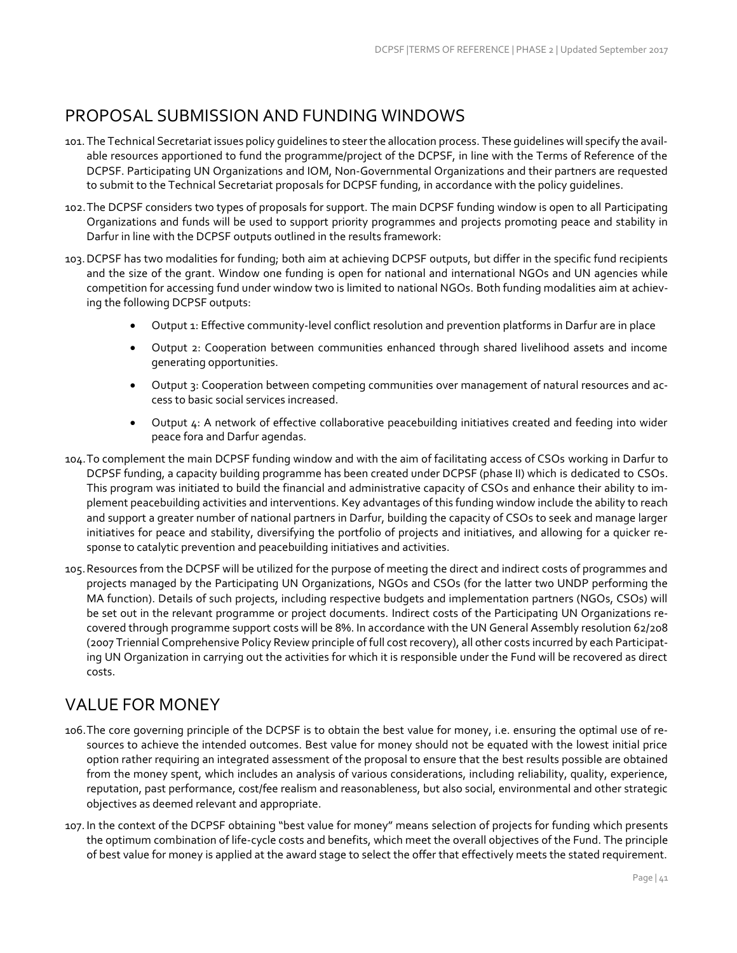# PROPOSAL SUBMISSION AND FUNDING WINDOWS

- <span id="page-40-0"></span>101.The Technical Secretariat issues policy guidelines to steer the allocation process. These guidelines will specify the available resources apportioned to fund the programme/project of the DCPSF, in line with the Terms of Reference of the DCPSF. Participating UN Organizations and IOM, Non-Governmental Organizations and their partners are requested to submit to the Technical Secretariat proposals for DCPSF funding, in accordance with the policy guidelines.
- 102.The DCPSF considers two types of proposals for support. The main DCPSF funding window is open to all Participating Organizations and funds will be used to support priority programmes and projects promoting peace and stability in Darfur in line with the DCPSF outputs outlined in the results framework:
- 103.DCPSF has two modalities for funding; both aim at achieving DCPSF outputs, but differ in the specific fund recipients and the size of the grant. Window one funding is open for national and international NGOs and UN agencies while competition for accessing fund under window two is limited to national NGOs. Both funding modalities aim at achieving the following DCPSF outputs:
	- Output 1: Effective community-level conflict resolution and prevention platforms in Darfur are in place
	- Output 2: Cooperation between communities enhanced through shared livelihood assets and income generating opportunities.
	- Output 3: Cooperation between competing communities over management of natural resources and access to basic social services increased.
	- Output 4: A network of effective collaborative peacebuilding initiatives created and feeding into wider peace fora and Darfur agendas.
- 104.To complement the main DCPSF funding window and with the aim of facilitating access of CSOs working in Darfur to DCPSF funding, a capacity building programme has been created under DCPSF (phase II) which is dedicated to CSOs. This program was initiated to build the financial and administrative capacity of CSOs and enhance their ability to implement peacebuilding activities and interventions. Key advantages of this funding window include the ability to reach and support a greater number of national partners in Darfur, building the capacity of CSOs to seek and manage larger initiatives for peace and stability, diversifying the portfolio of projects and initiatives, and allowing for a quicker response to catalytic prevention and peacebuilding initiatives and activities.
- 105.Resources from the DCPSF will be utilized for the purpose of meeting the direct and indirect costs of programmes and projects managed by the Participating UN Organizations, NGOs and CSOs (for the latter two UNDP performing the MA function). Details of such projects, including respective budgets and implementation partners (NGOs, CSOs) will be set out in the relevant programme or project documents. Indirect costs of the Participating UN Organizations recovered through programme support costs will be 8%. In accordance with the UN General Assembly resolution 62/208 (2007 Triennial Comprehensive Policy Review principle of full cost recovery), all other costs incurred by each Participating UN Organization in carrying out the activities for which it is responsible under the Fund will be recovered as direct costs.

## VALUE FOR MONEY

- <span id="page-40-1"></span>106.The core governing principle of the DCPSF is to obtain the best value for money, i.e. ensuring the optimal use of resources to achieve the intended outcomes. Best value for money should not be equated with the lowest initial price option rather requiring an integrated assessment of the proposal to ensure that the best results possible are obtained from the money spent, which includes an analysis of various considerations, including reliability, quality, experience, reputation, past performance, cost/fee realism and reasonableness, but also social, environmental and other strategic objectives as deemed relevant and appropriate.
- 107. In the context of the DCPSF obtaining "best value for money" means selection of projects for funding which presents the optimum combination of life-cycle costs and benefits, which meet the overall objectives of the Fund. The principle of best value for money is applied at the award stage to select the offer that effectively meets the stated requirement.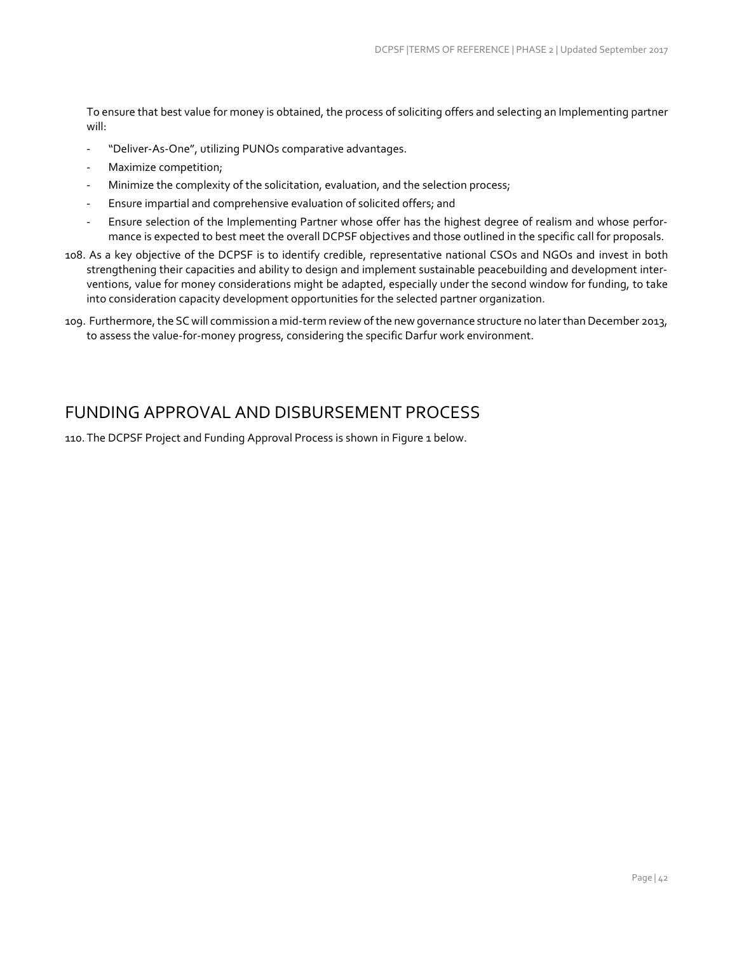To ensure that best value for money is obtained, the process of soliciting offers and selecting an Implementing partner will:

- "Deliver-As-One", utilizing PUNOs comparative advantages.
- Maximize competition;
- Minimize the complexity of the solicitation, evaluation, and the selection process;
- Ensure impartial and comprehensive evaluation of solicited offers; and
- Ensure selection of the Implementing Partner whose offer has the highest degree of realism and whose performance is expected to best meet the overall DCPSF objectives and those outlined in the specific call for proposals.
- 108. As a key objective of the DCPSF is to identify credible, representative national CSOs and NGOs and invest in both strengthening their capacities and ability to design and implement sustainable peacebuilding and development interventions, value for money considerations might be adapted, especially under the second window for funding, to take into consideration capacity development opportunities for the selected partner organization.
- 109. Furthermore, the SC will commission a mid-term review of the new governance structure no later than December 2013, to assess the value-for-money progress, considering the specific Darfur work environment.

## FUNDING APPROVAL AND DISBURSEMENT PROCESS

<span id="page-41-0"></span>110.The DCPSF Project and Funding Approval Process is shown in Figure 1 below.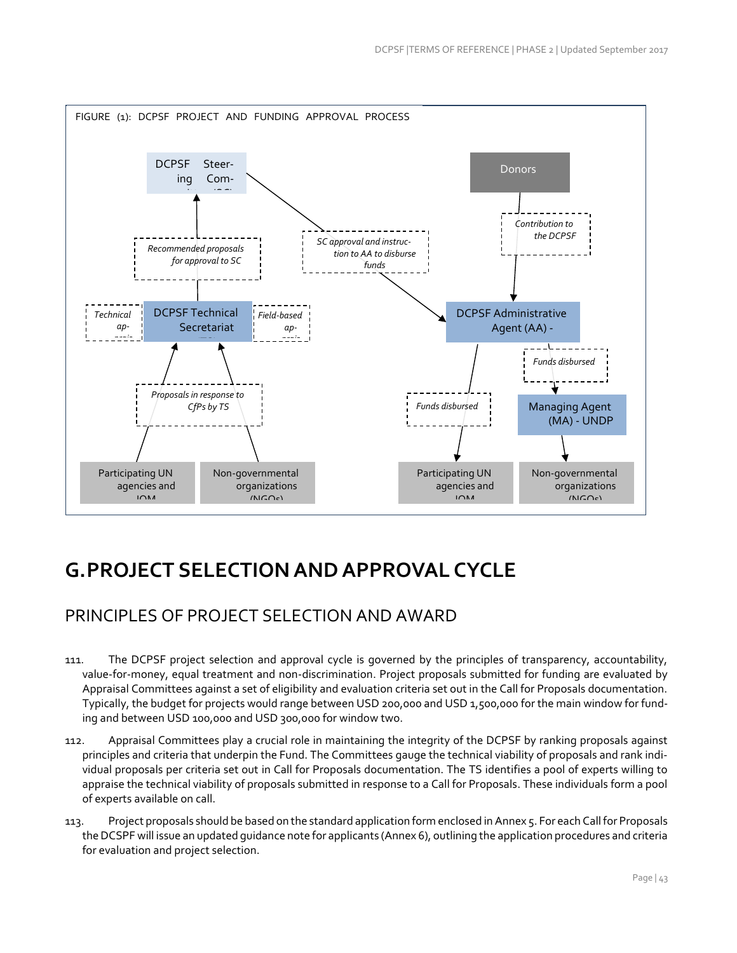

# **G.PROJECT SELECTION AND APPROVAL CYCLE**

# <span id="page-42-0"></span>PRINCIPLES OF PROJECT SELECTION AND AWARD

- <span id="page-42-1"></span>111. The DCPSF project selection and approval cycle is governed by the principles of transparency, accountability, value-for-money, equal treatment and non-discrimination. Project proposals submitted for funding are evaluated by Appraisal Committees against a set of eligibility and evaluation criteria set out in the Call for Proposals documentation. Typically, the budget for projects would range between USD 200,000 and USD 1,500,000 for the main window for funding and between USD 100,000 and USD 300,000 for window two.
- 112. Appraisal Committees play a crucial role in maintaining the integrity of the DCPSF by ranking proposals against principles and criteria that underpin the Fund. The Committees gauge the technical viability of proposals and rank individual proposals per criteria set out in Call for Proposals documentation. The TS identifies a pool of experts willing to appraise the technical viability of proposals submitted in response to a Call for Proposals. These individuals form a pool of experts available on call.
- 113. Project proposals should be based on the standard application form enclosed in Annex 5. For each Call for Proposals the DCSPF will issue an updated guidance note for applicants (Annex 6), outlining the application procedures and criteria for evaluation and project selection.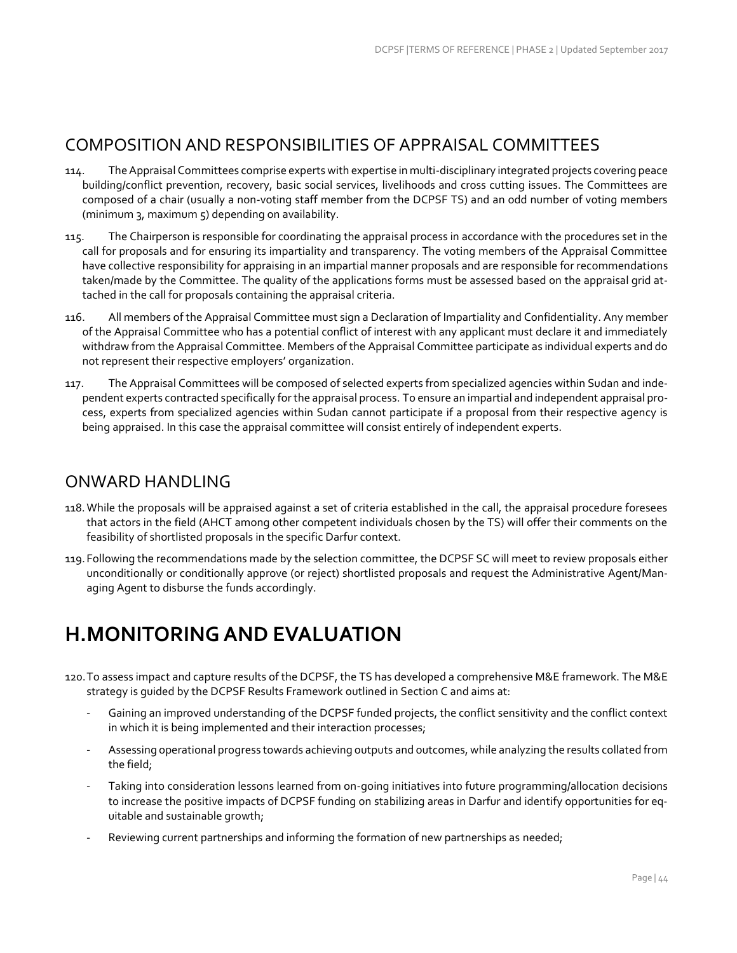# COMPOSITION AND RESPONSIBILITIES OF APPRAISAL COMMITTEES

- <span id="page-43-0"></span>114. The Appraisal Committees comprise experts with expertise in multi-disciplinary integrated projects covering peace building/conflict prevention, recovery, basic social services, livelihoods and cross cutting issues. The Committees are composed of a chair (usually a non-voting staff member from the DCPSF TS) and an odd number of voting members (minimum 3, maximum 5) depending on availability.
- 115. The Chairperson is responsible for coordinating the appraisal process in accordance with the procedures set in the call for proposals and for ensuring its impartiality and transparency. The voting members of the Appraisal Committee have collective responsibility for appraising in an impartial manner proposals and are responsible for recommendations taken/made by the Committee. The quality of the applications forms must be assessed based on the appraisal grid attached in the call for proposals containing the appraisal criteria.
- 116. All members of the Appraisal Committee must sign a Declaration of Impartiality and Confidentiality. Any member of the Appraisal Committee who has a potential conflict of interest with any applicant must declare it and immediately withdraw from the Appraisal Committee. Members of the Appraisal Committee participate as individual experts and do not represent their respective employers' organization.
- 117. The Appraisal Committees will be composed of selected experts from specialized agencies within Sudan and independent experts contracted specifically for the appraisal process. To ensure an impartial and independent appraisal process, experts from specialized agencies within Sudan cannot participate if a proposal from their respective agency is being appraised. In this case the appraisal committee will consist entirely of independent experts.

## ONWARD HANDLING

- <span id="page-43-1"></span>118.While the proposals will be appraised against a set of criteria established in the call, the appraisal procedure foresees that actors in the field (AHCT among other competent individuals chosen by the TS) will offer their comments on the feasibility of shortlisted proposals in the specific Darfur context.
- 119.Following the recommendations made by the selection committee, the DCPSF SC will meet to review proposals either unconditionally or conditionally approve (or reject) shortlisted proposals and request the Administrative Agent/Managing Agent to disburse the funds accordingly.

# **H.MONITORING AND EVALUATION**

- <span id="page-43-2"></span>120.To assess impact and capture results of the DCPSF, the TS has developed a comprehensive M&E framework. The M&E strategy is guided by the DCPSF Results Framework outlined in Section C and aims at:
	- Gaining an improved understanding of the DCPSF funded projects, the conflict sensitivity and the conflict context in which it is being implemented and their interaction processes;
	- Assessing operational progress towards achieving outputs and outcomes, while analyzing the results collated from the field;
	- Taking into consideration lessons learned from on-going initiatives into future programming/allocation decisions to increase the positive impacts of DCPSF funding on stabilizing areas in Darfur and identify opportunities for equitable and sustainable growth;
	- Reviewing current partnerships and informing the formation of new partnerships as needed;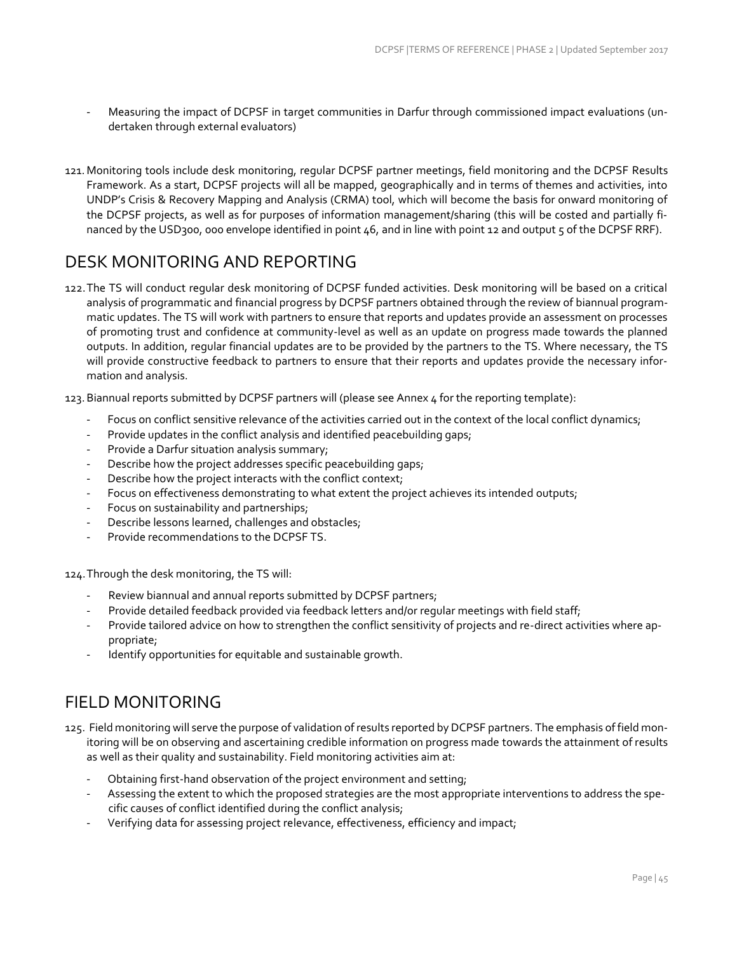- Measuring the impact of DCPSF in target communities in Darfur through commissioned impact evaluations (undertaken through external evaluators)
- 121. Monitoring tools include desk monitoring, regular DCPSF partner meetings, field monitoring and the DCPSF Results Framework. As a start, DCPSF projects will all be mapped, geographically and in terms of themes and activities, into UNDP's Crisis & Recovery Mapping and Analysis (CRMA) tool, which will become the basis for onward monitoring of the DCPSF projects, as well as for purposes of information management/sharing (this will be costed and partially financed by the USD300, 000 envelope identified in point 46, and in line with point 12 and output 5 of the DCPSF RRF).

# DESK MONITORING AND REPORTING

<span id="page-44-0"></span>122.The TS will conduct regular desk monitoring of DCPSF funded activities. Desk monitoring will be based on a critical analysis of programmatic and financial progress by DCPSF partners obtained through the review of biannual programmatic updates. The TS will work with partners to ensure that reports and updates provide an assessment on processes of promoting trust and confidence at community-level as well as an update on progress made towards the planned outputs. In addition, regular financial updates are to be provided by the partners to the TS. Where necessary, the TS will provide constructive feedback to partners to ensure that their reports and updates provide the necessary information and analysis.

123.Biannual reports submitted by DCPSF partners will (please see Annex 4 for the reporting template):

- Focus on conflict sensitive relevance of the activities carried out in the context of the local conflict dynamics;
- Provide updates in the conflict analysis and identified peacebuilding gaps;
- Provide a Darfur situation analysis summary;
- Describe how the project addresses specific peacebuilding gaps;
- Describe how the project interacts with the conflict context;
- Focus on effectiveness demonstrating to what extent the project achieves its intended outputs;
- Focus on sustainability and partnerships;
- Describe lessons learned, challenges and obstacles;
- Provide recommendations to the DCPSF TS.

124.Through the desk monitoring, the TS will:

- Review biannual and annual reports submitted by DCPSF partners;
- Provide detailed feedback provided via feedback letters and/or regular meetings with field staff;
- Provide tailored advice on how to strengthen the conflict sensitivity of projects and re-direct activities where appropriate;
- Identify opportunities for equitable and sustainable growth.

# FIELD MONITORING

- <span id="page-44-1"></span>125. Field monitoring will serve the purpose of validation of results reported by DCPSF partners. The emphasis of field monitoring will be on observing and ascertaining credible information on progress made towards the attainment of results as well as their quality and sustainability. Field monitoring activities aim at:
	- Obtaining first-hand observation of the project environment and setting;
	- Assessing the extent to which the proposed strategies are the most appropriate interventions to address the specific causes of conflict identified during the conflict analysis;
	- Verifying data for assessing project relevance, effectiveness, efficiency and impact;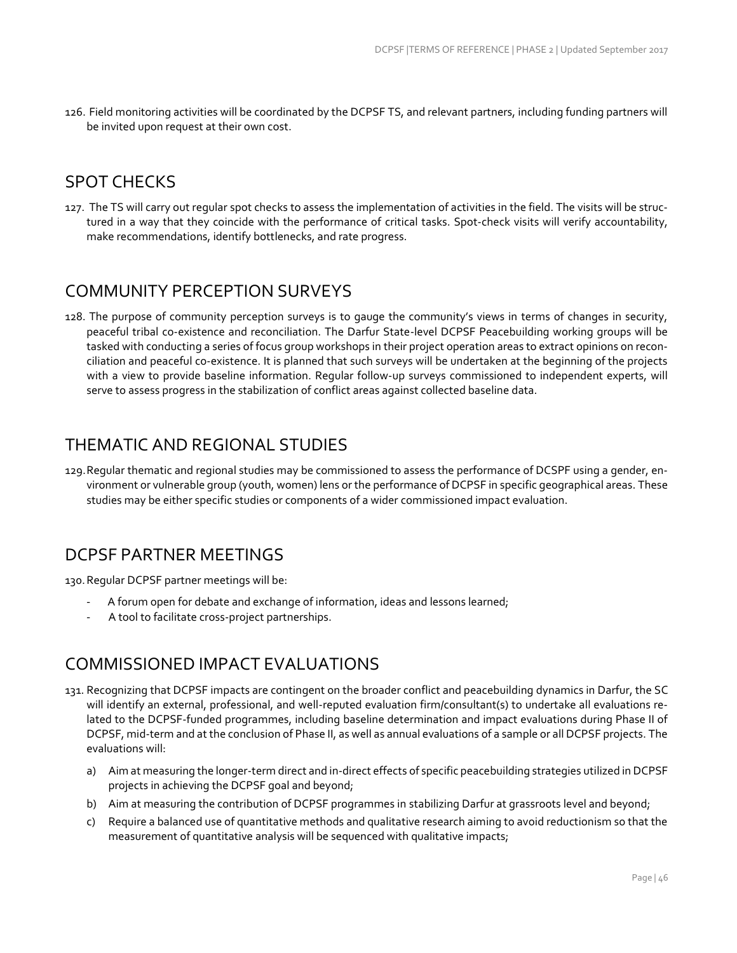126. Field monitoring activities will be coordinated by the DCPSF TS, and relevant partners, including funding partners will be invited upon request at their own cost.

# SPOT CHECKS

<span id="page-45-0"></span>127. The TS will carry out regular spot checks to assess the implementation of activities in the field. The visits will be structured in a way that they coincide with the performance of critical tasks. Spot-check visits will verify accountability, make recommendations, identify bottlenecks, and rate progress.

### COMMUNITY PERCEPTION SURVEYS

<span id="page-45-1"></span>128. The purpose of community perception surveys is to gauge the community's views in terms of changes in security, peaceful tribal co-existence and reconciliation. The Darfur State-level DCPSF Peacebuilding working groups will be tasked with conducting a series of focus group workshops in their project operation areas to extract opinions on reconciliation and peaceful co-existence. It is planned that such surveys will be undertaken at the beginning of the projects with a view to provide baseline information. Regular follow-up surveys commissioned to independent experts, will serve to assess progress in the stabilization of conflict areas against collected baseline data.

## THEMATIC AND REGIONAL STUDIES

<span id="page-45-2"></span>129.Regular thematic and regional studies may be commissioned to assess the performance of DCSPF using a gender, environment or vulnerable group (youth, women) lens or the performance of DCPSF in specific geographical areas. These studies may be either specific studies or components of a wider commissioned impact evaluation.

# DCPSF PARTNER MEETINGS

<span id="page-45-3"></span>130.Regular DCPSF partner meetings will be:

- A forum open for debate and exchange of information, ideas and lessons learned;
- A tool to facilitate cross-project partnerships.

## COMMISSIONED IMPACT EVALUATIONS

- <span id="page-45-4"></span>131. Recognizing that DCPSF impacts are contingent on the broader conflict and peacebuilding dynamics in Darfur, the SC will identify an external, professional, and well-reputed evaluation firm/consultant(s) to undertake all evaluations related to the DCPSF-funded programmes, including baseline determination and impact evaluations during Phase II of DCPSF, mid-term and at the conclusion of Phase II, as well as annual evaluations of a sample or all DCPSF projects. The evaluations will:
	- a) Aim at measuring the longer-term direct and in-direct effects of specific peacebuilding strategies utilized in DCPSF projects in achieving the DCPSF goal and beyond;
	- b) Aim at measuring the contribution of DCPSF programmes in stabilizing Darfur at grassroots level and beyond;
	- c) Require a balanced use of quantitative methods and qualitative research aiming to avoid reductionism so that the measurement of quantitative analysis will be sequenced with qualitative impacts;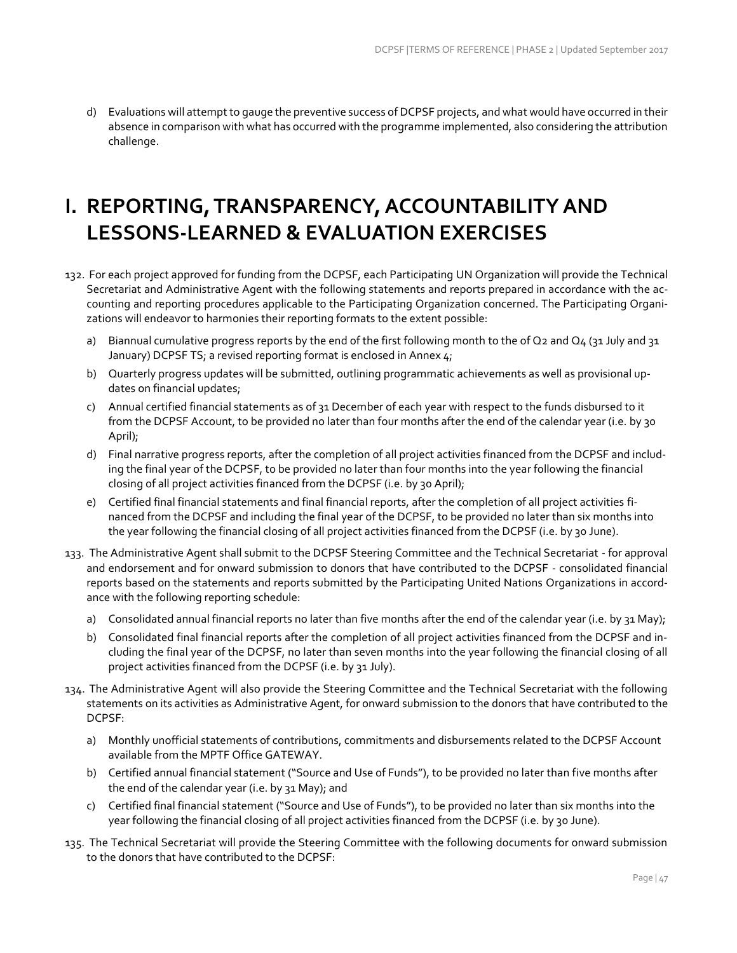d) Evaluations will attempt to gauge the preventive success of DCPSF projects, and what would have occurred in their absence in comparison with what has occurred with the programme implemented, also considering the attribution challenge.

# **I. REPORTING, TRANSPARENCY, ACCOUNTABILITY AND LESSONS-LEARNED & EVALUATION EXERCISES**

- <span id="page-46-0"></span>132. For each project approved for funding from the DCPSF, each Participating UN Organization will provide the Technical Secretariat and Administrative Agent with the following statements and reports prepared in accordance with the accounting and reporting procedures applicable to the Participating Organization concerned. The Participating Organizations will endeavor to harmonies their reporting formats to the extent possible:
	- a) Biannual cumulative progress reports by the end of the first following month to the of  $Q_2$  and  $Q_4$  (31 July and 31 January) DCPSF TS; a revised reporting format is enclosed in Annex 4;
	- b) Quarterly progress updates will be submitted, outlining programmatic achievements as well as provisional updates on financial updates;
	- c) Annual certified financial statements as of 31 December of each year with respect to the funds disbursed to it from the DCPSF Account, to be provided no later than four months after the end of the calendar year (i.e. by 30 April);
	- d) Final narrative progress reports, after the completion of all project activities financed from the DCPSF and including the final year of the DCPSF, to be provided no later than four months into the year following the financial closing of all project activities financed from the DCPSF (i.e. by 30 April);
	- e) Certified final financial statements and final financial reports, after the completion of all project activities financed from the DCPSF and including the final year of the DCPSF, to be provided no later than six months into the year following the financial closing of all project activities financed from the DCPSF (i.e. by 30 June).
- 133. The Administrative Agent shall submit to the DCPSF Steering Committee and the Technical Secretariat for approval and endorsement and for onward submission to donors that have contributed to the DCPSF - consolidated financial reports based on the statements and reports submitted by the Participating United Nations Organizations in accordance with the following reporting schedule:
	- a) Consolidated annual financial reports no later than five months after the end of the calendar year (i.e. by 31 May);
	- b) Consolidated final financial reports after the completion of all project activities financed from the DCPSF and including the final year of the DCPSF, no later than seven months into the year following the financial closing of all project activities financed from the DCPSF (i.e. by 31 July).
- 134. The Administrative Agent will also provide the Steering Committee and the Technical Secretariat with the following statements on its activities as Administrative Agent, for onward submission to the donors that have contributed to the DCPSF:
	- a) Monthly unofficial statements of contributions, commitments and disbursements related to the DCPSF Account available from the MPTF Office GATEWAY.
	- b) Certified annual financial statement ("Source and Use of Funds"), to be provided no later than five months after the end of the calendar year (i.e. by 31 May); and
	- c) Certified final financial statement ("Source and Use of Funds"), to be provided no later than six months into the year following the financial closing of all project activities financed from the DCPSF (i.e. by 30 June).
- 135. The Technical Secretariat will provide the Steering Committee with the following documents for onward submission to the donors that have contributed to the DCPSF: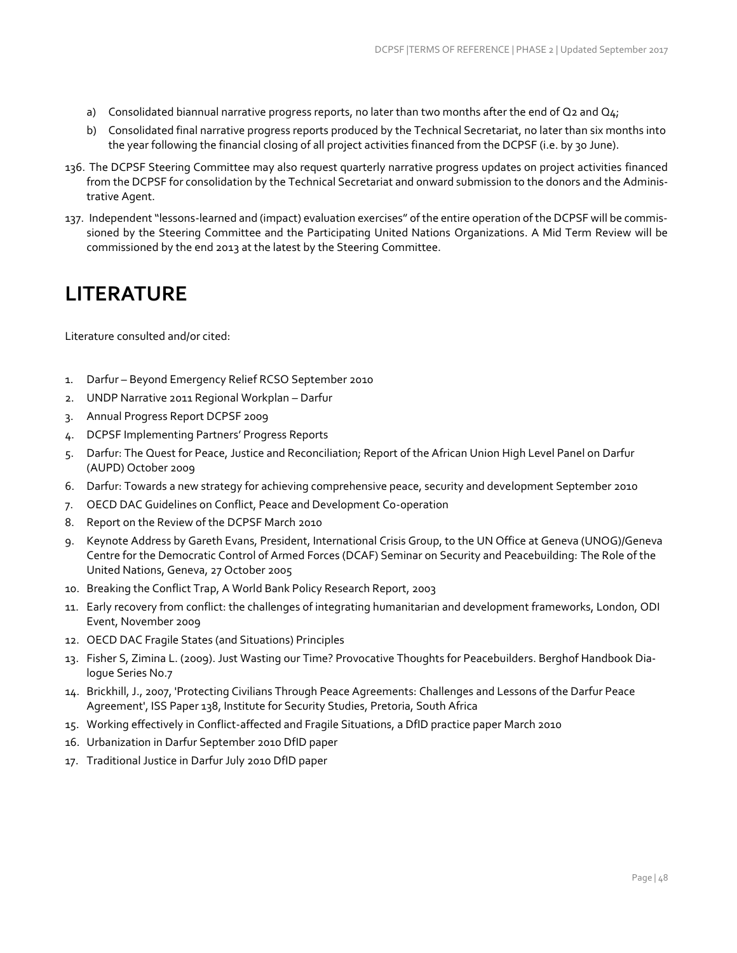- a) Consolidated biannual narrative progress reports, no later than two months after the end of  $Q_2$  and  $Q_{4}$ ;
- b) Consolidated final narrative progress reports produced by the Technical Secretariat, no later than six months into the year following the financial closing of all project activities financed from the DCPSF (i.e. by 30 June).
- 136. The DCPSF Steering Committee may also request quarterly narrative progress updates on project activities financed from the DCPSF for consolidation by the Technical Secretariat and onward submission to the donors and the Administrative Agent.
- 137. Independent "lessons-learned and (impact) evaluation exercises" of the entire operation of the DCPSF will be commissioned by the Steering Committee and the Participating United Nations Organizations. A Mid Term Review will be commissioned by the end 2013 at the latest by the Steering Committee.

# **LITERATURE**

<span id="page-47-0"></span>Literature consulted and/or cited:

- 1. Darfur Beyond Emergency Relief RCSO September 2010
- 2. UNDP Narrative 2011 Regional Workplan Darfur
- 3. Annual Progress Report DCPSF 2009
- 4. DCPSF Implementing Partners' Progress Reports
- 5. Darfur: The Quest for Peace, Justice and Reconciliation; Report of the African Union High Level Panel on Darfur (AUPD) October 2009
- 6. Darfur: Towards a new strategy for achieving comprehensive peace, security and development September 2010
- 7. OECD DAC Guidelines on Conflict, Peace and Development Co-operation
- 8. Report on the Review of the DCPSF March 2010
- 9. Keynote Address by Gareth Evans, President, International Crisis Group, to the UN Office at Geneva (UNOG)/Geneva Centre for the Democratic Control of Armed Forces (DCAF) Seminar on Security and Peacebuilding: The Role of the United Nations, Geneva, 27 October 2005
- 10. Breaking the Conflict Trap, A World Bank Policy Research Report, 2003
- 11. Early recovery from conflict: the challenges of integrating humanitarian and development frameworks, London, ODI Event, November 2009
- 12. OECD DAC Fragile States (and Situations) Principles
- 13. Fisher S, Zimina L. (2009). Just Wasting our Time? Provocative Thoughts for Peacebuilders. Berghof Handbook Dialogue Series No.7
- 14. Brickhill, J., 2007, 'Protecting Civilians Through Peace Agreements: Challenges and Lessons of the Darfur Peace Agreement', ISS Paper 138, Institute for Security Studies, Pretoria, South Africa
- 15. Working effectively in Conflict-affected and Fragile Situations, a DfID practice paper March 2010
- 16. Urbanization in Darfur September 2010 DfID paper
- 17. Traditional Justice in Darfur July 2010 DfID paper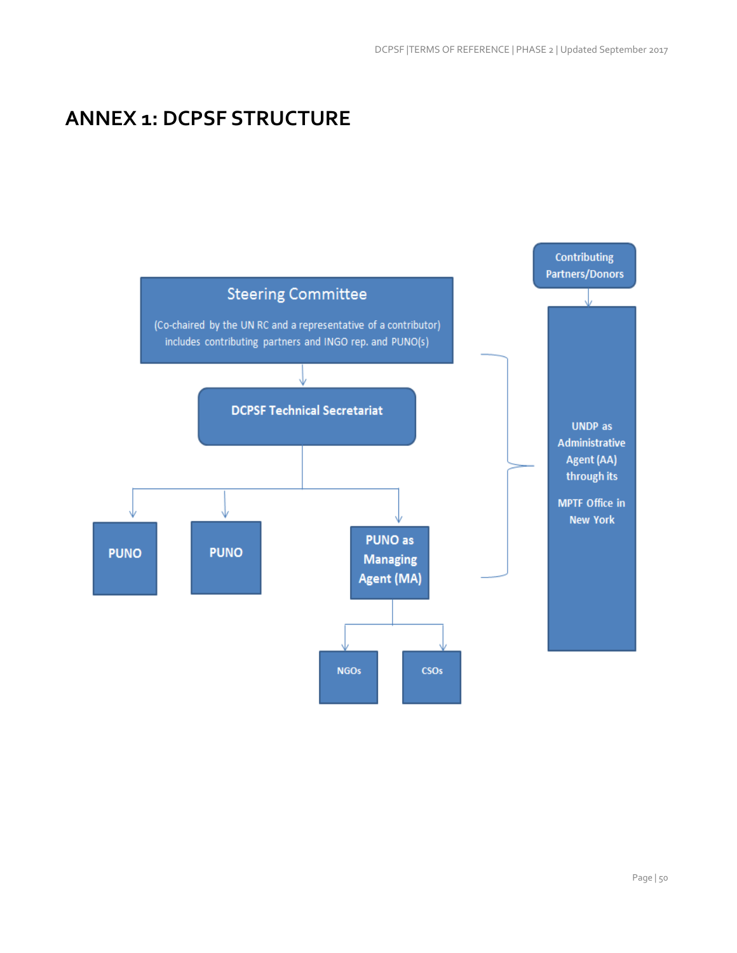# <span id="page-49-0"></span>**ANNEX 1: DCPSF STRUCTURE**

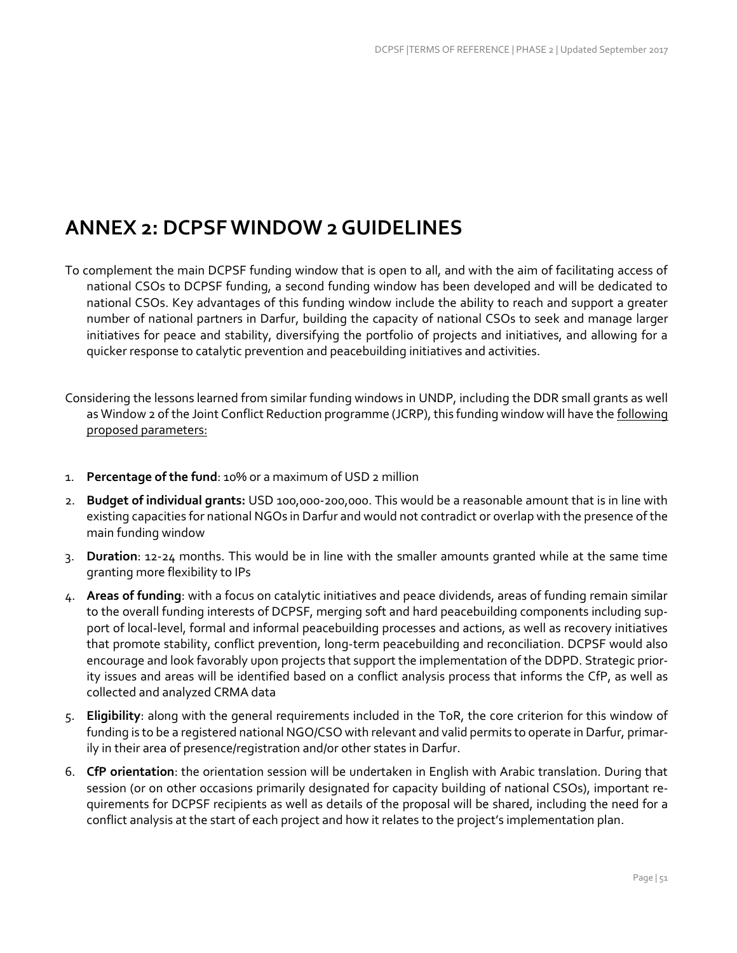# **ANNEX 2: DCPSF WINDOW 2 GUIDELINES**

- <span id="page-50-0"></span>To complement the main DCPSF funding window that is open to all, and with the aim of facilitating access of national CSOs to DCPSF funding, a second funding window has been developed and will be dedicated to national CSOs. Key advantages of this funding window include the ability to reach and support a greater number of national partners in Darfur, building the capacity of national CSOs to seek and manage larger initiatives for peace and stability, diversifying the portfolio of projects and initiatives, and allowing for a quicker response to catalytic prevention and peacebuilding initiatives and activities.
- Considering the lessons learned from similar funding windows in UNDP, including the DDR small grants as well as Window 2 of the Joint Conflict Reduction programme (JCRP), this funding window will have the following proposed parameters:
- 1. **Percentage of the fund**: 10% or a maximum of USD 2 million
- 2. **Budget of individual grants:** USD 100,000-200,000. This would be a reasonable amount that is in line with existing capacities for national NGOs in Darfur and would not contradict or overlap with the presence of the main funding window
- 3. **Duration**: 12-24 months. This would be in line with the smaller amounts granted while at the same time granting more flexibility to IPs
- 4. **Areas of funding**: with a focus on catalytic initiatives and peace dividends, areas of funding remain similar to the overall funding interests of DCPSF, merging soft and hard peacebuilding components including support of local-level, formal and informal peacebuilding processes and actions, as well as recovery initiatives that promote stability, conflict prevention, long-term peacebuilding and reconciliation. DCPSF would also encourage and look favorably upon projects that support the implementation of the DDPD. Strategic priority issues and areas will be identified based on a conflict analysis process that informs the CfP, as well as collected and analyzed CRMA data
- 5. **Eligibility**: along with the general requirements included in the ToR, the core criterion for this window of funding is to be a registered national NGO/CSO with relevant and valid permits to operate in Darfur, primarily in their area of presence/registration and/or other states in Darfur.
- 6. **CfP orientation**: the orientation session will be undertaken in English with Arabic translation. During that session (or on other occasions primarily designated for capacity building of national CSOs), important requirements for DCPSF recipients as well as details of the proposal will be shared, including the need for a conflict analysis at the start of each project and how it relates to the project's implementation plan.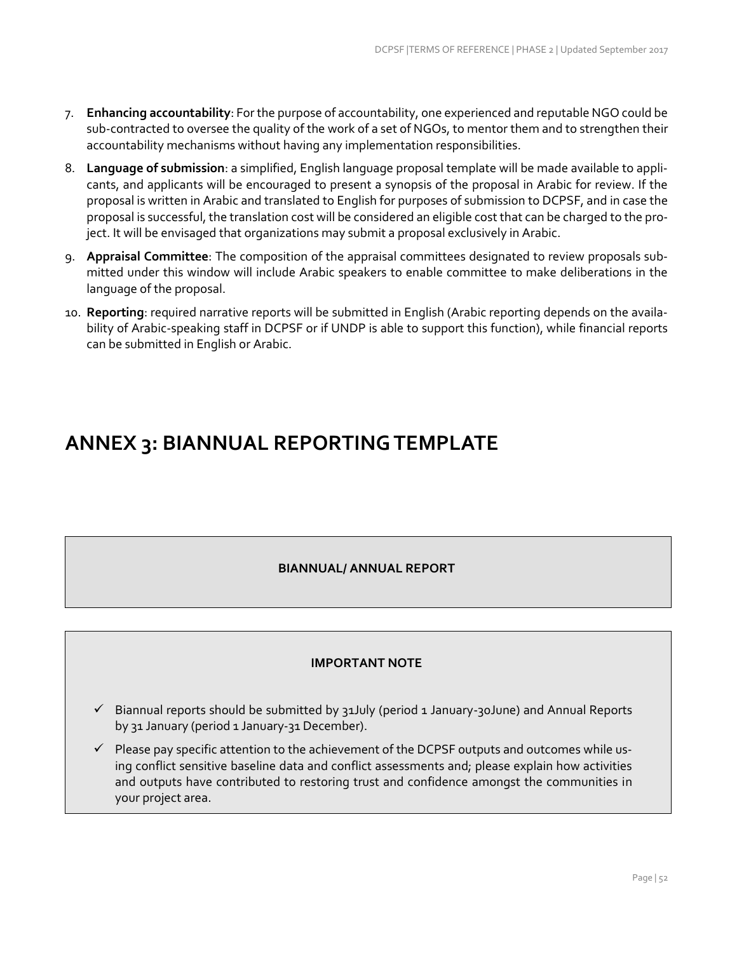- 7. **Enhancing accountability**: For the purpose of accountability, one experienced and reputable NGO could be sub-contracted to oversee the quality of the work of a set of NGOs, to mentor them and to strengthen their accountability mechanisms without having any implementation responsibilities.
- 8. **Language of submission**: a simplified, English language proposal template will be made available to applicants, and applicants will be encouraged to present a synopsis of the proposal in Arabic for review. If the proposal is written in Arabic and translated to English for purposes of submission to DCPSF, and in case the proposal is successful, the translation cost will be considered an eligible cost that can be charged to the project. It will be envisaged that organizations may submit a proposal exclusively in Arabic.
- 9. **Appraisal Committee**: The composition of the appraisal committees designated to review proposals submitted under this window will include Arabic speakers to enable committee to make deliberations in the language of the proposal.
- 10. **Reporting**: required narrative reports will be submitted in English (Arabic reporting depends on the availability of Arabic-speaking staff in DCPSF or if UNDP is able to support this function), while financial reports can be submitted in English or Arabic.

# <span id="page-51-0"></span>**ANNEX 3: BIANNUAL REPORTINGTEMPLATE**

### **BIANNUAL/ ANNUAL REPORT**

#### **IMPORTANT NOTE**

- ✓ Biannual reports should be submitted by 31July (period 1 January-30June) and Annual Reports by 31 January (period 1 January-31 December).
- $\checkmark$  Please pay specific attention to the achievement of the DCPSF outputs and outcomes while using conflict sensitive baseline data and conflict assessments and; please explain how activities and outputs have contributed to restoring trust and confidence amongst the communities in your project area.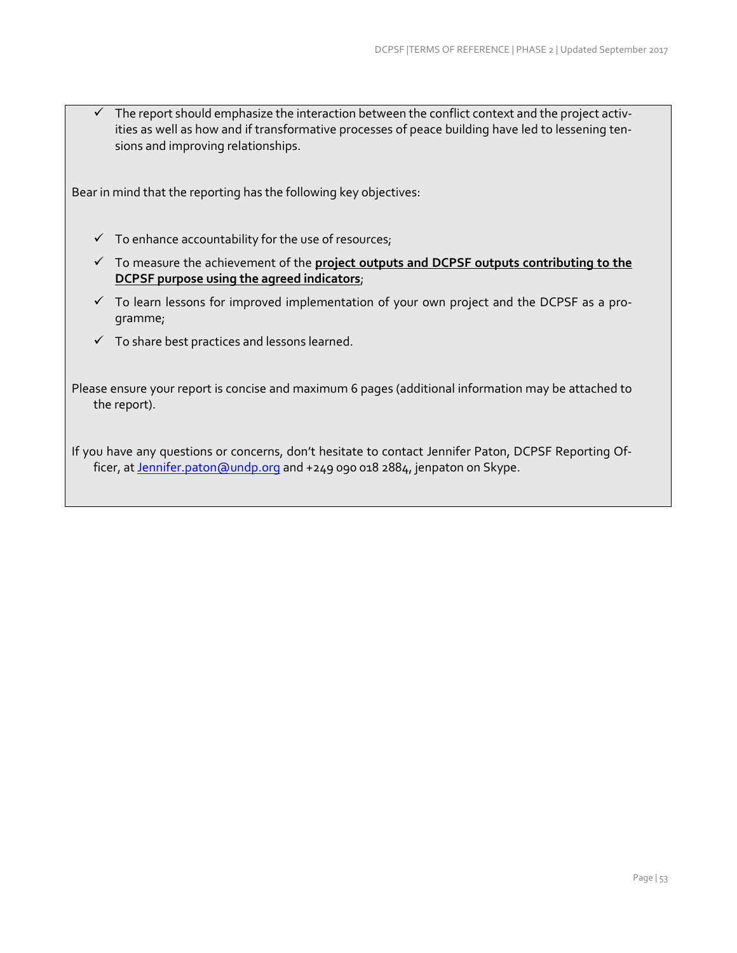$\checkmark$  The report should emphasize the interaction between the conflict context and the project activities as well as how and if transformative processes of peace building have led to lessening tensions and improving relationships.

Bear in mind that the reporting has the following key objectives:

- $\checkmark$  To enhance accountability for the use of resources;
- ✓ To measure the achievement of the **project outputs and DCPSF outputs contributing to the DCPSF purpose using the agreed indicators**;
- $\checkmark$  To learn lessons for improved implementation of your own project and the DCPSF as a programme;
- $\checkmark$  To share best practices and lessons learned.

Please ensure your report is concise and maximum 6 pages (additional information may be attached to the report).

If you have any questions or concerns, don't hesitate to contact Jennifer Paton, DCPSF Reporting Of-ficer, at [Jennifer.paton@undp.org](mailto:Jennifer.paton@undp.org) and +249 090 018 2884, jenpaton on Skype.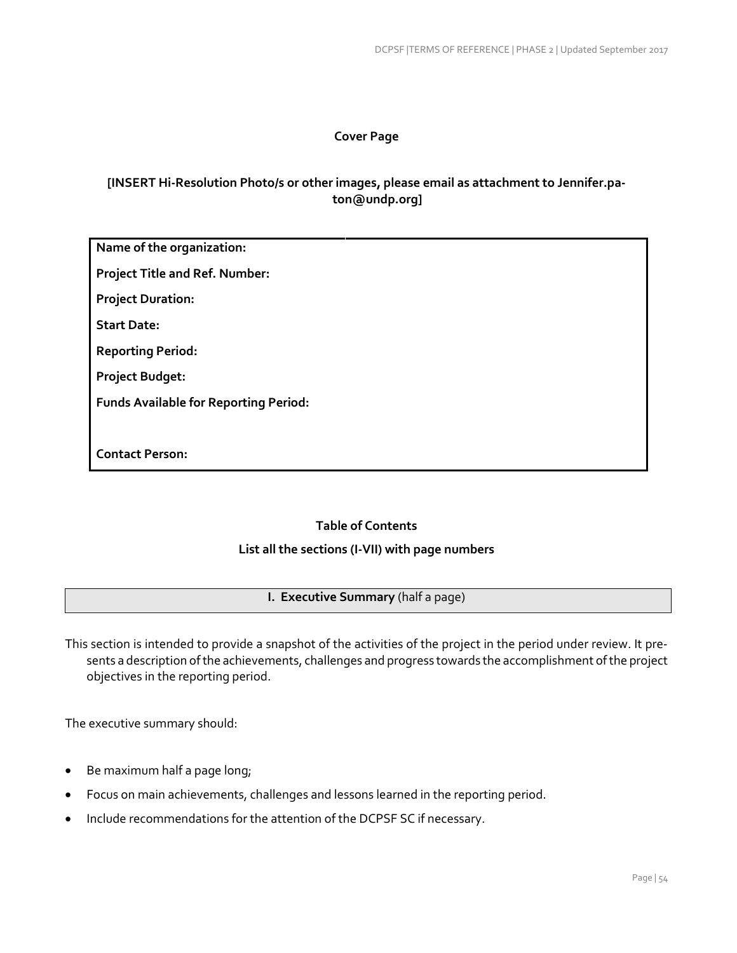### **Cover Page**

### **[INSERT Hi-Resolution Photo/s or other images, please email as attachment to Jennifer.paton@undp.org]**

**Name of the organization:**

**Project Title and Ref. Number:**

**Project Duration:**

**Start Date:**

**Reporting Period:** 

**Project Budget:**

**Funds Available for Reporting Period:** 

**Contact Person:**

### **Table of Contents**

#### **List all the sections (I-VII) with page numbers**

### **I. Executive Summary** (half a page)

This section is intended to provide a snapshot of the activities of the project in the period under review. It presents a description of the achievements, challenges and progress towards the accomplishment of the project objectives in the reporting period.

The executive summary should:

- Be maximum half a page long;
- Focus on main achievements, challenges and lessons learned in the reporting period.
- Include recommendations for the attention of the DCPSF SC if necessary.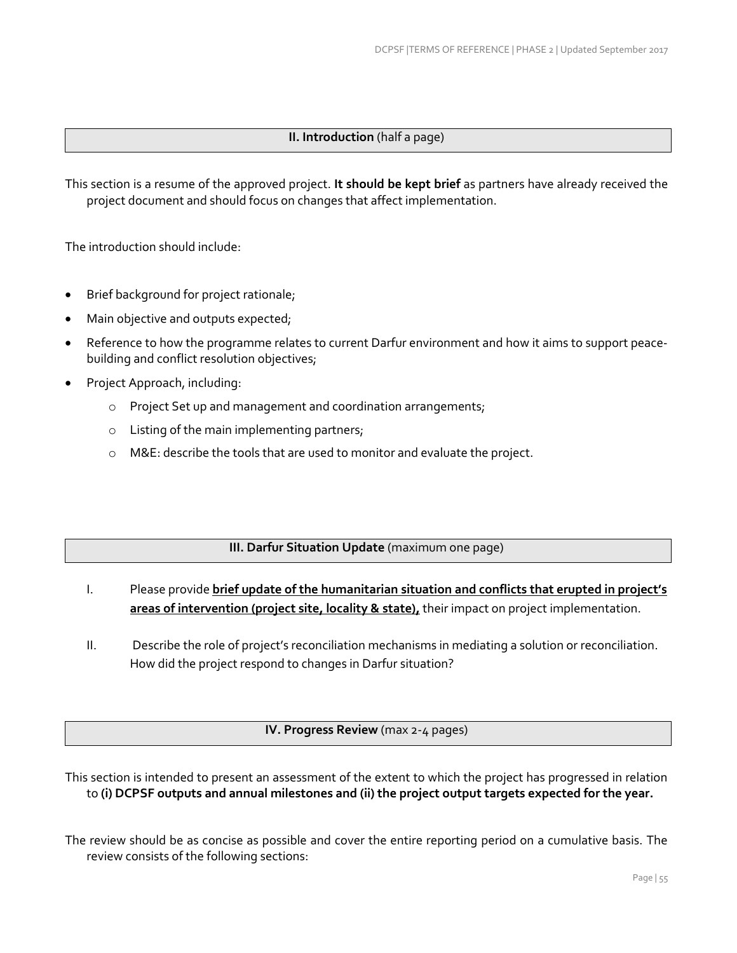### **II. Introduction** (half a page)

This section is a resume of the approved project. **It should be kept brief** as partners have already received the project document and should focus on changes that affect implementation.

The introduction should include:

- Brief background for project rationale;
- Main objective and outputs expected;
- Reference to how the programme relates to current Darfur environment and how it aims to support peacebuilding and conflict resolution objectives;
- Project Approach, including:
	- o Project Set up and management and coordination arrangements;
	- o Listing of the main implementing partners;
	- o M&E: describe the tools that are used to monitor and evaluate the project.

### **III. Darfur Situation Update** (maximum one page)

- I. Please provide **brief update of the humanitarian situation and conflicts that erupted in project's areas of intervention (project site, locality & state),** their impact on project implementation.
- II. Describe the role of project's reconciliation mechanisms in mediating a solution or reconciliation. How did the project respond to changes in Darfur situation?

**IV. Progress Review** (max 2-4 pages)

This section is intended to present an assessment of the extent to which the project has progressed in relation to **(i) DCPSF outputs and annual milestones and (ii) the project output targets expected for the year.** 

The review should be as concise as possible and cover the entire reporting period on a cumulative basis. The review consists of the following sections: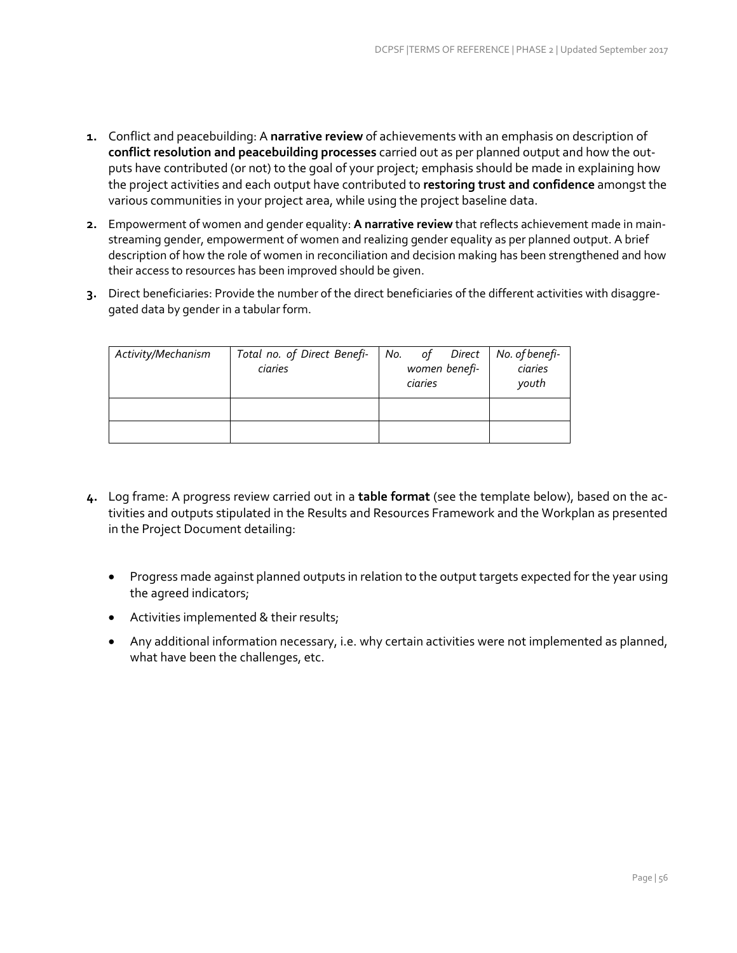- **1.** Conflict and peacebuilding: A **narrative review** of achievements with an emphasis on description of **conflict resolution and peacebuilding processes** carried out as per planned output and how the outputs have contributed (or not) to the goal of your project; emphasis should be made in explaining how the project activities and each output have contributed to **restoring trust and confidence** amongst the various communities in your project area, while using the project baseline data.
- **2.** Empowerment of women and gender equality: **A narrative review** that reflects achievement made in mainstreaming gender, empowerment of women and realizing gender equality as per planned output. A brief description of how the role of women in reconciliation and decision making has been strengthened and how their access to resources has been improved should be given.
- **3.** Direct beneficiaries: Provide the number of the direct beneficiaries of the different activities with disaggregated data by gender in a tabular form.

| Activity/Mechanism | Total no. of Direct Benefi-<br>ciaries | of Direct<br>No.<br>women benefi-<br>ciaries | No. of benefi-<br>ciaries<br>youth |
|--------------------|----------------------------------------|----------------------------------------------|------------------------------------|
|                    |                                        |                                              |                                    |
|                    |                                        |                                              |                                    |

- **4.** Log frame: A progress review carried out in a **table format** (see the template below), based on the activities and outputs stipulated in the Results and Resources Framework and the Workplan as presented in the Project Document detailing:
	- Progress made against planned outputs in relation to the output targets expected for the year using the agreed indicators;
	- Activities implemented & their results;
	- Any additional information necessary, i.e. why certain activities were not implemented as planned, what have been the challenges, etc.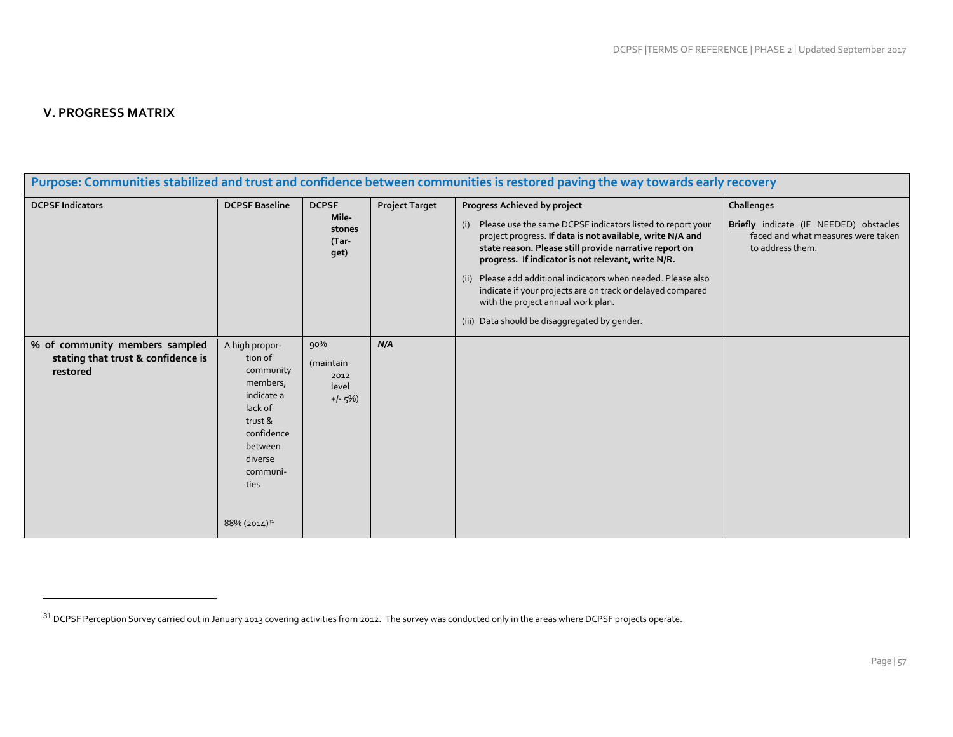### **V. PROGRESS MATRIX**

|                                                                                  |                                                                                                                                                                            |                                                 |                       | Purpose: Communities stabilized and trust and confidence between communities is restored paving the way towards early recovery                                                                                                                                                                                                                                                                                                                                                                           |                                                                                                                |
|----------------------------------------------------------------------------------|----------------------------------------------------------------------------------------------------------------------------------------------------------------------------|-------------------------------------------------|-----------------------|----------------------------------------------------------------------------------------------------------------------------------------------------------------------------------------------------------------------------------------------------------------------------------------------------------------------------------------------------------------------------------------------------------------------------------------------------------------------------------------------------------|----------------------------------------------------------------------------------------------------------------|
| <b>DCPSF Indicators</b>                                                          | <b>DCPSF Baseline</b>                                                                                                                                                      | <b>DCPSF</b><br>Mile-<br>stones<br>(Tar<br>get) | <b>Project Target</b> | Progress Achieved by project<br>Please use the same DCPSF indicators listed to report your<br>(i)<br>project progress. If data is not available, write N/A and<br>state reason. Please still provide narrative report on<br>progress. If indicator is not relevant, write N/R.<br>Please add additional indicators when needed. Please also<br>(ii)<br>indicate if your projects are on track or delayed compared<br>with the project annual work plan.<br>(iii) Data should be disaggregated by gender. | Challenges<br>Briefly indicate (IF NEEDED) obstacles<br>faced and what measures were taken<br>to address them. |
| % of community members sampled<br>stating that trust & confidence is<br>restored | A high propor-<br>tion of<br>community<br>members,<br>indicate a<br>lack of<br>trust &<br>confidence<br>between<br>diverse<br>communi-<br>ties<br>88% (2014) <sup>31</sup> | 90%<br>(maintain<br>2012<br>level<br>$+/- 5\%$  | N/A                   |                                                                                                                                                                                                                                                                                                                                                                                                                                                                                                          |                                                                                                                |

<sup>&</sup>lt;sup>31</sup> DCPSF Perception Survey carried out in January 2013 covering activities from 2012. The survey was conducted only in the areas where DCPSF projects operate.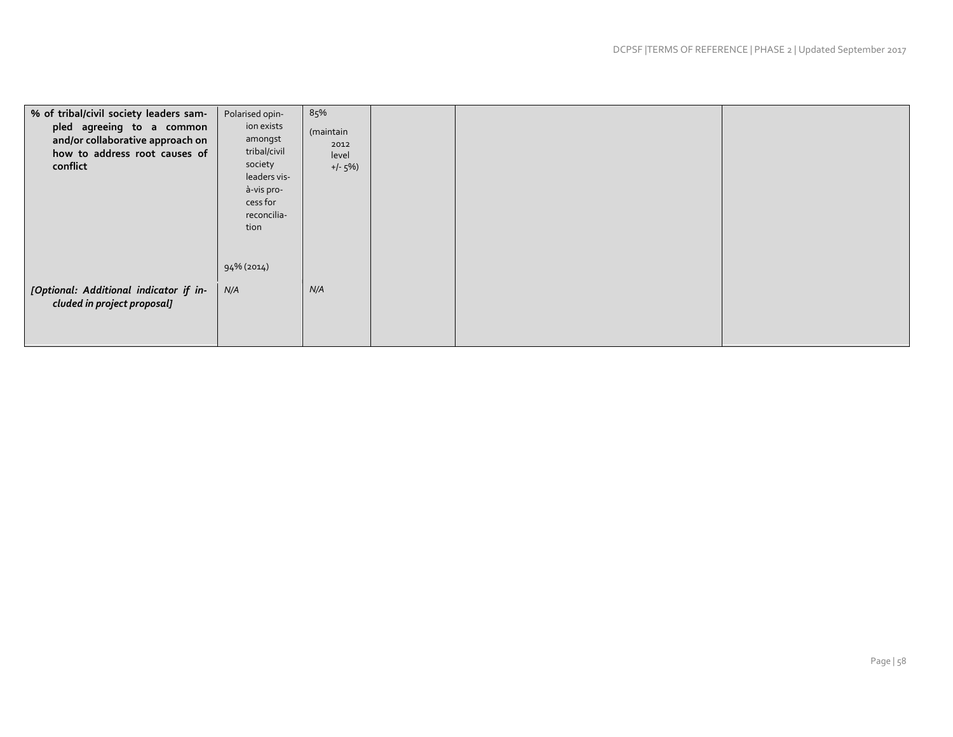| % of tribal/civil society leaders sam-<br>pled agreeing to a common<br>and/or collaborative approach on<br>how to address root causes of<br>conflict | Polarised opin-<br>ion exists<br>amongst<br>tribal/civil<br>society<br>leaders vis-<br>à-vis pro-<br>cess for<br>reconcilia-<br>tion<br>94% (2014) | 85%<br>(maintain<br>2012<br>level<br>$+/- 5\%$ |  |  |
|------------------------------------------------------------------------------------------------------------------------------------------------------|----------------------------------------------------------------------------------------------------------------------------------------------------|------------------------------------------------|--|--|
| [Optional: Additional indicator if in-<br>cluded in project proposal]                                                                                | N/A                                                                                                                                                | N/A                                            |  |  |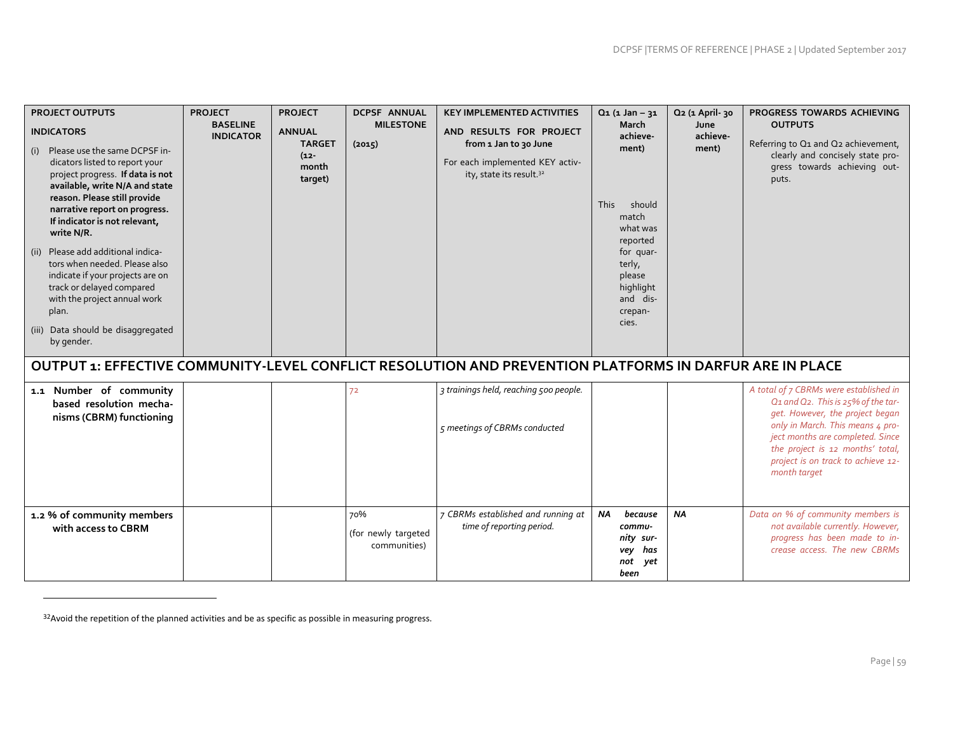|     | <b>PROJECT OUTPUTS</b>                                                                                                                                                                                                                                                                                                                                                                                                                                                                                     | <b>PROJECT</b>                      | <b>PROJECT</b>                                                | <b>DCPSF ANNUAL</b>                        | <b>KEY IMPLEMENTED ACTIVITIES</b>                                                                                                                                                                                                      | $Q_1$ (1 Jan - 31                                                                                                                                           | Q2 (1 April-30            | PROGRESS TOWARDS ACHIEVING                                                                                                                                                                                                                                                        |
|-----|------------------------------------------------------------------------------------------------------------------------------------------------------------------------------------------------------------------------------------------------------------------------------------------------------------------------------------------------------------------------------------------------------------------------------------------------------------------------------------------------------------|-------------------------------------|---------------------------------------------------------------|--------------------------------------------|----------------------------------------------------------------------------------------------------------------------------------------------------------------------------------------------------------------------------------------|-------------------------------------------------------------------------------------------------------------------------------------------------------------|---------------------------|-----------------------------------------------------------------------------------------------------------------------------------------------------------------------------------------------------------------------------------------------------------------------------------|
| (i) | <b>INDICATORS</b><br>Please use the same DCPSF in-<br>dicators listed to report your<br>project progress. If data is not<br>available, write N/A and state<br>reason. Please still provide<br>narrative report on progress.<br>If indicator is not relevant,<br>write N/R.<br>Please add additional indica-<br>tors when needed. Please also<br>indicate if your projects are on<br>track or delayed compared<br>with the project annual work<br>plan.<br>(iii) Data should be disaggregated<br>by gender. | <b>BASELINE</b><br><b>INDICATOR</b> | <b>ANNUAL</b><br><b>TARGET</b><br>$(12 -$<br>month<br>target) | <b>MILESTONE</b><br>(2015)                 | AND RESULTS FOR PROJECT<br>from 1 Jan to 30 June<br>For each implemented KEY activ-<br>ity, state its result. <sup>32</sup><br>OUTPUT 1: EFFECTIVE COMMUNITY-LEVEL CONFLICT RESOLUTION AND PREVENTION PLATFORMS IN DARFUR ARE IN PLACE | March<br>achieve-<br>ment)<br>This<br>should<br>match<br>what was<br>reported<br>for quar-<br>terly,<br>please<br>highlight<br>and dis-<br>crepan-<br>cies. | June<br>achieve-<br>ment) | <b>OUTPUTS</b><br>Referring to Q1 and Q2 achievement,<br>clearly and concisely state pro-<br>gress towards achieving out-<br>puts.                                                                                                                                                |
|     | 1.1 Number of community<br>based resolution mecha-<br>nisms (CBRM) functioning                                                                                                                                                                                                                                                                                                                                                                                                                             |                                     |                                                               | 72                                         | 3 trainings held, reaching 500 people.<br>5 meetings of CBRMs conducted                                                                                                                                                                |                                                                                                                                                             |                           | A total of 7 CBRMs were established in<br>Q1 and Q2. This is 25% of the tar-<br>get. However, the project began<br>only in March. This means 4 pro-<br>ject months are completed. Since<br>the project is 12 months' total,<br>project is on track to achieve 12-<br>month target |
|     | 1.2 % of community members<br>with access to CBRM                                                                                                                                                                                                                                                                                                                                                                                                                                                          |                                     |                                                               | 70%<br>(for newly targeted<br>communities) | 7 CBRMs established and running at<br>time of reporting period.                                                                                                                                                                        | <b>NA</b><br>because<br>commu-<br>nity sur-<br>vey has<br>not<br>yet<br>been                                                                                | <b>NA</b>                 | Data on % of community members is<br>not available currently. However,<br>progress has been made to in-<br>crease access. The new CBRMs                                                                                                                                           |

 $32$ Avoid the repetition of the planned activities and be as specific as possible in measuring progress.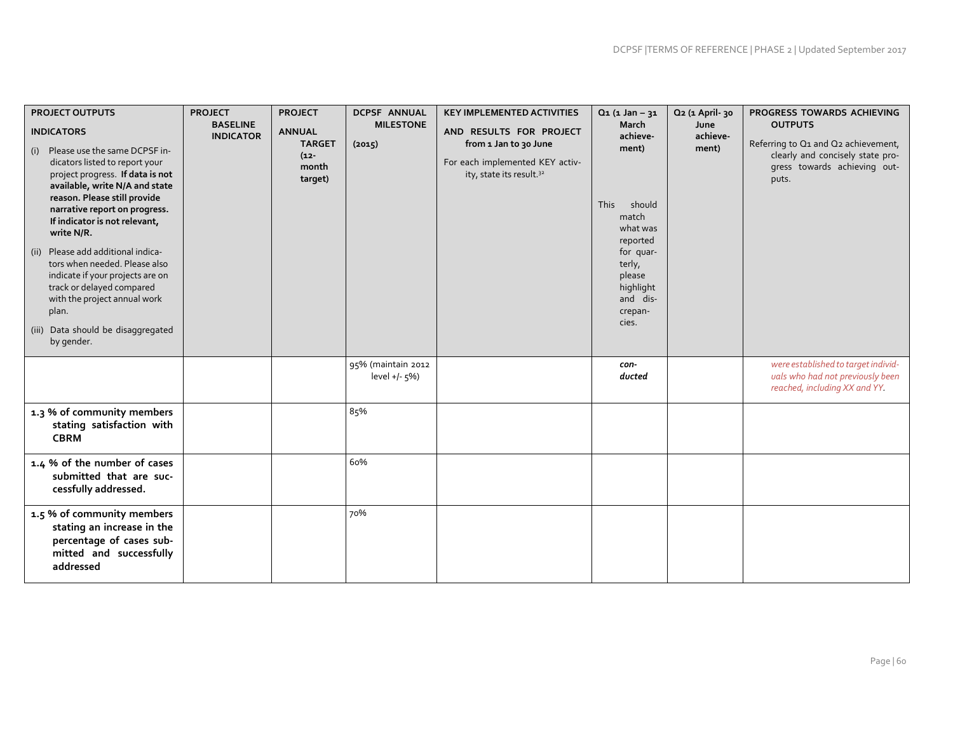|             | <b>PROJECT OUTPUTS</b>                                                                                                                                                                                                                                                                                                                                                           | <b>PROJECT</b>                      | <b>PROJECT</b>                                                | DCPSF ANNUAL                        | <b>KEY IMPLEMENTED ACTIVITIES</b>                                                                                           | $Q_1$ (1 Jan - 31                                                                                                     | Q2 (1 April-30            | PROGRESS TOWARDS ACHIEVING                                                                                                         |
|-------------|----------------------------------------------------------------------------------------------------------------------------------------------------------------------------------------------------------------------------------------------------------------------------------------------------------------------------------------------------------------------------------|-------------------------------------|---------------------------------------------------------------|-------------------------------------|-----------------------------------------------------------------------------------------------------------------------------|-----------------------------------------------------------------------------------------------------------------------|---------------------------|------------------------------------------------------------------------------------------------------------------------------------|
| (i)<br>(ii) | <b>INDICATORS</b><br>Please use the same DCPSF in-<br>dicators listed to report your<br>project progress. If data is not<br>available, write N/A and state<br>reason. Please still provide<br>narrative report on progress.<br>If indicator is not relevant,<br>write N/R.<br>Please add additional indica-<br>tors when needed. Please also<br>indicate if your projects are on | <b>BASELINE</b><br><b>INDICATOR</b> | <b>ANNUAL</b><br><b>TARGET</b><br>$(12 -$<br>month<br>target) | <b>MILESTONE</b><br>(2015)          | AND RESULTS FOR PROJECT<br>from 1 Jan to 30 June<br>For each implemented KEY activ-<br>ity, state its result. <sup>32</sup> | March<br>achieve-<br>ment)<br><b>This</b><br>should<br>match<br>what was<br>reported<br>for quar-<br>terly,<br>please | June<br>achieve-<br>ment) | <b>OUTPUTS</b><br>Referring to Q1 and Q2 achievement,<br>clearly and concisely state pro-<br>gress towards achieving out-<br>puts. |
|             | track or delayed compared<br>with the project annual work<br>plan.<br>(iii) Data should be disaggregated<br>by gender.                                                                                                                                                                                                                                                           |                                     |                                                               |                                     |                                                                                                                             | highlight<br>and dis-<br>crepan-<br>cies.                                                                             |                           |                                                                                                                                    |
|             |                                                                                                                                                                                                                                                                                                                                                                                  |                                     |                                                               | 95% (maintain 2012<br>level +/- 5%) |                                                                                                                             | con-<br>ducted                                                                                                        |                           | were established to target individ-<br>uals who had not previously been<br>reached, including XX and YY.                           |
|             | 1.3 % of community members<br>stating satisfaction with<br><b>CBRM</b>                                                                                                                                                                                                                                                                                                           |                                     |                                                               | 85%                                 |                                                                                                                             |                                                                                                                       |                           |                                                                                                                                    |
|             | 1.4 % of the number of cases<br>submitted that are suc-<br>cessfully addressed.                                                                                                                                                                                                                                                                                                  |                                     |                                                               | 60%                                 |                                                                                                                             |                                                                                                                       |                           |                                                                                                                                    |
|             | 1.5 % of community members<br>stating an increase in the<br>percentage of cases sub-<br>mitted and successfully<br>addressed                                                                                                                                                                                                                                                     |                                     |                                                               | 70%                                 |                                                                                                                             |                                                                                                                       |                           |                                                                                                                                    |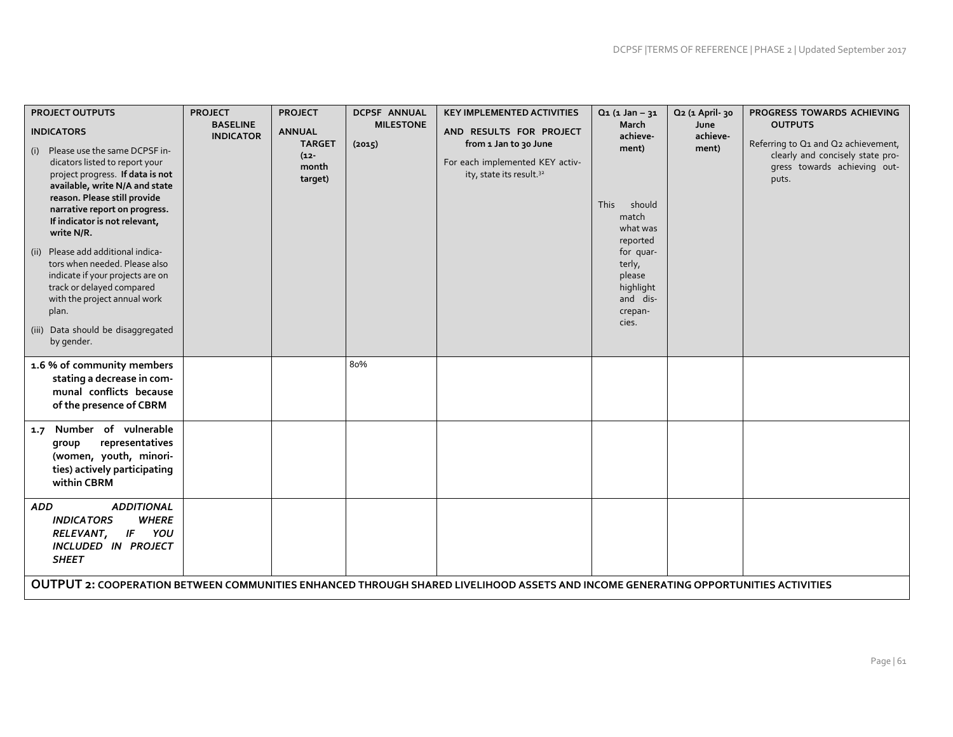| <b>PROJECT OUTPUTS</b>                                                                                                                                                                                                                                                                                                                                                                                                                                                                                                 | <b>PROJECT</b>                      | <b>PROJECT</b>                                                | DCPSF ANNUAL               | <b>KEY IMPLEMENTED ACTIVITIES</b>                                                                                | $Q_1$ (1 Jan - 31                                                                                                                                                  | Q2 (1 April-30            | PROGRESS TOWARDS ACHIEVING                                                                                                         |
|------------------------------------------------------------------------------------------------------------------------------------------------------------------------------------------------------------------------------------------------------------------------------------------------------------------------------------------------------------------------------------------------------------------------------------------------------------------------------------------------------------------------|-------------------------------------|---------------------------------------------------------------|----------------------------|------------------------------------------------------------------------------------------------------------------|--------------------------------------------------------------------------------------------------------------------------------------------------------------------|---------------------------|------------------------------------------------------------------------------------------------------------------------------------|
| <b>INDICATORS</b><br>Please use the same DCPSF in-<br>(i)<br>dicators listed to report your<br>project progress. If data is not<br>available, write N/A and state<br>reason. Please still provide<br>narrative report on progress.<br>If indicator is not relevant,<br>write N/R.<br>(ii) Please add additional indica-<br>tors when needed. Please also<br>indicate if your projects are on<br>track or delayed compared<br>with the project annual work<br>plan.<br>(iii) Data should be disaggregated<br>by gender. | <b>BASELINE</b><br><b>INDICATOR</b> | <b>ANNUAL</b><br><b>TARGET</b><br>$(12 -$<br>month<br>target) | <b>MILESTONE</b><br>(2015) | AND RESULTS FOR PROJECT<br>from 1 Jan to 30 June<br>For each implemented KEY activ-<br>ity, state its result. 32 | March<br>achieve-<br>ment)<br><b>This</b><br>should<br>match<br>what was<br>reported<br>for quar-<br>terly,<br>please<br>highlight<br>and dis-<br>crepan-<br>cies. | June<br>achieve-<br>ment) | <b>OUTPUTS</b><br>Referring to Q1 and Q2 achievement,<br>clearly and concisely state pro-<br>gress towards achieving out-<br>puts. |
| 1.6 % of community members<br>stating a decrease in com-<br>munal conflicts because<br>of the presence of CBRM                                                                                                                                                                                                                                                                                                                                                                                                         |                                     |                                                               | 80%                        |                                                                                                                  |                                                                                                                                                                    |                           |                                                                                                                                    |
| Number of vulnerable<br>1.7<br>representatives<br>qroup<br>(women, youth, minori-<br>ties) actively participating<br>within CBRM                                                                                                                                                                                                                                                                                                                                                                                       |                                     |                                                               |                            |                                                                                                                  |                                                                                                                                                                    |                           |                                                                                                                                    |
| <b>ADDITIONAL</b><br><b>ADD</b><br><b>WHERE</b><br><b>INDICATORS</b><br>RELEVANT,<br>YOU<br>IF<br><b>INCLUDED IN PROJECT</b><br><b>SHEET</b>                                                                                                                                                                                                                                                                                                                                                                           |                                     |                                                               |                            |                                                                                                                  |                                                                                                                                                                    |                           |                                                                                                                                    |
| OUTPUT 2: COOPERATION BETWEEN COMMUNITIES ENHANCED THROUGH SHARED LIVELIHOOD ASSETS AND INCOME GENERATING OPPORTUNITIES ACTIVITIES                                                                                                                                                                                                                                                                                                                                                                                     |                                     |                                                               |                            |                                                                                                                  |                                                                                                                                                                    |                           |                                                                                                                                    |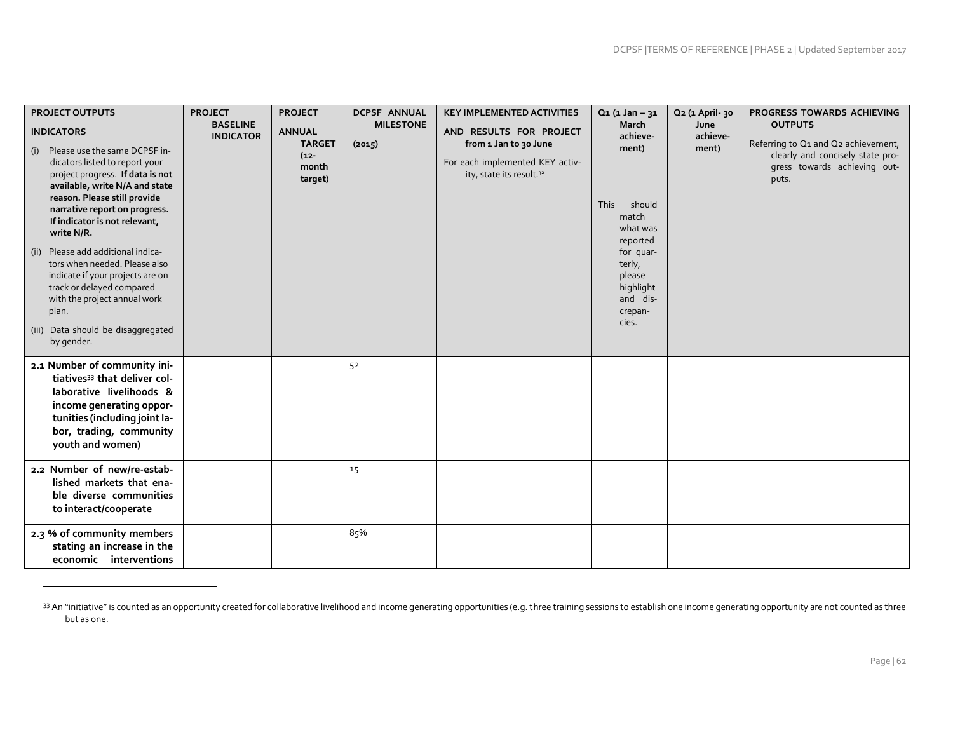| <b>PROJECT OUTPUTS</b><br><b>INDICATORS</b><br>Please use the same DCPSF in-<br>(i)<br>dicators listed to report your<br>project progress. If data is not<br>available, write N/A and state<br>reason. Please still provide<br>narrative report on progress.<br>If indicator is not relevant,<br>write N/R.<br>(ii) Please add additional indica-<br>tors when needed. Please also<br>indicate if your projects are on<br>track or delayed compared<br>with the project annual work<br>plan.<br>(iii) Data should be disaggregated<br>by gender. | <b>PROJECT</b><br><b>BASELINE</b><br><b>INDICATOR</b> | <b>PROJECT</b><br><b>ANNUAL</b><br><b>TARGET</b><br>$(12 -$<br>month<br>target) | DCPSF ANNUAL<br><b>MILESTONE</b><br>(2015) | <b>KEY IMPLEMENTED ACTIVITIES</b><br>AND RESULTS FOR PROJECT<br>from 1 Jan to 30 June<br>For each implemented KEY activ-<br>ity, state its result.32 | $Q_1$ (1 Jan - 31<br>March<br>achieve-<br>ment)<br>This<br>should<br>match<br>what was<br>reported<br>for quar-<br>terly,<br>please<br>highlight<br>and dis-<br>crepan-<br>cies. | Q2 (1 April-30<br>June<br>achieve-<br>ment) | PROGRESS TOWARDS ACHIEVING<br><b>OUTPUTS</b><br>Referring to Q1 and Q2 achievement,<br>clearly and concisely state pro-<br>gress towards achieving out-<br>puts. |
|--------------------------------------------------------------------------------------------------------------------------------------------------------------------------------------------------------------------------------------------------------------------------------------------------------------------------------------------------------------------------------------------------------------------------------------------------------------------------------------------------------------------------------------------------|-------------------------------------------------------|---------------------------------------------------------------------------------|--------------------------------------------|------------------------------------------------------------------------------------------------------------------------------------------------------|----------------------------------------------------------------------------------------------------------------------------------------------------------------------------------|---------------------------------------------|------------------------------------------------------------------------------------------------------------------------------------------------------------------|
| 2.1 Number of community ini-<br>tiatives <sup>33</sup> that deliver col-<br>laborative livelihoods &<br>income generating oppor-<br>tunities (including joint la-<br>bor, trading, community<br>youth and women)                                                                                                                                                                                                                                                                                                                                 |                                                       |                                                                                 | 52                                         |                                                                                                                                                      |                                                                                                                                                                                  |                                             |                                                                                                                                                                  |
| 2.2 Number of new/re-estab-<br>lished markets that ena-<br>ble diverse communities<br>to interact/cooperate                                                                                                                                                                                                                                                                                                                                                                                                                                      |                                                       |                                                                                 | 15                                         |                                                                                                                                                      |                                                                                                                                                                                  |                                             |                                                                                                                                                                  |
| 2.3 % of community members<br>stating an increase in the<br>economic interventions                                                                                                                                                                                                                                                                                                                                                                                                                                                               |                                                       |                                                                                 | 85%                                        |                                                                                                                                                      |                                                                                                                                                                                  |                                             |                                                                                                                                                                  |

<sup>33</sup> An "initiative" is counted as an opportunity created for collaborative livelihood and income generating opportunities (e.g. three training sessions to establish one income generating opportunity are not counted as three but as one.

1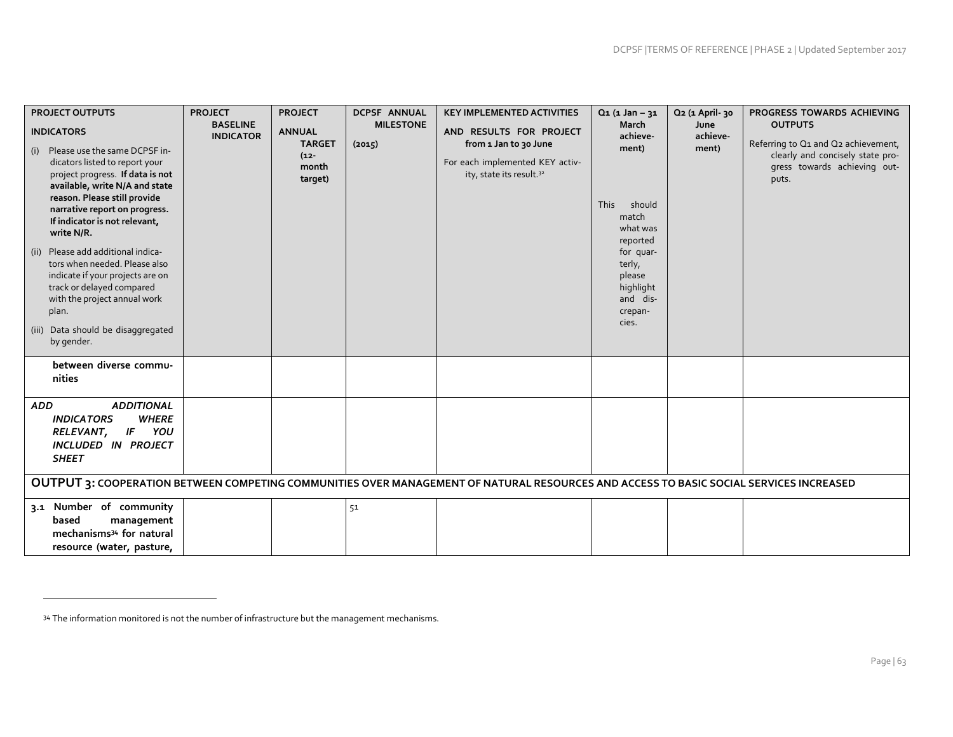|            | <b>PROJECT OUTPUTS</b>                                                                                                                                                                                                                                | <b>PROJECT</b>                      | <b>PROJECT</b>                 | DCPSF ANNUAL               | <b>KEY IMPLEMENTED ACTIVITIES</b>                                                                                                      | $Q_1$ (1 Jan - 31                                                 | Q2 (1 April-30            | PROGRESS TOWARDS ACHIEVING                                                |
|------------|-------------------------------------------------------------------------------------------------------------------------------------------------------------------------------------------------------------------------------------------------------|-------------------------------------|--------------------------------|----------------------------|----------------------------------------------------------------------------------------------------------------------------------------|-------------------------------------------------------------------|---------------------------|---------------------------------------------------------------------------|
|            | <b>INDICATORS</b>                                                                                                                                                                                                                                     | <b>BASELINE</b><br><b>INDICATOR</b> | <b>ANNUAL</b><br><b>TARGET</b> | <b>MILESTONE</b><br>(2015) | AND RESULTS FOR PROJECT<br>from 1 Jan to 30 June                                                                                       | March<br>achieve-<br>ment)                                        | June<br>achieve-<br>ment) | <b>OUTPUTS</b><br>Referring to Q1 and Q2 achievement,                     |
| (i)        | Please use the same DCPSF in-<br>dicators listed to report your<br>project progress. If data is not<br>available, write N/A and state<br>reason. Please still provide<br>narrative report on progress.<br>If indicator is not relevant,<br>write N/R. |                                     | $(12 -$<br>month<br>target)    |                            | For each implemented KEY activ-<br>ity, state its result. 32                                                                           | <b>This</b><br>should<br>match<br>what was<br>reported            |                           | clearly and concisely state pro-<br>gress towards achieving out-<br>puts. |
|            | (ii) Please add additional indica-<br>tors when needed. Please also<br>indicate if your projects are on<br>track or delayed compared<br>with the project annual work<br>plan.                                                                         |                                     |                                |                            |                                                                                                                                        | for quar-<br>terly,<br>please<br>highlight<br>and dis-<br>crepan- |                           |                                                                           |
|            | (iii) Data should be disaggregated<br>by gender.                                                                                                                                                                                                      |                                     |                                |                            |                                                                                                                                        | cies.                                                             |                           |                                                                           |
|            | between diverse commu-<br>nities                                                                                                                                                                                                                      |                                     |                                |                            |                                                                                                                                        |                                                                   |                           |                                                                           |
| <b>ADD</b> | <b>ADDITIONAL</b><br><b>WHERE</b><br><b>INDICATORS</b><br><b>RELEVANT,</b><br>YOU<br>IF<br><b>INCLUDED IN PROJECT</b><br><b>SHEET</b>                                                                                                                 |                                     |                                |                            |                                                                                                                                        |                                                                   |                           |                                                                           |
|            |                                                                                                                                                                                                                                                       |                                     |                                |                            | OUTPUT 3: COOPERATION BETWEEN COMPETING COMMUNITIES OVER MANAGEMENT OF NATURAL RESOURCES AND ACCESS TO BASIC SOCIAL SERVICES INCREASED |                                                                   |                           |                                                                           |
|            | 3.1 Number of community<br>based<br>management<br>mechanisms <sup>34</sup> for natural<br>resource (water, pasture,                                                                                                                                   |                                     |                                | 51                         |                                                                                                                                        |                                                                   |                           |                                                                           |

<sup>&</sup>lt;sup>34</sup> The information monitored is not the number of infrastructure but the management mechanisms.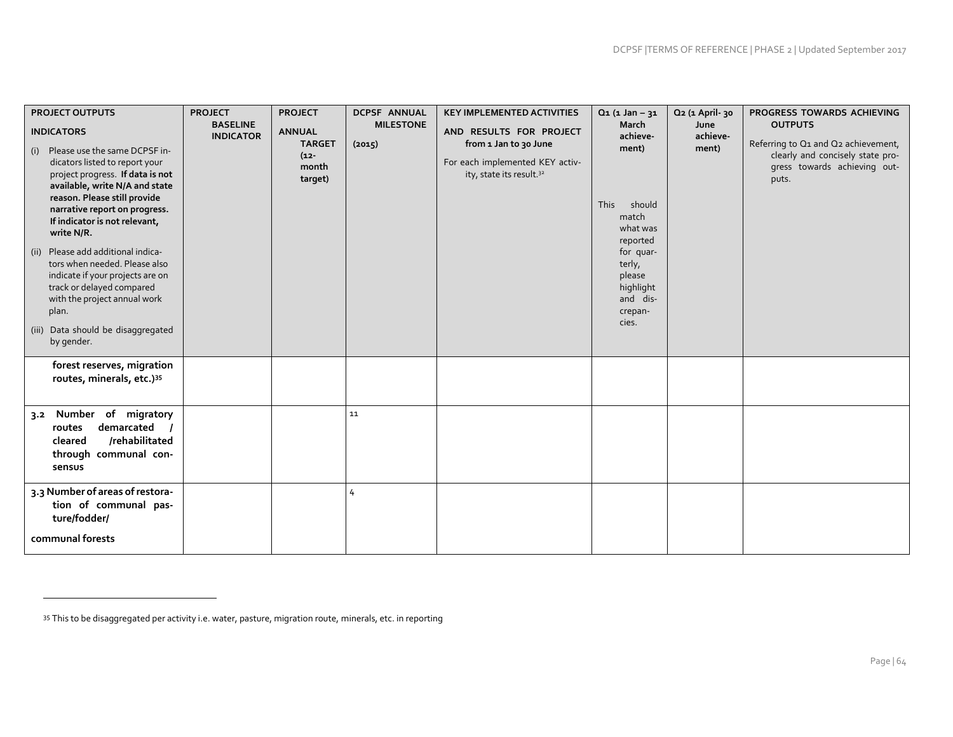|     | <b>PROJECT OUTPUTS</b>                                                                                                                                                                                               | <b>PROJECT</b>                      | <b>PROJECT</b>                 | DCPSF ANNUAL               | <b>KEY IMPLEMENTED ACTIVITIES</b>                           | $Q_1$ (1 Jan - 31                                                          | Q2 (1 April-30            | PROGRESS TOWARDS ACHIEVING                                                |
|-----|----------------------------------------------------------------------------------------------------------------------------------------------------------------------------------------------------------------------|-------------------------------------|--------------------------------|----------------------------|-------------------------------------------------------------|----------------------------------------------------------------------------|---------------------------|---------------------------------------------------------------------------|
|     | <b>INDICATORS</b><br>Please use the same DCPSF in-                                                                                                                                                                   | <b>BASELINE</b><br><b>INDICATOR</b> | <b>ANNUAL</b><br><b>TARGET</b> | <b>MILESTONE</b><br>(2015) | AND RESULTS FOR PROJECT<br>from 1 Jan to 30 June            | March<br>achieve-<br>ment)                                                 | June<br>achieve-<br>ment) | <b>OUTPUTS</b><br>Referring to Q1 and Q2 achievement,                     |
| (i) | dicators listed to report your<br>project progress. If data is not<br>available, write N/A and state<br>reason. Please still provide<br>narrative report on progress.<br>If indicator is not relevant,<br>write N/R. |                                     | $(12 -$<br>month<br>target)    |                            | For each implemented KEY activ-<br>ity, state its result.32 | <b>This</b><br>should<br>match<br>what was<br>reported                     |                           | clearly and concisely state pro-<br>gress towards achieving out-<br>puts. |
|     | (ii) Please add additional indica-<br>tors when needed. Please also<br>indicate if your projects are on<br>track or delayed compared<br>with the project annual work<br>plan.                                        |                                     |                                |                            |                                                             | for quar-<br>terly,<br>please<br>highlight<br>and dis-<br>crepan-<br>cies. |                           |                                                                           |
|     | (iii) Data should be disaggregated<br>by gender.                                                                                                                                                                     |                                     |                                |                            |                                                             |                                                                            |                           |                                                                           |
|     | forest reserves, migration<br>routes, minerals, etc.) <sup>35</sup>                                                                                                                                                  |                                     |                                |                            |                                                             |                                                                            |                           |                                                                           |
|     | 3.2 Number of migratory<br>demarcated<br>routes<br>/rehabilitated<br>cleared<br>through communal con-<br>sensus                                                                                                      |                                     |                                | $11\,$                     |                                                             |                                                                            |                           |                                                                           |
|     | 3.3 Number of areas of restora-<br>tion of communal pas-<br>ture/fodder/<br>communal forests                                                                                                                         |                                     |                                | 4                          |                                                             |                                                                            |                           |                                                                           |
|     |                                                                                                                                                                                                                      |                                     |                                |                            |                                                             |                                                                            |                           |                                                                           |

<sup>&</sup>lt;sup>35</sup> This to be disaggregated per activity i.e. water, pasture, migration route, minerals, etc. in reporting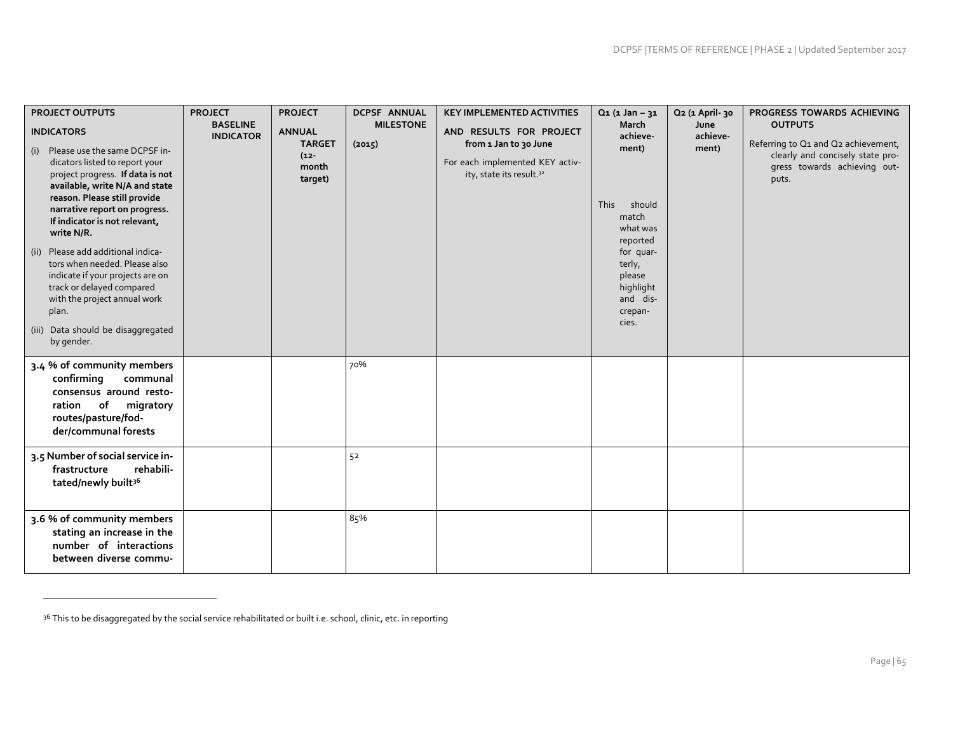| <b>PROJECT OUTPUTS</b>                                        |                                                                                                                                                                                                                                                                                                                                                                                                                                                       | <b>PROJECT</b><br><b>BASELINE</b> | <b>PROJECT</b>                                                | DCPSF ANNUAL<br><b>MILESTONE</b> | <b>KEY IMPLEMENTED ACTIVITIES</b>                                                                               | $Q_1$ (1 Jan - 31<br>March                                                                                                                                | Q2 (1 April-30<br>June | PROGRESS TOWARDS ACHIEVING<br><b>OUTPUTS</b>                                                                     |
|---------------------------------------------------------------|-------------------------------------------------------------------------------------------------------------------------------------------------------------------------------------------------------------------------------------------------------------------------------------------------------------------------------------------------------------------------------------------------------------------------------------------------------|-----------------------------------|---------------------------------------------------------------|----------------------------------|-----------------------------------------------------------------------------------------------------------------|-----------------------------------------------------------------------------------------------------------------------------------------------------------|------------------------|------------------------------------------------------------------------------------------------------------------|
| <b>INDICATORS</b><br>(i)<br>write N/R.<br>plan.<br>by gender. | Please use the same DCPSF in-<br>dicators listed to report your<br>project progress. If data is not<br>available, write N/A and state<br>reason. Please still provide<br>narrative report on progress.<br>If indicator is not relevant,<br>(ii) Please add additional indica-<br>tors when needed. Please also<br>indicate if your projects are on<br>track or delayed compared<br>with the project annual work<br>(iii) Data should be disaggregated | <b>INDICATOR</b>                  | <b>ANNUAL</b><br><b>TARGET</b><br>$(12 -$<br>month<br>target) | (2015)                           | AND RESULTS FOR PROJECT<br>from 1 Jan to 30 June<br>For each implemented KEY activ-<br>ity, state its result.32 | achieve-<br>ment)<br><b>This</b><br>should<br>match<br>what was<br>reported<br>for quar-<br>terly,<br>please<br>highlight<br>and dis-<br>crepan-<br>cies. | achieve-<br>ment)      | Referring to Q1 and Q2 achievement,<br>clearly and concisely state pro-<br>gress towards achieving out-<br>puts. |
| confirming<br>ration                                          | 3.4 % of community members<br>communal<br>consensus around resto-<br>of<br>migratory<br>routes/pasture/fod-<br>der/communal forests                                                                                                                                                                                                                                                                                                                   |                                   |                                                               | 70%                              |                                                                                                                 |                                                                                                                                                           |                        |                                                                                                                  |
| frastructure                                                  | 3.5 Number of social service in-<br>rehabili-<br>tated/newly built <sup>36</sup>                                                                                                                                                                                                                                                                                                                                                                      |                                   |                                                               | 52                               |                                                                                                                 |                                                                                                                                                           |                        |                                                                                                                  |
|                                                               | 3.6 % of community members<br>stating an increase in the<br>number of interactions<br>between diverse commu-                                                                                                                                                                                                                                                                                                                                          |                                   |                                                               | 85%                              |                                                                                                                 |                                                                                                                                                           |                        |                                                                                                                  |

<sup>&</sup>lt;sup>36</sup> This to be disaggregated by the social service rehabilitated or built i.e. school, clinic, etc. in reporting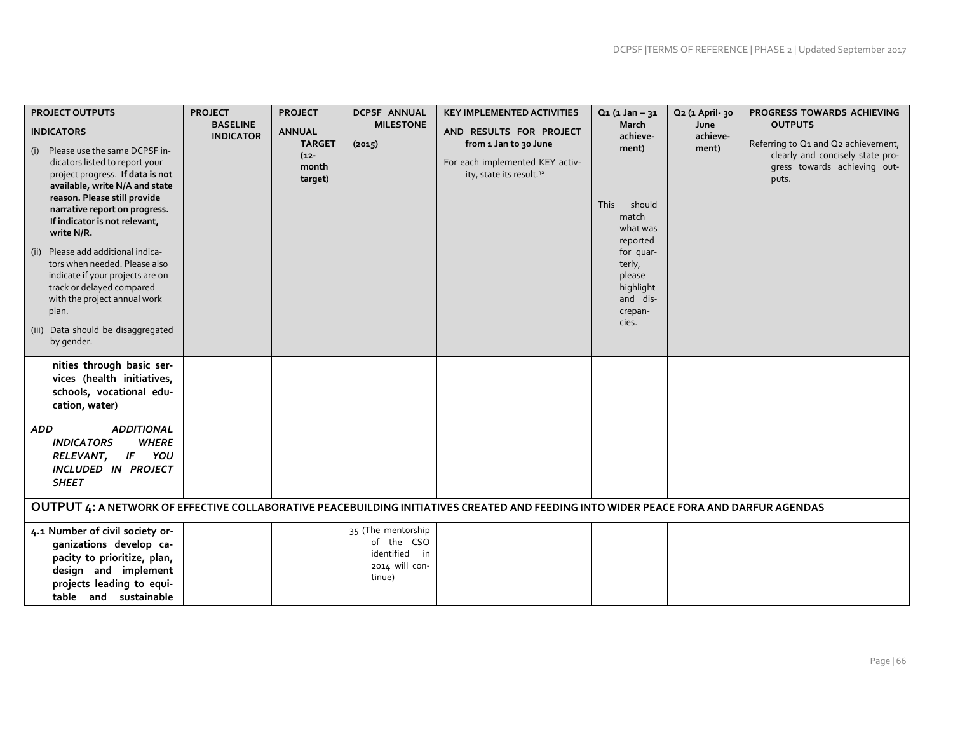| (i)<br>(ii) | <b>PROJECT OUTPUTS</b><br><b>INDICATORS</b><br>Please use the same DCPSF in-<br>dicators listed to report your<br>project progress. If data is not<br>available, write N/A and state<br>reason. Please still provide<br>narrative report on progress.<br>If indicator is not relevant,<br>write N/R.<br>Please add additional indica-<br>tors when needed. Please also<br>indicate if your projects are on<br>track or delayed compared<br>with the project annual work<br>plan.<br>(iii) Data should be disaggregated<br>by gender. | <b>PROJECT</b><br><b>BASELINE</b><br><b>INDICATOR</b> | <b>PROJECT</b><br><b>ANNUAL</b><br><b>TARGET</b><br>$(12 -$<br>month<br>target) | <b>DCPSF ANNUAL</b><br><b>MILESTONE</b><br>(2015)                             | <b>KEY IMPLEMENTED ACTIVITIES</b><br>AND RESULTS FOR PROJECT<br>from 1 Jan to 30 June<br>For each implemented KEY activ-<br>ity, state its result.32 | $Q_1$ (1 Jan - 31<br>March<br>achieve-<br>ment)<br><b>This</b><br>should<br>match<br>what was<br>reported<br>for quar-<br>terly,<br>please<br>highlight<br>and dis-<br>crepan-<br>cies. | Q2 (1 April-30<br>June<br>achieve-<br>ment) | PROGRESS TOWARDS ACHIEVING<br><b>OUTPUTS</b><br>Referring to Q1 and Q2 achievement,<br>clearly and concisely state pro-<br>gress towards achieving out-<br>puts. |  |  |
|-------------|--------------------------------------------------------------------------------------------------------------------------------------------------------------------------------------------------------------------------------------------------------------------------------------------------------------------------------------------------------------------------------------------------------------------------------------------------------------------------------------------------------------------------------------|-------------------------------------------------------|---------------------------------------------------------------------------------|-------------------------------------------------------------------------------|------------------------------------------------------------------------------------------------------------------------------------------------------|-----------------------------------------------------------------------------------------------------------------------------------------------------------------------------------------|---------------------------------------------|------------------------------------------------------------------------------------------------------------------------------------------------------------------|--|--|
|             | nities through basic ser-<br>vices (health initiatives,<br>schools, vocational edu-<br>cation, water)                                                                                                                                                                                                                                                                                                                                                                                                                                |                                                       |                                                                                 |                                                                               |                                                                                                                                                      |                                                                                                                                                                                         |                                             |                                                                                                                                                                  |  |  |
| <b>ADD</b>  | <b>ADDITIONAL</b><br><b>WHERE</b><br><b>INDICATORS</b><br>RELEVANT,<br>IF<br>YOU<br><b>INCLUDED IN PROJECT</b><br><b>SHEET</b>                                                                                                                                                                                                                                                                                                                                                                                                       |                                                       |                                                                                 |                                                                               |                                                                                                                                                      |                                                                                                                                                                                         |                                             |                                                                                                                                                                  |  |  |
|             | OUTPUT 4: A NETWORK OF EFFECTIVE COLLABORATIVE PEACEBUILDING INITIATIVES CREATED AND FEEDING INTO WIDER PEACE FORA AND DARFUR AGENDAS                                                                                                                                                                                                                                                                                                                                                                                                |                                                       |                                                                                 |                                                                               |                                                                                                                                                      |                                                                                                                                                                                         |                                             |                                                                                                                                                                  |  |  |
|             | 4.1 Number of civil society or-<br>ganizations develop ca-<br>pacity to prioritize, plan,<br>design and implement<br>projects leading to equi-<br>table and sustainable                                                                                                                                                                                                                                                                                                                                                              |                                                       |                                                                                 | 35 (The mentorship<br>of the CSO<br>identified in<br>2014 will con-<br>tinue) |                                                                                                                                                      |                                                                                                                                                                                         |                                             |                                                                                                                                                                  |  |  |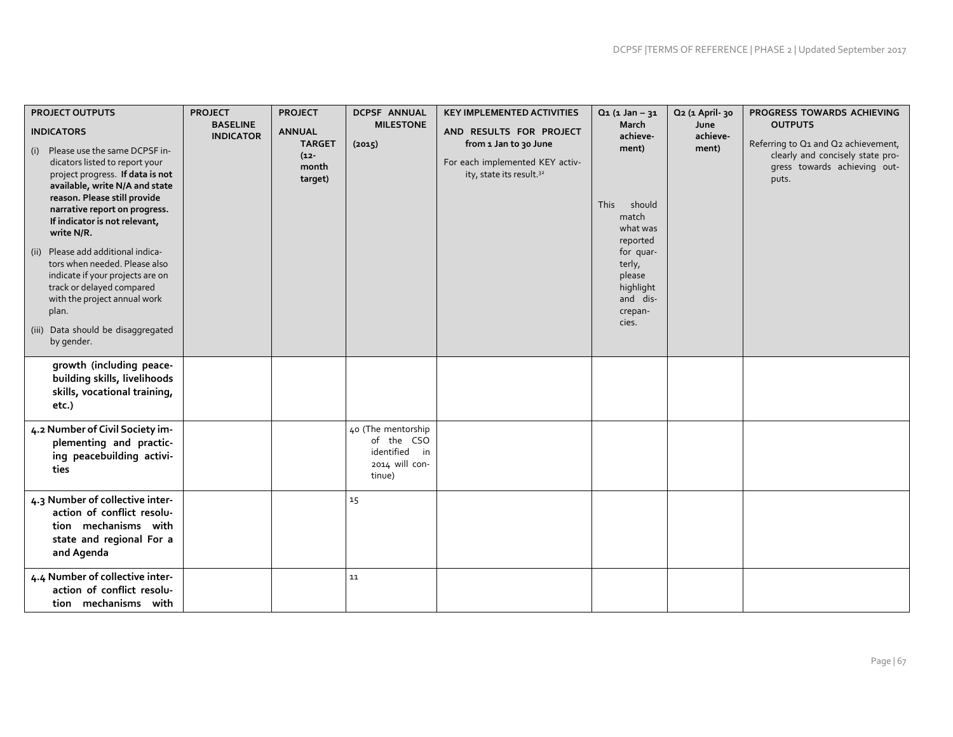| PROJECT OUTPUTS<br><b>INDICATORS</b><br>Please use the same DCPSF in-<br>(i)<br>dicators listed to report your<br>project progress. If data is not<br>available, write N/A and state<br>reason. Please still provide<br>narrative report on progress.<br>If indicator is not relevant,<br>write N/R.<br>(ii) Please add additional indica-<br>tors when needed. Please also<br>indicate if your projects are on<br>track or delayed compared<br>with the project annual work<br>plan.<br>(iii) Data should be disaggregated<br>by gender. | <b>PROJECT</b><br><b>BASELINE</b><br><b>INDICATOR</b> | <b>PROJECT</b><br><b>ANNUAL</b><br><b>TARGET</b><br>$(12 -$<br>month<br>target) | DCPSF ANNUAL<br><b>MILESTONE</b><br>(2015)                                    | <b>KEY IMPLEMENTED ACTIVITIES</b><br>AND RESULTS FOR PROJECT<br>from 1 Jan to 30 June<br>For each implemented KEY activ-<br>ity, state its result. <sup>32</sup> | $Q_1$ (1 Jan - 31<br>March<br>achieve-<br>ment)<br>should<br><b>This</b><br>match<br>what was<br>reported<br>for quar-<br>terly,<br>please<br>highlight<br>and dis-<br>crepan-<br>cies. | Q2 (1 April-30<br>June<br>achieve-<br>ment) | PROGRESS TOWARDS ACHIEVING<br><b>OUTPUTS</b><br>Referring to Q1 and Q2 achievement,<br>clearly and concisely state pro-<br>gress towards achieving out-<br>puts. |
|-------------------------------------------------------------------------------------------------------------------------------------------------------------------------------------------------------------------------------------------------------------------------------------------------------------------------------------------------------------------------------------------------------------------------------------------------------------------------------------------------------------------------------------------|-------------------------------------------------------|---------------------------------------------------------------------------------|-------------------------------------------------------------------------------|------------------------------------------------------------------------------------------------------------------------------------------------------------------|-----------------------------------------------------------------------------------------------------------------------------------------------------------------------------------------|---------------------------------------------|------------------------------------------------------------------------------------------------------------------------------------------------------------------|
| growth (including peace-<br>building skills, livelihoods<br>skills, vocational training,<br>etc.)                                                                                                                                                                                                                                                                                                                                                                                                                                         |                                                       |                                                                                 |                                                                               |                                                                                                                                                                  |                                                                                                                                                                                         |                                             |                                                                                                                                                                  |
| 4.2 Number of Civil Society im-<br>plementing and practic-<br>ing peacebuilding activi-<br>ties                                                                                                                                                                                                                                                                                                                                                                                                                                           |                                                       |                                                                                 | 40 (The mentorship<br>of the CSO<br>identified in<br>2014 will con-<br>tinue) |                                                                                                                                                                  |                                                                                                                                                                                         |                                             |                                                                                                                                                                  |
| 4.3 Number of collective inter-<br>action of conflict resolu-<br>tion mechanisms with<br>state and regional For a<br>and Agenda                                                                                                                                                                                                                                                                                                                                                                                                           |                                                       |                                                                                 | 15                                                                            |                                                                                                                                                                  |                                                                                                                                                                                         |                                             |                                                                                                                                                                  |
| 4.4 Number of collective inter-<br>action of conflict resolu-<br>tion mechanisms with                                                                                                                                                                                                                                                                                                                                                                                                                                                     |                                                       |                                                                                 | ${\bf 11}$                                                                    |                                                                                                                                                                  |                                                                                                                                                                                         |                                             |                                                                                                                                                                  |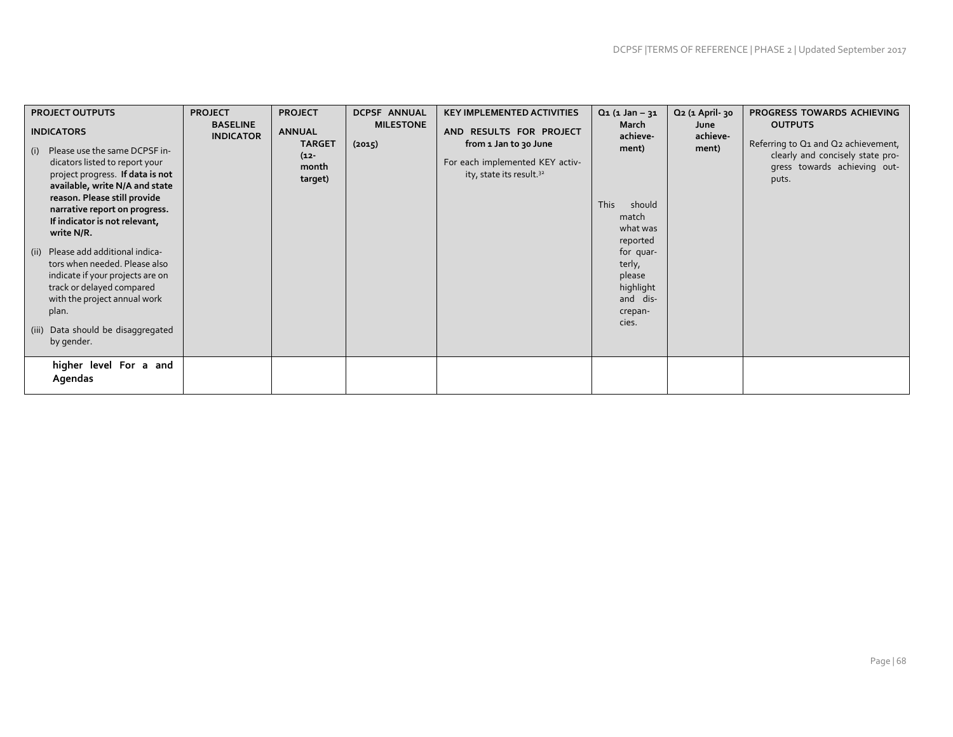| <b>PROJECT OUTPUTS</b><br><b>INDICATORS</b><br>Please use the same DCPSF in-<br>(i)<br>dicators listed to report your<br>project progress. If data is not<br>available, write N/A and state<br>reason. Please still provide<br>narrative report on progress.<br>If indicator is not relevant,<br>write N/R.<br>(ii) Please add additional indica-<br>tors when needed. Please also<br>indicate if your projects are on<br>track or delayed compared<br>with the project annual work<br>plan.<br>(iii) Data should be disaggregated<br>by gender. | <b>PROJECT</b><br><b>BASELINE</b><br><b>INDICATOR</b> | <b>PROJECT</b><br><b>ANNUAL</b><br><b>TARGET</b><br>$(12 -$<br>month<br>target) | <b>DCPSF ANNUAL</b><br><b>MILESTONE</b><br>(2015) | <b>KEY IMPLEMENTED ACTIVITIES</b><br>AND RESULTS FOR PROJECT<br>from 1 Jan to 30 June<br>For each implemented KEY activ-<br>ity, state its result. <sup>32</sup> | $Q_1$ (1 Jan - 31<br>March<br>achieve-<br>ment)<br><b>This</b><br>should<br>match<br>what was<br>reported<br>for quar-<br>terly,<br>please<br>highlight<br>and dis-<br>crepan-<br>cies. | Q2 (1 April-30<br>June<br>achieve-<br>ment) | PROGRESS TOWARDS ACHIEVING<br><b>OUTPUTS</b><br>Referring to Q1 and Q2 achievement,<br>clearly and concisely state pro-<br>gress towards achieving out-<br>puts. |
|--------------------------------------------------------------------------------------------------------------------------------------------------------------------------------------------------------------------------------------------------------------------------------------------------------------------------------------------------------------------------------------------------------------------------------------------------------------------------------------------------------------------------------------------------|-------------------------------------------------------|---------------------------------------------------------------------------------|---------------------------------------------------|------------------------------------------------------------------------------------------------------------------------------------------------------------------|-----------------------------------------------------------------------------------------------------------------------------------------------------------------------------------------|---------------------------------------------|------------------------------------------------------------------------------------------------------------------------------------------------------------------|
| higher level For a and<br>Agendas                                                                                                                                                                                                                                                                                                                                                                                                                                                                                                                |                                                       |                                                                                 |                                                   |                                                                                                                                                                  |                                                                                                                                                                                         |                                             |                                                                                                                                                                  |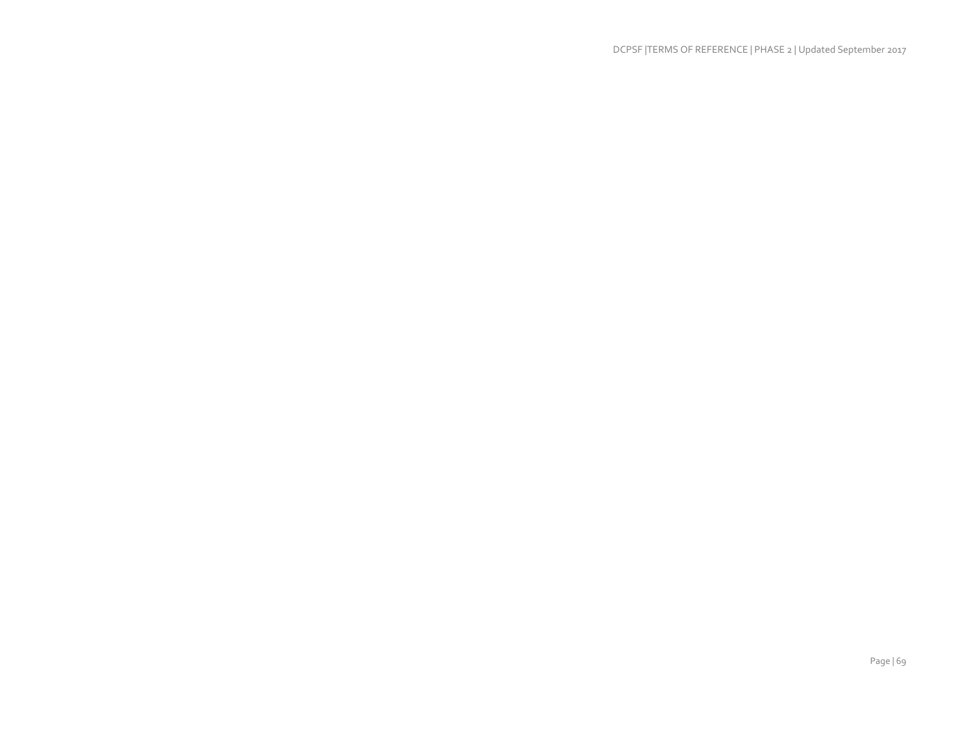DCPSF |TERMS OF REFERENCE | PHASE 2 | Updated September 2017